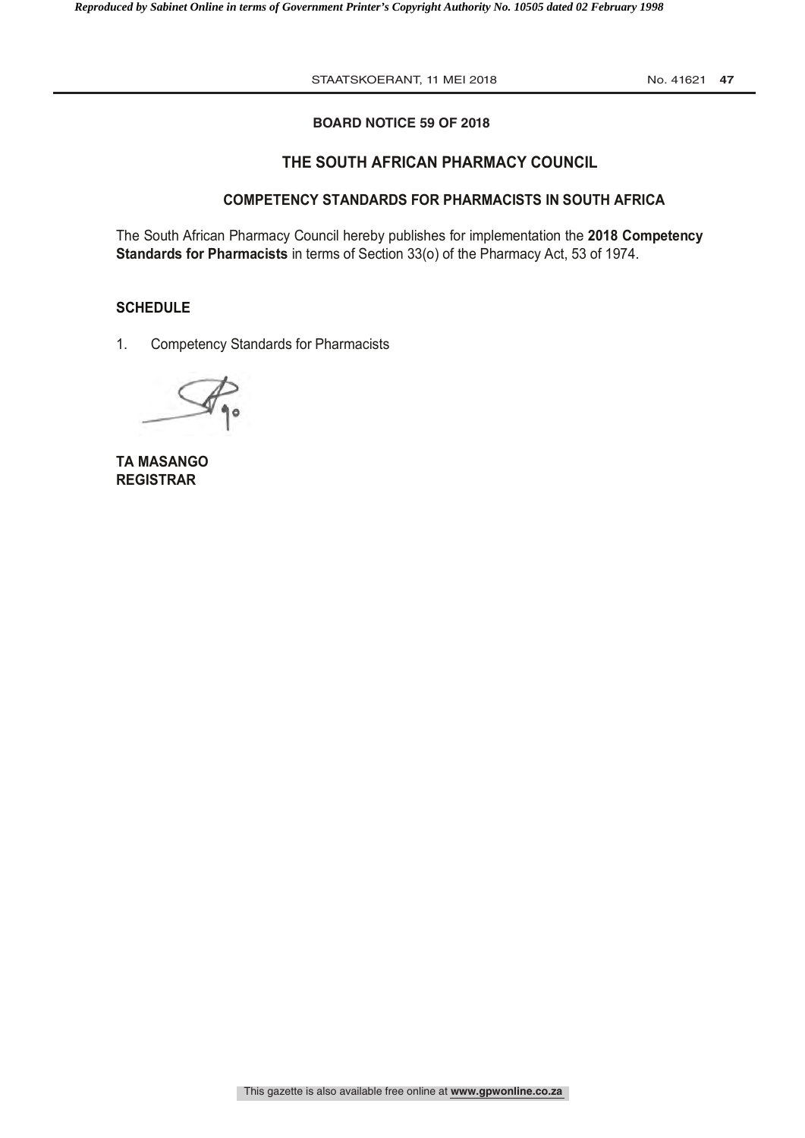STAATSKOERANT, 11 MEI 2018 12018 No. 41621 47

### **BOARD NOTICE 59 OF 2018**

# **THE SOUTH AFRICAN PHARMACY COUNCIL**

# **COMPETENCY STANDARDS FOR PHARMACISTS IN SOUTH AFRICA**

The South African Pharmacy Council hereby publishes for implementation the **2018 Competency Standards for Pharmacists** in terms of Section 33(o) of the Pharmacy Act, 53 of 1974.

#### **SCHEDULE**

1. Competency Standards for Pharmacists

**TA MASANGO REGISTRAR**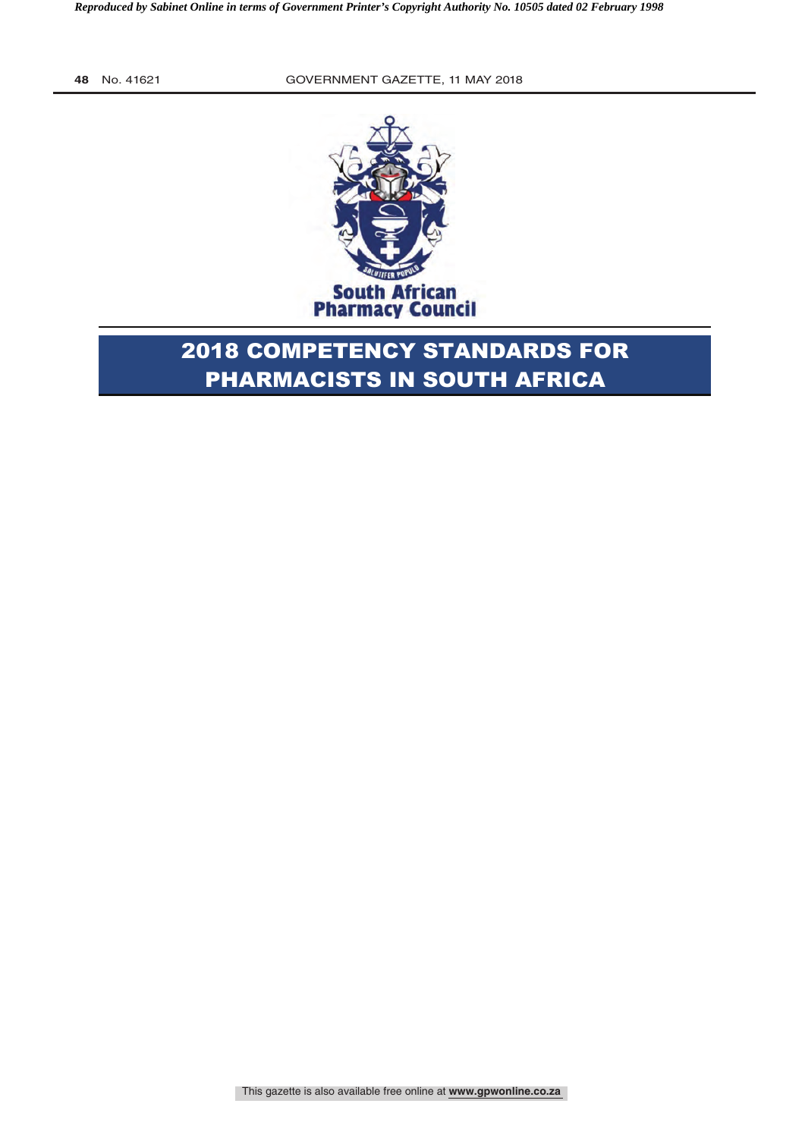

# 2018 COMPETENCY STANDARDS FOR PHARMACISTS IN SOUTH AFRICA

This gazette is also available free online at **www.gpwonline.co.za**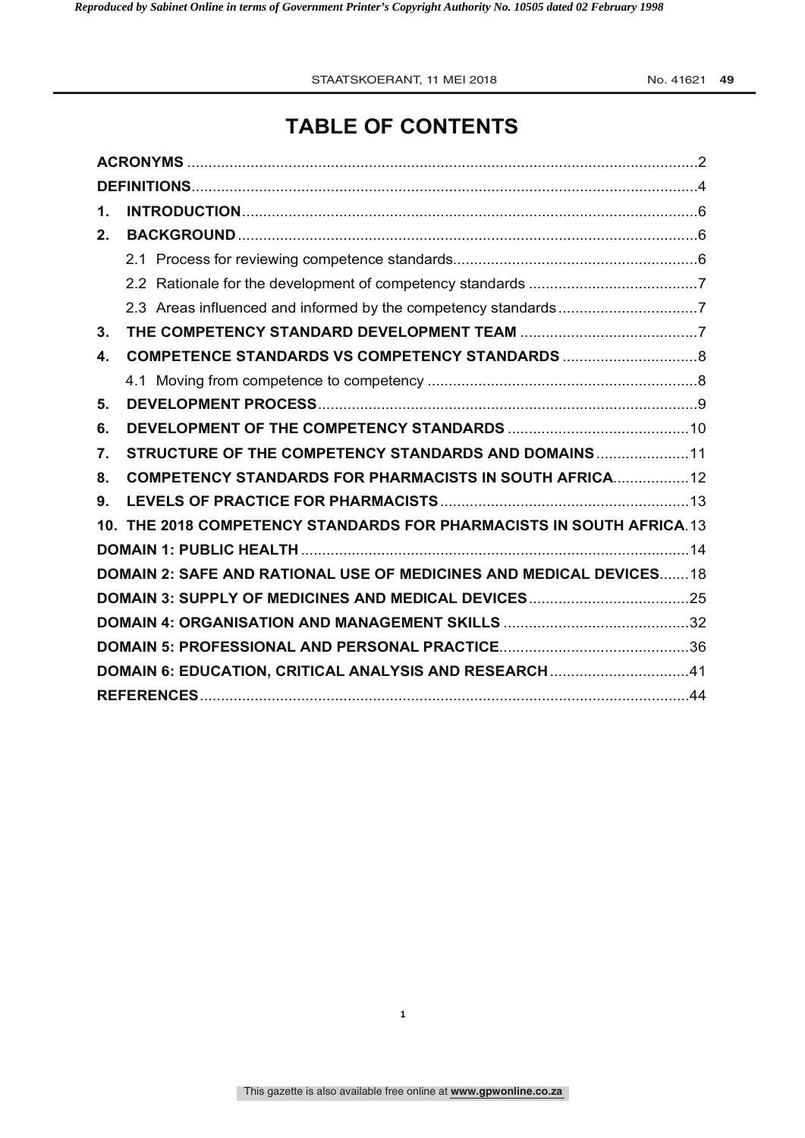# **TABLE OF CONTENTS**

| 1.           |                                                                           |
|--------------|---------------------------------------------------------------------------|
| $2_{-}$      |                                                                           |
|              |                                                                           |
|              |                                                                           |
|              |                                                                           |
| 3.           |                                                                           |
| $\mathbf{4}$ |                                                                           |
|              |                                                                           |
| 5.           |                                                                           |
| 6.           |                                                                           |
| 7.           | STRUCTURE OF THE COMPETENCY STANDARDS AND DOMAINS 11                      |
| 8.           | <b>COMPETENCY STANDARDS FOR PHARMACISTS IN SOUTH AFRICA 12</b>            |
| 9.           |                                                                           |
|              | 10. THE 2018 COMPETENCY STANDARDS FOR PHARMACISTS IN SOUTH AFRICA.13      |
|              |                                                                           |
|              | <b>DOMAIN 2: SAFE AND RATIONAL USE OF MEDICINES AND MEDICAL DEVICES18</b> |
|              |                                                                           |
|              |                                                                           |
|              |                                                                           |
|              | DOMAIN 6: EDUCATION, CRITICAL ANALYSIS AND RESEARCH41                     |
|              |                                                                           |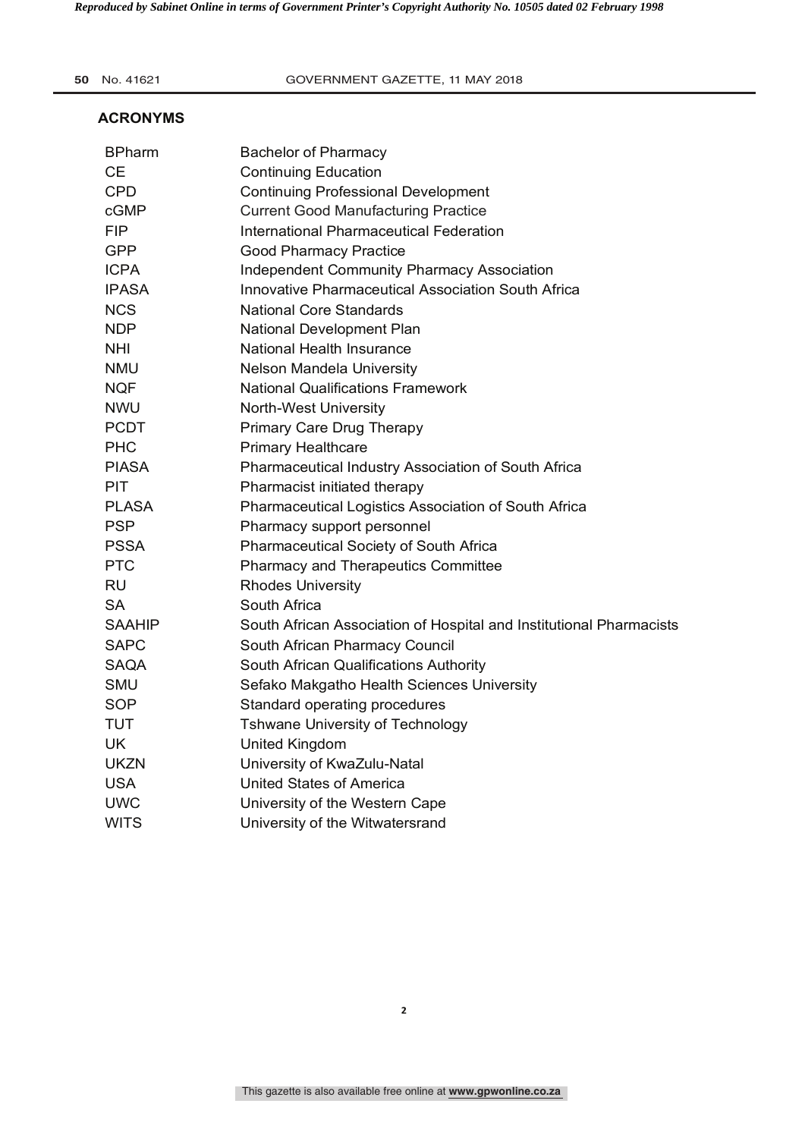**50** No. 41621 **2020 COVERNMENT GAZETTE, 11 MAY 2018** 

#### **ACRONYMS**

| <b>BPharm</b> | <b>Bachelor of Pharmacy</b>                                         |
|---------------|---------------------------------------------------------------------|
| <b>CE</b>     | <b>Continuing Education</b>                                         |
| <b>CPD</b>    | <b>Continuing Professional Development</b>                          |
| cGMP          | <b>Current Good Manufacturing Practice</b>                          |
| <b>FIP</b>    | <b>International Pharmaceutical Federation</b>                      |
| <b>GPP</b>    | <b>Good Pharmacy Practice</b>                                       |
| <b>ICPA</b>   | <b>Independent Community Pharmacy Association</b>                   |
| <b>IPASA</b>  | <b>Innovative Pharmaceutical Association South Africa</b>           |
| <b>NCS</b>    | <b>National Core Standards</b>                                      |
| <b>NDP</b>    | National Development Plan                                           |
| NHI           | National Health Insurance                                           |
| <b>NMU</b>    | Nelson Mandela University                                           |
| <b>NQF</b>    | <b>National Qualifications Framework</b>                            |
| <b>NWU</b>    | North-West University                                               |
| <b>PCDT</b>   | Primary Care Drug Therapy                                           |
| <b>PHC</b>    | <b>Primary Healthcare</b>                                           |
| <b>PIASA</b>  | Pharmaceutical Industry Association of South Africa                 |
| <b>PIT</b>    | Pharmacist initiated therapy                                        |
| <b>PLASA</b>  | Pharmaceutical Logistics Association of South Africa                |
| <b>PSP</b>    | Pharmacy support personnel                                          |
| <b>PSSA</b>   | Pharmaceutical Society of South Africa                              |
| <b>PTC</b>    | <b>Pharmacy and Therapeutics Committee</b>                          |
| <b>RU</b>     | <b>Rhodes University</b>                                            |
| <b>SA</b>     | South Africa                                                        |
| <b>SAAHIP</b> | South African Association of Hospital and Institutional Pharmacists |
| <b>SAPC</b>   | South African Pharmacy Council                                      |
| <b>SAQA</b>   | South African Qualifications Authority                              |
| <b>SMU</b>    | Sefako Makgatho Health Sciences University                          |
| <b>SOP</b>    | Standard operating procedures                                       |
| <b>TUT</b>    | Tshwane University of Technology                                    |
| <b>UK</b>     | United Kingdom                                                      |
| <b>UKZN</b>   | University of KwaZulu-Natal                                         |
| <b>USA</b>    | <b>United States of America</b>                                     |
| <b>UWC</b>    | University of the Western Cape                                      |
| <b>WITS</b>   | University of the Witwatersrand                                     |
|               |                                                                     |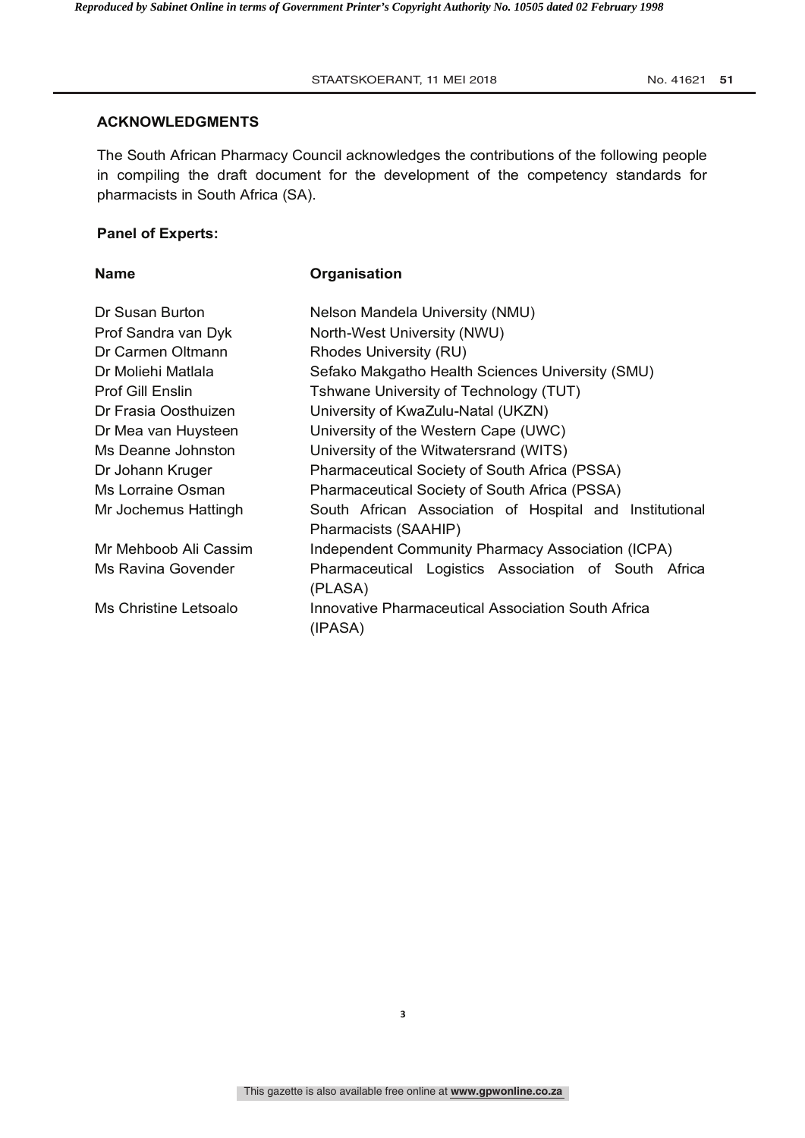#### STAATSKOERANT, 11 MEI 2018 **Company 1.011 Company 1.011 ST** No. 41621 51

#### **ACKNOWLEDGMENTS**

The South African Pharmacy Council acknowledges the contributions of the following people in compiling the draft document for the development of the competency standards for pharmacists in South Africa (SA).

# **Panel of Experts:**

# **Name Organisation**

| Dr Susan Burton         | Nelson Mandela University (NMU)                                                 |  |  |  |
|-------------------------|---------------------------------------------------------------------------------|--|--|--|
| Prof Sandra van Dyk     | North-West University (NWU)                                                     |  |  |  |
| Dr Carmen Oltmann       | Rhodes University (RU)                                                          |  |  |  |
| Dr Moliehi Matlala      | Sefako Makgatho Health Sciences University (SMU)                                |  |  |  |
| <b>Prof Gill Enslin</b> | Tshwane University of Technology (TUT)                                          |  |  |  |
| Dr Frasia Oosthuizen    | University of KwaZulu-Natal (UKZN)                                              |  |  |  |
| Dr Mea van Huysteen     | University of the Western Cape (UWC)                                            |  |  |  |
| Ms Deanne Johnston      | University of the Witwatersrand (WITS)                                          |  |  |  |
| Dr Johann Kruger        | Pharmaceutical Society of South Africa (PSSA)                                   |  |  |  |
| Ms Lorraine Osman       | Pharmaceutical Society of South Africa (PSSA)                                   |  |  |  |
| Mr Jochemus Hattingh    | South African Association of Hospital and Institutional<br>Pharmacists (SAAHIP) |  |  |  |
| Mr Mehboob Ali Cassim   | Independent Community Pharmacy Association (ICPA)                               |  |  |  |
| Ms Ravina Govender      | Pharmaceutical Logistics Association of South Africa<br>(PLASA)                 |  |  |  |
| Ms Christine Letsoalo   | Innovative Pharmaceutical Association South Africa<br>(IPASA)                   |  |  |  |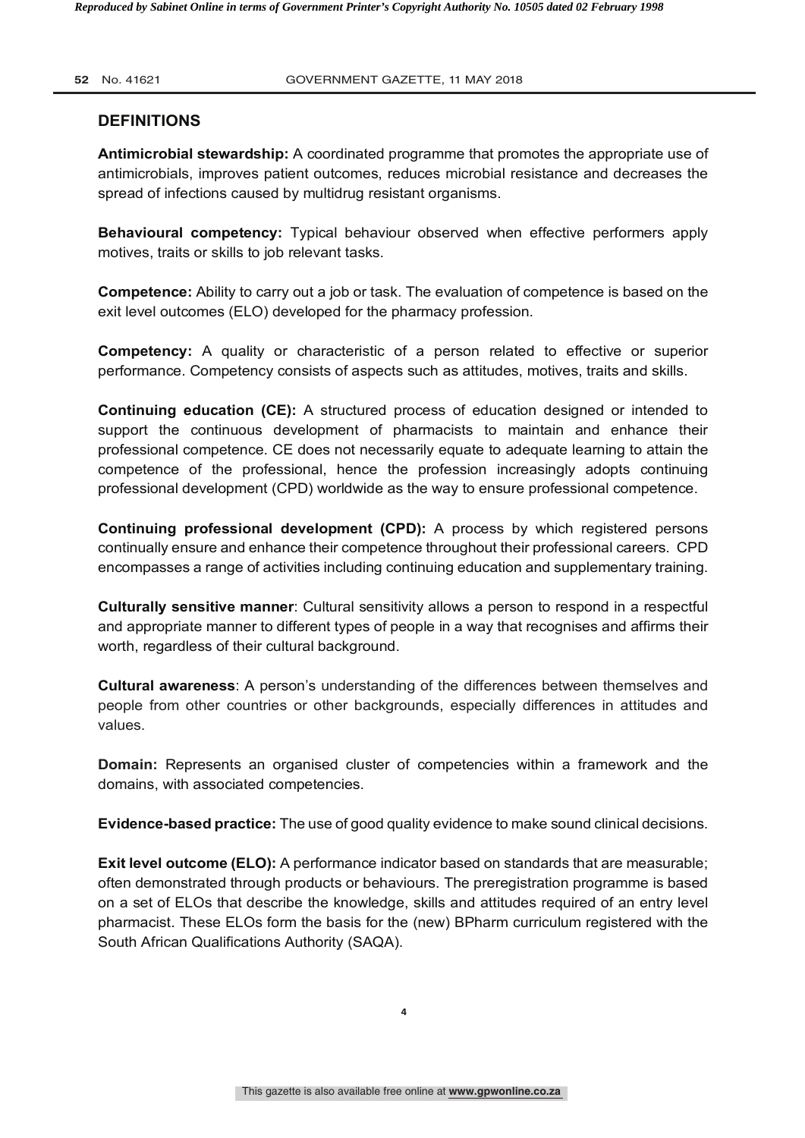# **52** No. 41621 **COVERNMENT GAZETTE, 11 MAY 2018**

# **DEFINITIONS**

**Antimicrobial stewardship:** A coordinated programme that promotes the appropriate use of antimicrobials, improves patient outcomes, reduces microbial resistance and decreases the spread of infections caused by multidrug resistant organisms.

**Behavioural competency:** Typical behaviour observed when effective performers apply motives, traits or skills to job relevant tasks.

**Competence:** Ability to carry out a job or task. The evaluation of competence is based on the exit level outcomes (ELO) developed for the pharmacy profession.

**Competency:** A quality or characteristic of a person related to effective or superior performance. Competency consists of aspects such as attitudes, motives, traits and skills.

**Continuing education (CE):** A structured process of education designed or intended to support the continuous development of pharmacists to maintain and enhance their professional competence. CE does not necessarily equate to adequate learning to attain the competence of the professional, hence the profession increasingly adopts continuing professional development (CPD) worldwide as the way to ensure professional competence.

**Continuing professional development (CPD):** A process by which registered persons continually ensure and enhance their competence throughout their professional careers. CPD encompasses a range of activities including continuing education and supplementary training.

**Culturally sensitive manner**: Cultural sensitivity allows a person to respond in a respectful and appropriate manner to different types of people in a way that recognises and affirms their worth, regardless of their cultural background.

**Cultural awareness**: A person's understanding of the differences between themselves and people from other countries or other backgrounds, especially differences in attitudes and values.

**Domain:** Represents an organised cluster of competencies within a framework and the domains, with associated competencies.

**Evidence-based practice:** The use of good quality evidence to make sound clinical decisions.

**Exit level outcome (ELO):** A performance indicator based on standards that are measurable; often demonstrated through products or behaviours. The preregistration programme is based on a set of ELOs that describe the knowledge, skills and attitudes required of an entry level pharmacist. These ELOs form the basis for the (new) BPharm curriculum registered with the South African Qualifications Authority (SAQA).

**4**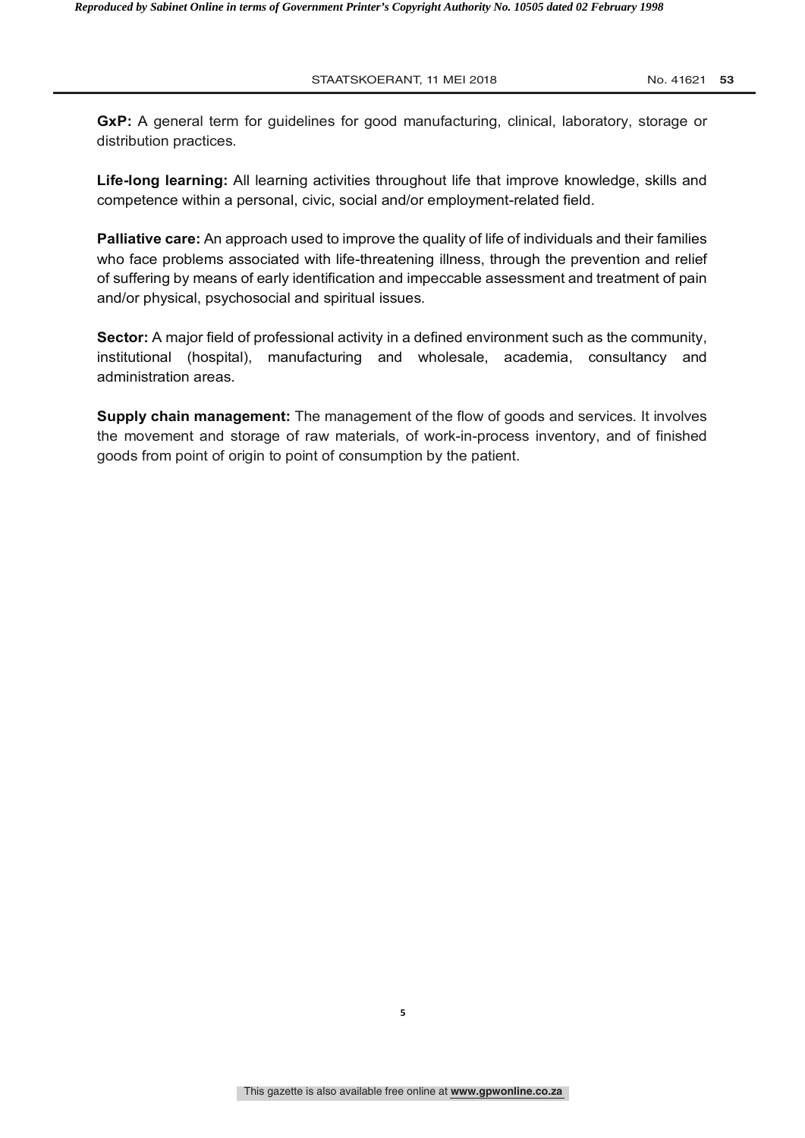**2018** STAATSKOERANT, 11 MEI 2018 **No. 41621 53** 

**GxP:** A general term for guidelines for good manufacturing, clinical, laboratory, storage or distribution practices.

**Life-long learning:** All learning activities throughout life that improve knowledge, skills and competence within a personal, civic, social and/or employment-related field.

**Palliative care:** An approach used to improve the quality of life of individuals and their families who face problems associated with life-threatening illness, through the prevention and relief of suffering by means of early identification and impeccable assessment and treatment of pain and/or physical, psychosocial and spiritual issues.

**Sector:** A major field of professional activity in a defined environment such as the community, institutional (hospital), manufacturing and wholesale, academia, consultancy and administration areas.

**Supply chain management:** The management of the flow of goods and services. It involves the movement and storage of raw materials, of work-in-process inventory, and of finished goods from point of origin to point of consumption by the patient.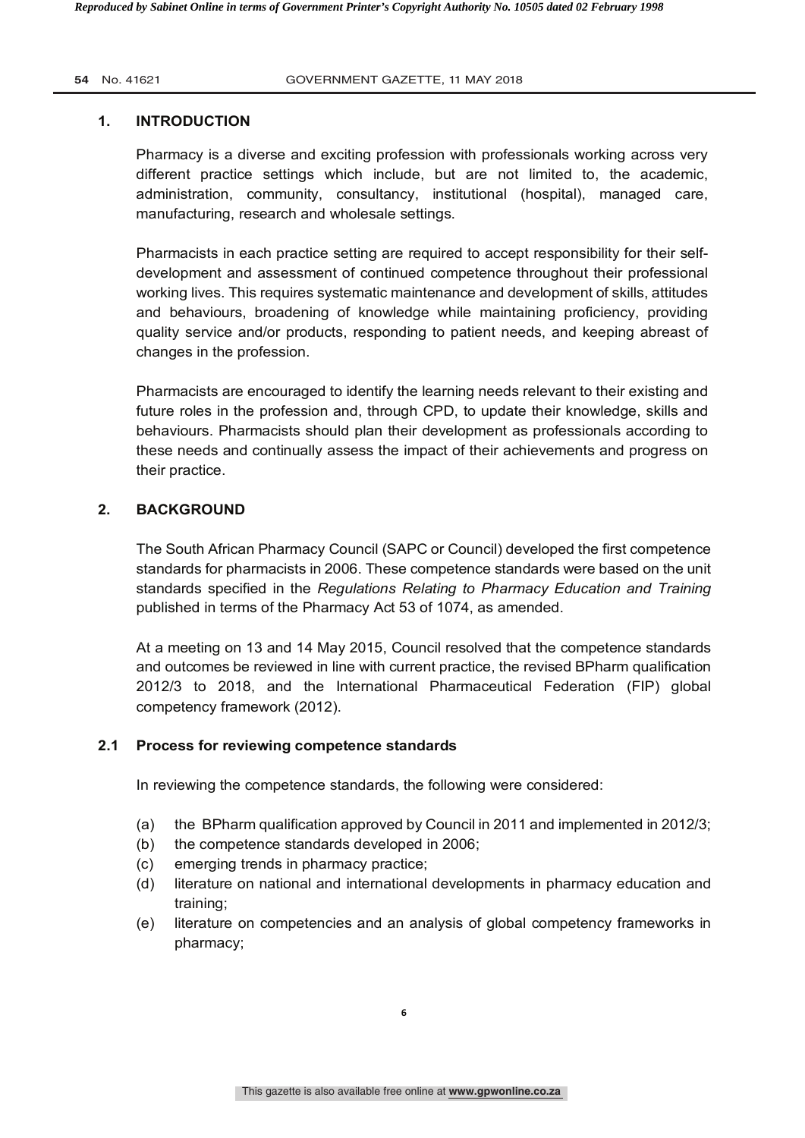# **1. INTRODUCTION**

Pharmacy is a diverse and exciting profession with professionals working across very different practice settings which include, but are not limited to, the academic, administration, community, consultancy, institutional (hospital), managed care, manufacturing, research and wholesale settings.

Pharmacists in each practice setting are required to accept responsibility for their selfdevelopment and assessment of continued competence throughout their professional working lives. This requires systematic maintenance and development of skills, attitudes and behaviours, broadening of knowledge while maintaining proficiency, providing quality service and/or products, responding to patient needs, and keeping abreast of changes in the profession.

Pharmacists are encouraged to identify the learning needs relevant to their existing and future roles in the profession and, through CPD, to update their knowledge, skills and behaviours. Pharmacists should plan their development as professionals according to these needs and continually assess the impact of their achievements and progress on their practice.

# **2. BACKGROUND**

The South African Pharmacy Council (SAPC or Council) developed the first competence standards for pharmacists in 2006. These competence standards were based on the unit standards specified in the *Regulations Relating to Pharmacy Education and Training* published in terms of the Pharmacy Act 53 of 1074, as amended.

At a meeting on 13 and 14 May 2015, Council resolved that the competence standards and outcomes be reviewed in line with current practice, the revised BPharm qualification 2012/3 to 2018, and the International Pharmaceutical Federation (FIP) global competency framework (2012).

# **2.1 Process for reviewing competence standards**

In reviewing the competence standards, the following were considered:

- (a) the BPharm qualification approved by Council in 2011 and implemented in 2012/3;
- (b) the competence standards developed in 2006;
- (c) emerging trends in pharmacy practice;
- (d) literature on national and international developments in pharmacy education and training;
- (e) literature on competencies and an analysis of global competency frameworks in pharmacy;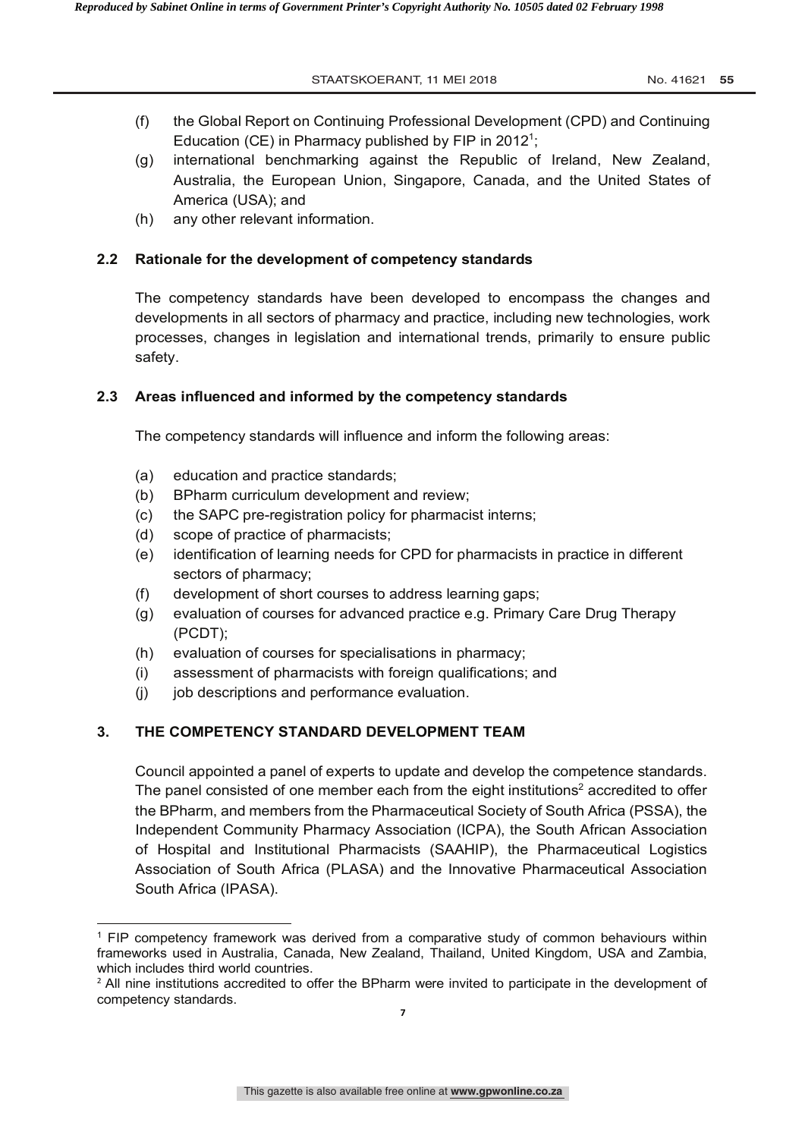**2018** STAATSKOERANT, 11 MEI 2018 **No. 41621 55** 

- (f) the Global Report on Continuing Professional Development (CPD) and Continuing Education (CE) in Pharmacy published by FIP in 2012<sup>1</sup>;
- (g) international benchmarking against the Republic of Ireland, New Zealand, Australia, the European Union, Singapore, Canada, and the United States of America (USA); and
- (h) any other relevant information.

# **2.2 Rationale for the development of competency standards**

The competency standards have been developed to encompass the changes and developments in all sectors of pharmacy and practice, including new technologies, work processes, changes in legislation and international trends, primarily to ensure public safety.

# **2.3 Areas influenced and informed by the competency standards**

The competency standards will influence and inform the following areas:

- (a) education and practice standards;
- (b) BPharm curriculum development and review;
- (c) the SAPC pre-registration policy for pharmacist interns;
- (d) scope of practice of pharmacists;

 $\overline{\phantom{a}}$ 

- (e) identification of learning needs for CPD for pharmacists in practice in different sectors of pharmacy;
- (f) development of short courses to address learning gaps;
- (g) evaluation of courses for advanced practice e.g. Primary Care Drug Therapy (PCDT);
- (h) evaluation of courses for specialisations in pharmacy;
- (i) assessment of pharmacists with foreign qualifications; and
- (i) job descriptions and performance evaluation.

# **3. THE COMPETENCY STANDARD DEVELOPMENT TEAM**

Council appointed a panel of experts to update and develop the competence standards. The panel consisted of one member each from the eight institutions<sup>2</sup> accredited to offer the BPharm, and members from the Pharmaceutical Society of South Africa (PSSA), the Independent Community Pharmacy Association (ICPA), the South African Association of Hospital and Institutional Pharmacists (SAAHIP), the Pharmaceutical Logistics Association of South Africa (PLASA) and the Innovative Pharmaceutical Association South Africa (IPASA).

<sup>1</sup> FIP competency framework was derived from a comparative study of common behaviours within frameworks used in Australia, Canada, New Zealand, Thailand, United Kingdom, USA and Zambia, which includes third world countries.

<sup>&</sup>lt;sup>2</sup> All nine institutions accredited to offer the BPharm were invited to participate in the development of competency standards.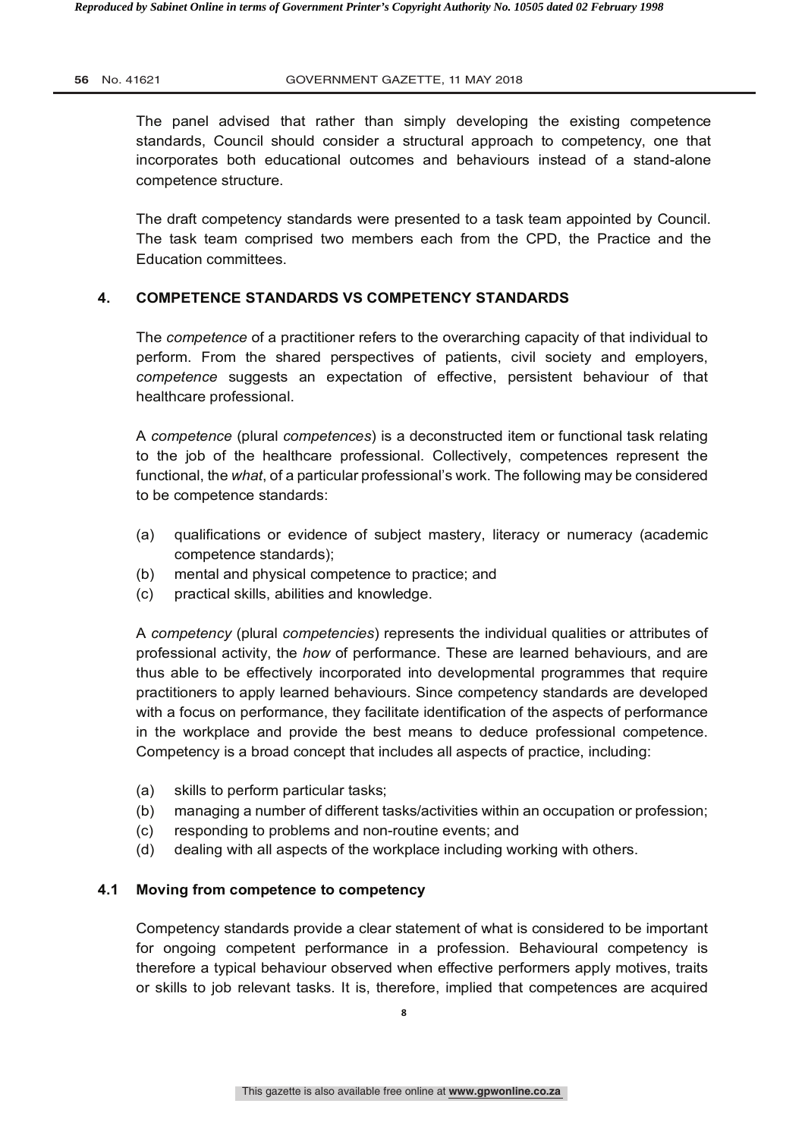The panel advised that rather than simply developing the existing competence standards, Council should consider a structural approach to competency, one that incorporates both educational outcomes and behaviours instead of a stand-alone competence structure.

The draft competency standards were presented to a task team appointed by Council. The task team comprised two members each from the CPD, the Practice and the Education committees.

# **4. COMPETENCE STANDARDS VS COMPETENCY STANDARDS**

The *competence* of a practitioner refers to the overarching capacity of that individual to perform. From the shared perspectives of patients, civil society and employers, *competence* suggests an expectation of effective, persistent behaviour of that healthcare professional.

A *competence* (plural *competences*) is a deconstructed item or functional task relating to the job of the healthcare professional. Collectively, competences represent the functional, the *what*, of a particular professional's work. The following may be considered to be competence standards:

- (a) qualifications or evidence of subject mastery, literacy or numeracy (academic competence standards);
- (b) mental and physical competence to practice; and
- (c) practical skills, abilities and knowledge.

A *competency* (plural *competencies*) represents the individual qualities or attributes of professional activity, the *how* of performance. These are learned behaviours, and are thus able to be effectively incorporated into developmental programmes that require practitioners to apply learned behaviours. Since competency standards are developed with a focus on performance, they facilitate identification of the aspects of performance in the workplace and provide the best means to deduce professional competence. Competency is a broad concept that includes all aspects of practice, including:

- (a) skills to perform particular tasks;
- (b) managing a number of different tasks/activities within an occupation or profession;
- (c) responding to problems and non-routine events; and
- (d) dealing with all aspects of the workplace including working with others.

#### **4.1 Moving from competence to competency**

Competency standards provide a clear statement of what is considered to be important for ongoing competent performance in a profession. Behavioural competency is therefore a typical behaviour observed when effective performers apply motives, traits or skills to job relevant tasks. It is, therefore, implied that competences are acquired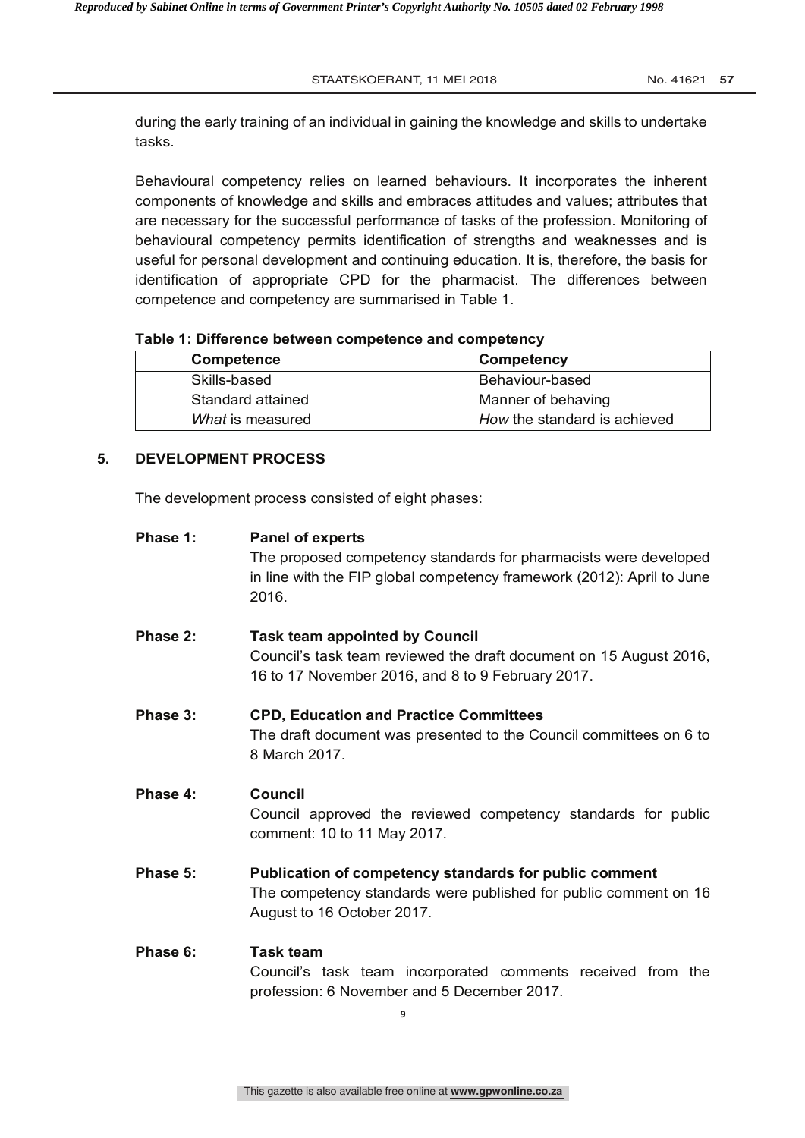during the early training of an individual in gaining the knowledge and skills to undertake tasks.

Behavioural competency relies on learned behaviours. It incorporates the inherent components of knowledge and skills and embraces attitudes and values; attributes that are necessary for the successful performance of tasks of the profession. Monitoring of behavioural competency permits identification of strengths and weaknesses and is useful for personal development and continuing education. It is, therefore, the basis for identification of appropriate CPD for the pharmacist. The differences between competence and competency are summarised in Table 1.

#### **Table 1: Difference between competence and competency**

| <b>Competence</b> | Competency                   |
|-------------------|------------------------------|
| Skills-based      | Behaviour-based              |
| Standard attained | Manner of behaving           |
| What is measured  | How the standard is achieved |

#### **5. DEVELOPMENT PROCESS**

The development process consisted of eight phases:

| Phase 1: | <b>Panel of experts</b><br>The proposed competency standards for pharmacists were developed<br>in line with the FIP global competency framework (2012): April to June<br>2016. |
|----------|--------------------------------------------------------------------------------------------------------------------------------------------------------------------------------|
| Phase 2: | <b>Task team appointed by Council</b><br>Council's task team reviewed the draft document on 15 August 2016,<br>16 to 17 November 2016, and 8 to 9 February 2017.               |
| Phase 3: | <b>CPD, Education and Practice Committees</b><br>The draft document was presented to the Council committees on 6 to<br>8 March 2017.                                           |
| Phase 4: | Council<br>Council approved the reviewed competency standards for public<br>comment: 10 to 11 May 2017.                                                                        |
| Phase 5: | Publication of competency standards for public comment<br>The competency standards were published for public comment on 16<br>August to 16 October 2017.                       |
| Phase 6: | Task team<br>Council's task team incorporated comments received from the<br>profession: 6 November and 5 December 2017.                                                        |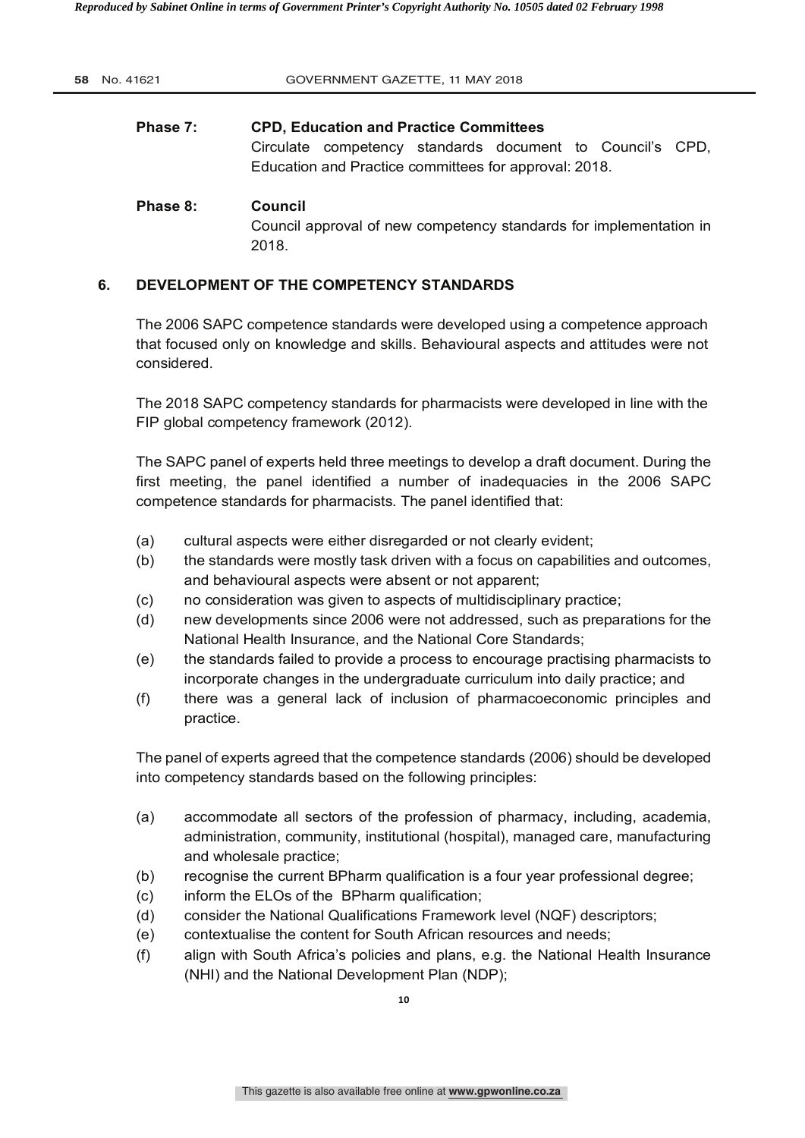| 58 No. 41621 | GOVERNMENT GAZETTE, 11 MAY 2018                                                                                                                                     |
|--------------|---------------------------------------------------------------------------------------------------------------------------------------------------------------------|
| Phase 7:     | <b>CPD, Education and Practice Committees</b><br>Circulate competency standards document to Council's CPD,<br>Education and Practice committees for approval: 2018. |
| Phase 8:     | Council<br>Council approval of new competency standards for implementation in<br>2018.                                                                              |

# **6. DEVELOPMENT OF THE COMPETENCY STANDARDS**

The 2006 SAPC competence standards were developed using a competence approach that focused only on knowledge and skills. Behavioural aspects and attitudes were not considered.

The 2018 SAPC competency standards for pharmacists were developed in line with the FIP global competency framework (2012).

The SAPC panel of experts held three meetings to develop a draft document. During the first meeting, the panel identified a number of inadequacies in the 2006 SAPC competence standards for pharmacists. The panel identified that:

- (a) cultural aspects were either disregarded or not clearly evident;
- (b) the standards were mostly task driven with a focus on capabilities and outcomes, and behavioural aspects were absent or not apparent;
- (c) no consideration was given to aspects of multidisciplinary practice;
- (d) new developments since 2006 were not addressed, such as preparations for the National Health Insurance, and the National Core Standards;
- (e) the standards failed to provide a process to encourage practising pharmacists to incorporate changes in the undergraduate curriculum into daily practice; and
- (f) there was a general lack of inclusion of pharmacoeconomic principles and practice.

The panel of experts agreed that the competence standards (2006) should be developed into competency standards based on the following principles:

- (a) accommodate all sectors of the profession of pharmacy, including, academia, administration, community, institutional (hospital), managed care, manufacturing and wholesale practice;
- (b) recognise the current BPharm qualification is a four year professional degree;
- (c) inform the ELOs of the BPharm qualification;
- (d) consider the National Qualifications Framework level (NQF) descriptors;
- (e) contextualise the content for South African resources and needs;
- (f) align with South Africa's policies and plans, e.g. the National Health Insurance (NHI) and the National Development Plan (NDP);

**10**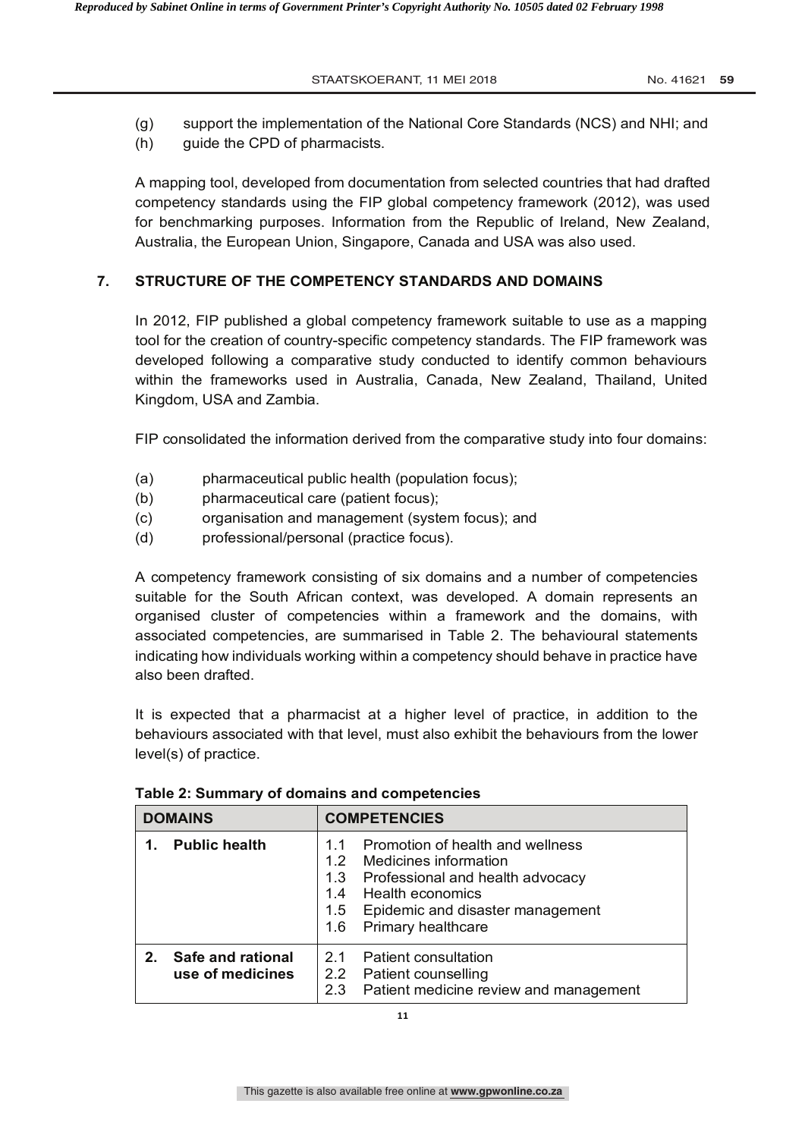STAATSKOERANT, 11 MEI 2018 **No. 41621 59** 

- (g) support the implementation of the National Core Standards (NCS) and NHI; and
- (h) guide the CPD of pharmacists.

A mapping tool, developed from documentation from selected countries that had drafted competency standards using the FIP global competency framework (2012), was used for benchmarking purposes. Information from the Republic of Ireland, New Zealand, Australia, the European Union, Singapore, Canada and USA was also used.

# **7. STRUCTURE OF THE COMPETENCY STANDARDS AND DOMAINS**

In 2012, FIP published a global competency framework suitable to use as a mapping tool for the creation of country-specific competency standards. The FIP framework was developed following a comparative study conducted to identify common behaviours within the frameworks used in Australia, Canada, New Zealand, Thailand, United Kingdom, USA and Zambia.

FIP consolidated the information derived from the comparative study into four domains:

- (a) pharmaceutical public health (population focus);
- (b) pharmaceutical care (patient focus);
- (c) organisation and management (system focus); and
- (d) professional/personal (practice focus).

A competency framework consisting of six domains and a number of competencies suitable for the South African context, was developed. A domain represents an organised cluster of competencies within a framework and the domains, with associated competencies, are summarised in Table 2. The behavioural statements indicating how individuals working within a competency should behave in practice have also been drafted.

It is expected that a pharmacist at a higher level of practice, in addition to the behaviours associated with that level, must also exhibit the behaviours from the lower level(s) of practice.

| <b>DOMAINS</b> |                                       | <b>COMPETENCIES</b>                                                                                                                                                                                                                 |  |  |
|----------------|---------------------------------------|-------------------------------------------------------------------------------------------------------------------------------------------------------------------------------------------------------------------------------------|--|--|
|                | <b>Public health</b>                  | Promotion of health and wellness<br>1.1<br>Medicines information<br>1.2<br>Professional and health advocacy<br>1.3<br><b>Health economics</b><br>1.4<br>Epidemic and disaster management<br>1.5<br><b>Primary healthcare</b><br>1.6 |  |  |
| $2_{-}$        | Safe and rational<br>use of medicines | <b>Patient consultation</b><br>2.1<br>Patient counselling<br>2.2<br>Patient medicine review and management<br>2.3                                                                                                                   |  |  |

**Table 2: Summary of domains and competencies**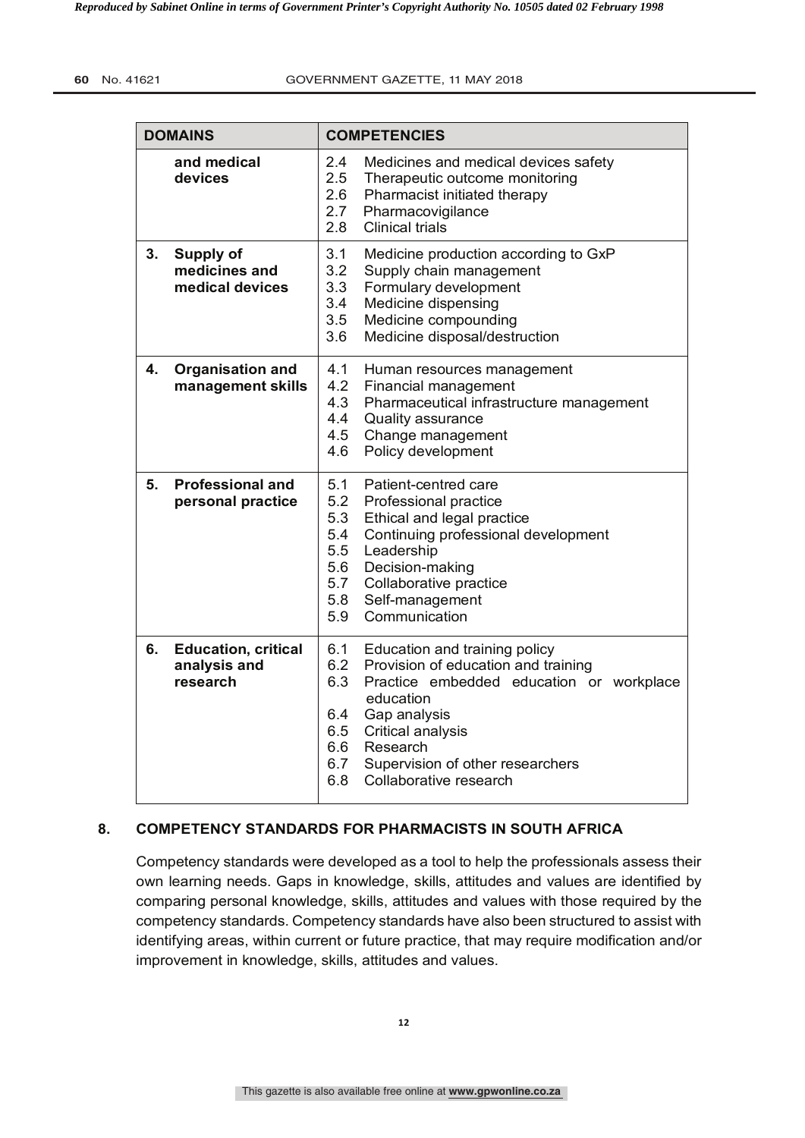|                                                           | <b>DOMAINS</b>                                         | <b>COMPETENCIES</b>                                                                                                                                                                                                                                                                                  |
|-----------------------------------------------------------|--------------------------------------------------------|------------------------------------------------------------------------------------------------------------------------------------------------------------------------------------------------------------------------------------------------------------------------------------------------------|
| 2.4<br>and medical<br>2.5<br>devices<br>2.6<br>2.7<br>2.8 |                                                        | Medicines and medical devices safety<br>Therapeutic outcome monitoring<br>Pharmacist initiated therapy<br>Pharmacovigilance<br><b>Clinical trials</b>                                                                                                                                                |
| 3.                                                        | <b>Supply of</b><br>medicines and<br>medical devices   | 3.1<br>Medicine production according to GxP<br>3.2<br>Supply chain management<br>3.3<br>Formulary development<br>3.4<br>Medicine dispensing<br>3.5<br>Medicine compounding<br>3.6<br>Medicine disposal/destruction                                                                                   |
| 4.                                                        | <b>Organisation and</b><br>management skills           | 4.1<br>Human resources management<br>4.2<br>Financial management<br>4.3<br>Pharmaceutical infrastructure management<br>4.4<br>Quality assurance<br>4.5<br>Change management<br>4.6<br>Policy development                                                                                             |
| 5.                                                        | <b>Professional and</b><br>personal practice           | 5.1<br>Patient-centred care<br>5.2<br>Professional practice<br>5.3<br>Ethical and legal practice<br>5.4<br>Continuing professional development<br>5.5<br>Leadership<br>5.6<br>Decision-making<br>5.7<br>Collaborative practice<br>5.8<br>Self-management<br>5.9<br>Communication                     |
| 6.                                                        | <b>Education, critical</b><br>analysis and<br>research | 6.1<br>Education and training policy<br>6.2<br>Provision of education and training<br>6.3<br>Practice embedded education or workplace<br>education<br>Gap analysis<br>6.4<br>6.5<br>Critical analysis<br>6.6<br>Research<br>6.7<br>Supervision of other researchers<br>6.8<br>Collaborative research |

# **8. COMPETENCY STANDARDS FOR PHARMACISTS IN SOUTH AFRICA**

Competency standards were developed as a tool to help the professionals assess their own learning needs. Gaps in knowledge, skills, attitudes and values are identified by comparing personal knowledge, skills, attitudes and values with those required by the competency standards. Competency standards have also been structured to assist with identifying areas, within current or future practice, that may require modification and/or improvement in knowledge, skills, attitudes and values.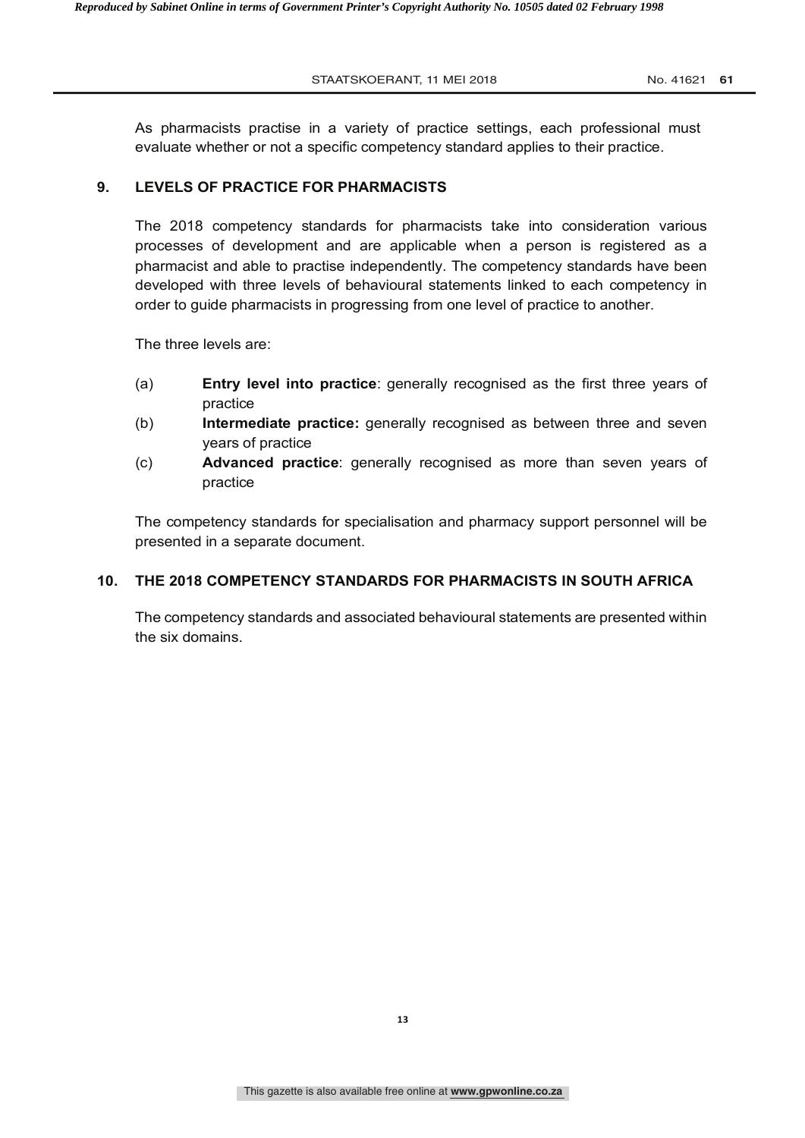As pharmacists practise in a variety of practice settings, each professional must evaluate whether or not a specific competency standard applies to their practice.

#### **9. LEVELS OF PRACTICE FOR PHARMACISTS**

The 2018 competency standards for pharmacists take into consideration various processes of development and are applicable when a person is registered as a pharmacist and able to practise independently. The competency standards have been developed with three levels of behavioural statements linked to each competency in order to guide pharmacists in progressing from one level of practice to another.

The three levels are:

- (a) **Entry level into practice**: generally recognised as the first three years of practice
- (b) **Intermediate practice:** generally recognised as between three and seven years of practice
- (c) **Advanced practice**: generally recognised as more than seven years of practice

The competency standards for specialisation and pharmacy support personnel will be presented in a separate document.

#### **10. THE 2018 COMPETENCY STANDARDS FOR PHARMACISTS IN SOUTH AFRICA**

The competency standards and associated behavioural statements are presented within the six domains.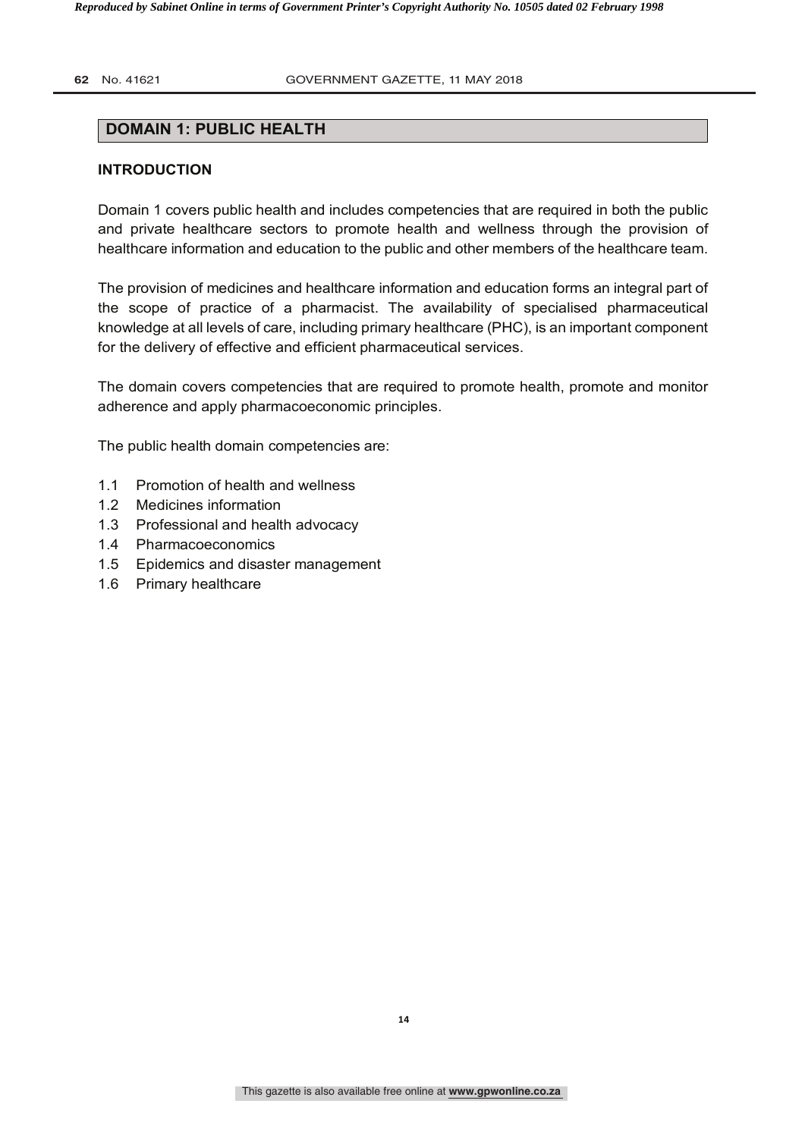#### **62** No. 41621 **GOVERNMENT GAZETTE, 11 MAY 2018**

# **DOMAIN 1: PUBLIC HEALTH**

#### **INTRODUCTION**

Domain 1 covers public health and includes competencies that are required in both the public and private healthcare sectors to promote health and wellness through the provision of healthcare information and education to the public and other members of the healthcare team.

The provision of medicines and healthcare information and education forms an integral part of the scope of practice of a pharmacist. The availability of specialised pharmaceutical knowledge at all levels of care, including primary healthcare (PHC), is an important component for the delivery of effective and efficient pharmaceutical services.

The domain covers competencies that are required to promote health, promote and monitor adherence and apply pharmacoeconomic principles.

The public health domain competencies are:

- 1.1 Promotion of health and wellness
- 1.2 Medicines information
- 1.3 Professional and health advocacy
- 1.4 Pharmacoeconomics
- 1.5 Epidemics and disaster management
- 1.6 Primary healthcare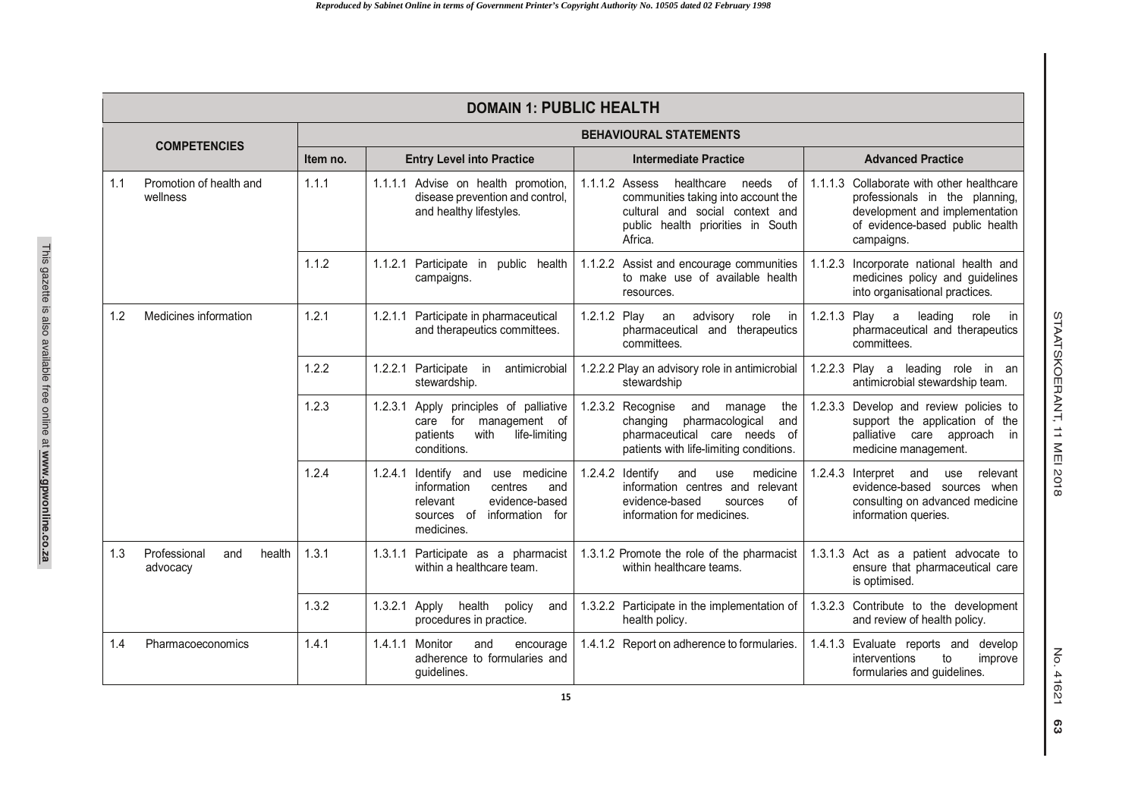|                     | <b>DOMAIN 1: PUBLIC HEALTH</b>            |                               |                                                                                                                                                    |                                                                                                                                                                       |                                                                                                                                                                |  |
|---------------------|-------------------------------------------|-------------------------------|----------------------------------------------------------------------------------------------------------------------------------------------------|-----------------------------------------------------------------------------------------------------------------------------------------------------------------------|----------------------------------------------------------------------------------------------------------------------------------------------------------------|--|
| <b>COMPETENCIES</b> |                                           | <b>BEHAVIOURAL STATEMENTS</b> |                                                                                                                                                    |                                                                                                                                                                       |                                                                                                                                                                |  |
|                     |                                           | Item no.                      | <b>Entry Level into Practice</b>                                                                                                                   | <b>Intermediate Practice</b>                                                                                                                                          | <b>Advanced Practice</b>                                                                                                                                       |  |
| 1.1                 | Promotion of health and<br>wellness       | 1.1.1                         | 1.1.1.1 Advise on health promotion,<br>disease prevention and control,<br>and healthy lifestyles.                                                  | 1.1.1.2 Assess<br>healthcare<br>needs<br>of<br>communities taking into account the<br>cultural and social context and<br>public health priorities in South<br>Africa. | 1.1.1.3 Collaborate with other healthcare<br>professionals in the planning,<br>development and implementation<br>of evidence-based public health<br>campaigns. |  |
|                     |                                           | 1.1.2                         | 1.1.2.1 Participate in public health<br>campaigns.                                                                                                 | 1.1.2.2 Assist and encourage communities<br>to make use of available health<br>resources.                                                                             | 1.1.2.3 Incorporate national health and<br>medicines policy and guidelines<br>into organisational practices.                                                   |  |
| 1.2                 | Medicines information                     | 1.2.1                         | 1.2.1.1 Participate in pharmaceutical<br>and therapeutics committees.                                                                              | 1.2.1.2 Play an<br>advisory<br>in<br>role<br>pharmaceutical<br>and therapeutics<br>committees.                                                                        | 1.2.1.3 Play a<br>leading<br>role<br>in<br>pharmaceutical and therapeutics<br>committees.                                                                      |  |
|                     |                                           | 1.2.2                         | 1.2.2.1 Participate in<br>antimicrobial<br>stewardship.                                                                                            | 1.2.2.2 Play an advisory role in antimicrobial<br>stewardship                                                                                                         | 1.2.2.3 Play a leading role in an<br>antimicrobial stewardship team.                                                                                           |  |
|                     |                                           | 1.2.3                         | 1.2.3.1 Apply principles of palliative<br>care for<br>management of<br>life-limiting<br>patients<br>with<br>conditions.                            | 1.2.3.2 Recognise<br>and manage<br>the<br>pharmacological<br>changing<br>and<br>pharmaceutical care needs of<br>patients with life-limiting conditions.               | 1.2.3.3 Develop and review policies to<br>support the application of the<br>palliative care approach<br>in<br>medicine management.                             |  |
|                     |                                           | 1.2.4                         | 1.2.4.1 Identify and<br>use medicine<br>centres<br>information<br>and<br>evidence-based<br>relevant<br>sources of<br>information for<br>medicines. | 1.2.4.2 Identify<br>and<br>medicine<br>use<br>information centres and relevant<br>evidence-based<br>sources<br>οf<br>information for medicines.                       | 1.2.4.3 Interpret<br>and<br>use<br>relevant<br>evidence-based sources when<br>consulting on advanced medicine<br>information queries.                          |  |
| 1.3                 | Professional<br>health<br>and<br>advocacy | 1.3.1                         | 1.3.1.1 Participate as a pharmacist<br>within a healthcare team.                                                                                   | 1.3.1.2 Promote the role of the pharmacist<br>within healthcare teams.                                                                                                | 1.3.1.3 Act as a patient advocate to<br>ensure that pharmaceutical care<br>is optimised.                                                                       |  |
|                     |                                           | 1.3.2                         | 1.3.2.1 Apply<br>health<br>policy<br>and<br>procedures in practice.                                                                                | 1.3.2.2 Participate in the implementation of<br>health policy.                                                                                                        | 1.3.2.3 Contribute to the development<br>and review of health policy.                                                                                          |  |
| 1.4                 | Pharmacoeconomics                         | 1.4.1                         | 1.4.1.1 Monitor<br>and<br>encourage<br>adherence to formularies and<br>quidelines.                                                                 | 1.4.1.2 Report on adherence to formularies.                                                                                                                           | 1.4.1.3 Evaluate reports and develop<br>interventions<br>to<br>improve<br>formularies and guidelines.                                                          |  |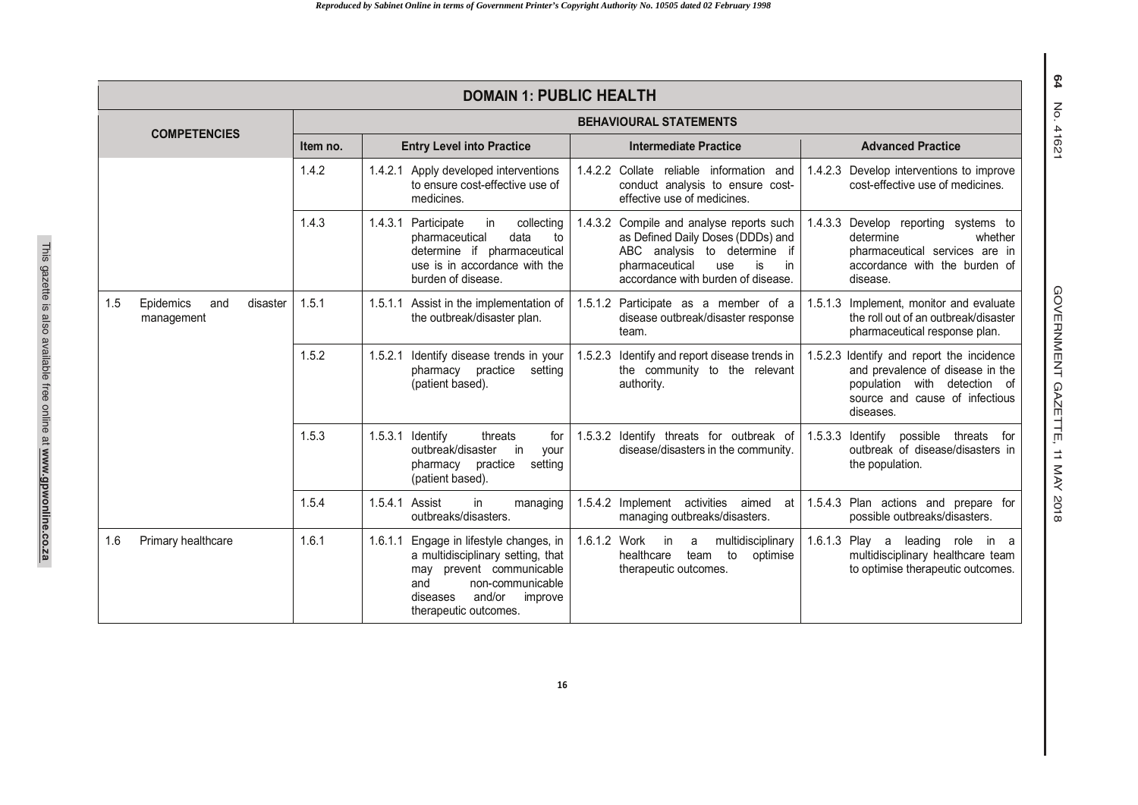| <b>DOMAIN 1: PUBLIC HEALTH</b> |                                            |                               |                                                                                                                                                                                                     |                                                                                                                                                                                           |                                                                                                                                                              |
|--------------------------------|--------------------------------------------|-------------------------------|-----------------------------------------------------------------------------------------------------------------------------------------------------------------------------------------------------|-------------------------------------------------------------------------------------------------------------------------------------------------------------------------------------------|--------------------------------------------------------------------------------------------------------------------------------------------------------------|
| <b>COMPETENCIES</b>            |                                            | <b>BEHAVIOURAL STATEMENTS</b> |                                                                                                                                                                                                     |                                                                                                                                                                                           |                                                                                                                                                              |
|                                |                                            | Item no.                      | <b>Entry Level into Practice</b>                                                                                                                                                                    | <b>Intermediate Practice</b>                                                                                                                                                              | <b>Advanced Practice</b>                                                                                                                                     |
|                                |                                            | 1.4.2                         | 1.4.2.1 Apply developed interventions<br>to ensure cost-effective use of<br>medicines.                                                                                                              | 1.4.2.2 Collate reliable information and<br>conduct analysis to ensure cost-<br>effective use of medicines.                                                                               | 1.4.2.3 Develop interventions to improve<br>cost-effective use of medicines.                                                                                 |
|                                |                                            | 1.4.3                         | 1.4.3.1 Participate<br>in<br>collecting<br>data<br>pharmaceutical<br>to<br>determine if pharmaceutical<br>use is in accordance with the<br>burden of disease.                                       | 1.4.3.2 Compile and analyse reports such<br>as Defined Daily Doses (DDDs) and<br>ABC analysis to determine if<br>pharmaceutical<br>use<br>is<br>in.<br>accordance with burden of disease. | 1.4.3.3 Develop reporting systems to<br>determine<br>whether<br>pharmaceutical services are in<br>accordance with the burden of<br>disease.                  |
| 1.5                            | Epidemics<br>disaster<br>and<br>management | 1.5.1                         | 1.5.1.1 Assist in the implementation of<br>the outbreak/disaster plan.                                                                                                                              | 1.5.1.2 Participate as a member of a<br>disease outbreak/disaster response<br>team.                                                                                                       | 1.5.1.3 Implement, monitor and evaluate<br>the roll out of an outbreak/disaster<br>pharmaceutical response plan.                                             |
|                                |                                            | 1.5.2                         | Identify disease trends in your<br>1.5.2.1<br>pharmacy practice<br>setting<br>(patient based).                                                                                                      | Identify and report disease trends in<br>1.5.2.3<br>the community to the relevant<br>authority.                                                                                           | 1.5.2.3 Identify and report the incidence<br>and prevalence of disease in the<br>population with detection of<br>source and cause of infectious<br>diseases. |
|                                |                                            | 1.5.3                         | 1.5.3.1<br>Identify<br>threats<br>for<br>outbreak/disaster<br>in<br>your<br>pharmacy practice<br>setting<br>(patient based).                                                                        | 1.5.3.2 Identify threats for outbreak of<br>disease/disasters in the community.                                                                                                           | 1.5.3.3<br>Identify possible<br>threats for<br>outbreak of disease/disasters in<br>the population.                                                           |
|                                |                                            | 1.5.4                         | 1.5.4.1<br>Assist<br>in.<br>managing<br>outbreaks/disasters.                                                                                                                                        | 1.5.4.2 Implement activities<br>aimed<br>at<br>managing outbreaks/disasters.                                                                                                              | Plan actions and prepare for<br>1.5.4.3<br>possible outbreaks/disasters.                                                                                     |
| 1.6                            | Primary healthcare                         | 1.6.1                         | Engage in lifestyle changes, in<br>1.6.1.1<br>a multidisciplinary setting, that<br>prevent communicable<br>may<br>non-communicable<br>and<br>and/or<br>improve<br>diseases<br>therapeutic outcomes. | 1.6.1.2 Work<br>multidisciplinary<br>in<br>a<br>healthcare<br>to<br>team<br>optimise<br>therapeutic outcomes.                                                                             | 1.6.1.3 Play a leading role<br>in a<br>multidisciplinary healthcare team<br>to optimise therapeutic outcomes.                                                |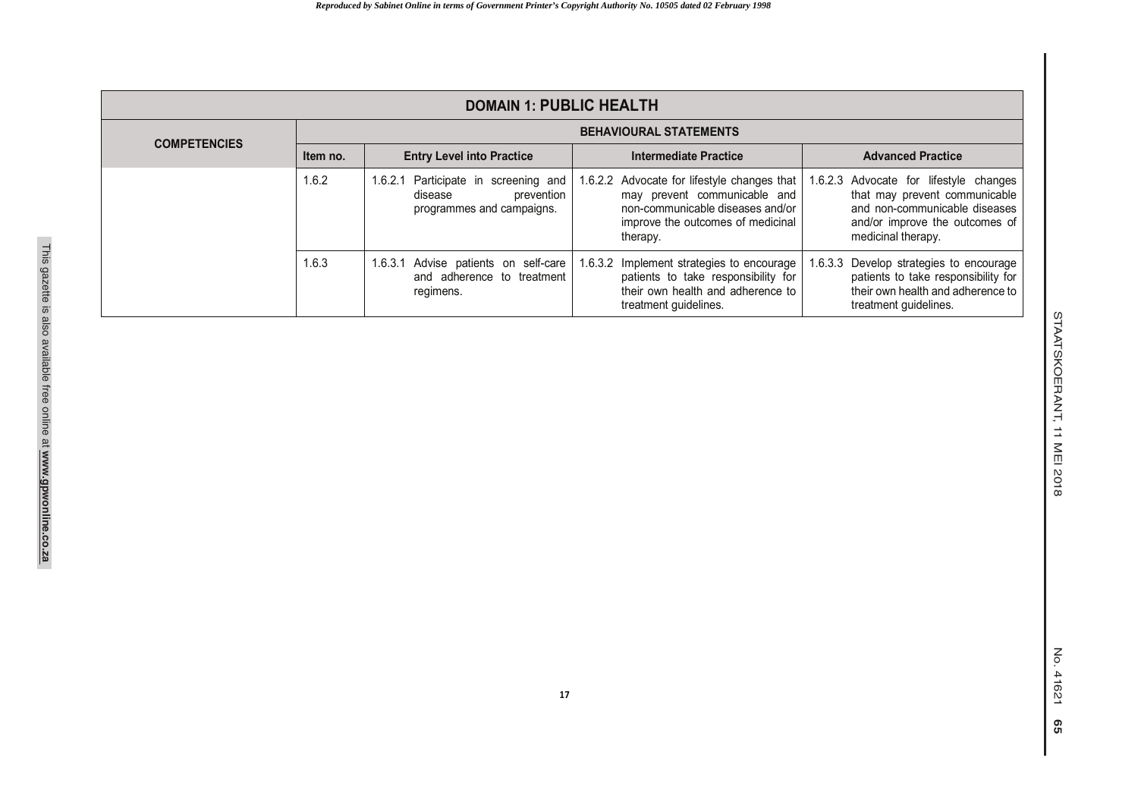| <b>DOMAIN 1: PUBLIC HEALTH</b> |                               |                                                                                            |                                                                                                                                                                  |                                                                                                                                                                  |
|--------------------------------|-------------------------------|--------------------------------------------------------------------------------------------|------------------------------------------------------------------------------------------------------------------------------------------------------------------|------------------------------------------------------------------------------------------------------------------------------------------------------------------|
| <b>COMPETENCIES</b>            | <b>BEHAVIOURAL STATEMENTS</b> |                                                                                            |                                                                                                                                                                  |                                                                                                                                                                  |
|                                | Item no.                      | <b>Entry Level into Practice</b>                                                           | Intermediate Practice                                                                                                                                            | <b>Advanced Practice</b>                                                                                                                                         |
|                                | 1.6.2                         | 1.6.2.1 Participate in screening and<br>prevention<br>disease<br>programmes and campaigns. | 1.6.2.2 Advocate for lifestyle changes that<br>may prevent communicable and<br>non-communicable diseases and/or<br>improve the outcomes of medicinal<br>therapy. | 1.6.2.3 Advocate for lifestyle changes<br>that may prevent communicable<br>and non-communicable diseases<br>and/or improve the outcomes of<br>medicinal therapy. |
|                                | 1.6.3                         | 1.6.3.1 Advise patients on self-care<br>and adherence to treatment<br>regimens.            | 1.6.3.2 Implement strategies to encourage<br>patients to take responsibility for<br>their own health and adherence to<br>treatment guidelines.                   | 1.6.3.3 Develop strategies to encourage<br>patients to take responsibility for<br>their own health and adherence to<br>treatment quidelines.                     |

STAATSKOERANT, 11 MEI 2018

STAATSKOERANT, 11 MEI 2018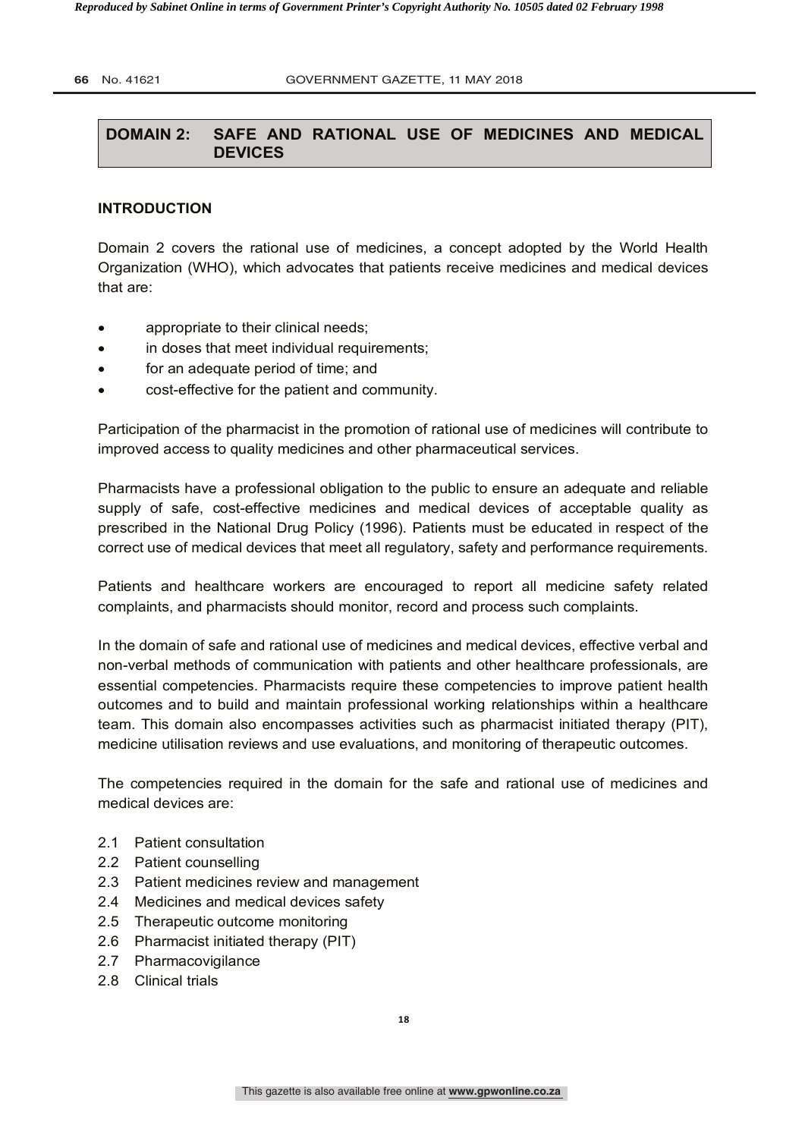# **DOMAIN 2: SAFE AND RATIONAL USE OF MEDICINES AND MEDICAL DEVICES**

#### **INTRODUCTION**

Domain 2 covers the rational use of medicines, a concept adopted by the World Health Organization (WHO), which advocates that patients receive medicines and medical devices that are:

- appropriate to their clinical needs;
- in doses that meet individual requirements;
- for an adequate period of time; and
- cost-effective for the patient and community.

Participation of the pharmacist in the promotion of rational use of medicines will contribute to improved access to quality medicines and other pharmaceutical services.

Pharmacists have a professional obligation to the public to ensure an adequate and reliable supply of safe, cost-effective medicines and medical devices of acceptable quality as prescribed in the National Drug Policy (1996). Patients must be educated in respect of the correct use of medical devices that meet all regulatory, safety and performance requirements.

Patients and healthcare workers are encouraged to report all medicine safety related complaints, and pharmacists should monitor, record and process such complaints.

In the domain of safe and rational use of medicines and medical devices, effective verbal and non-verbal methods of communication with patients and other healthcare professionals, are essential competencies. Pharmacists require these competencies to improve patient health outcomes and to build and maintain professional working relationships within a healthcare team. This domain also encompasses activities such as pharmacist initiated therapy (PIT), medicine utilisation reviews and use evaluations, and monitoring of therapeutic outcomes.

The competencies required in the domain for the safe and rational use of medicines and medical devices are:

- 2.1 Patient consultation
- 2.2 Patient counselling
- 2.3 Patient medicines review and management
- 2.4 Medicines and medical devices safety
- 2.5 Therapeutic outcome monitoring
- 2.6 Pharmacist initiated therapy (PIT)
- 2.7 Pharmacovigilance
- 2.8 Clinical trials

**18**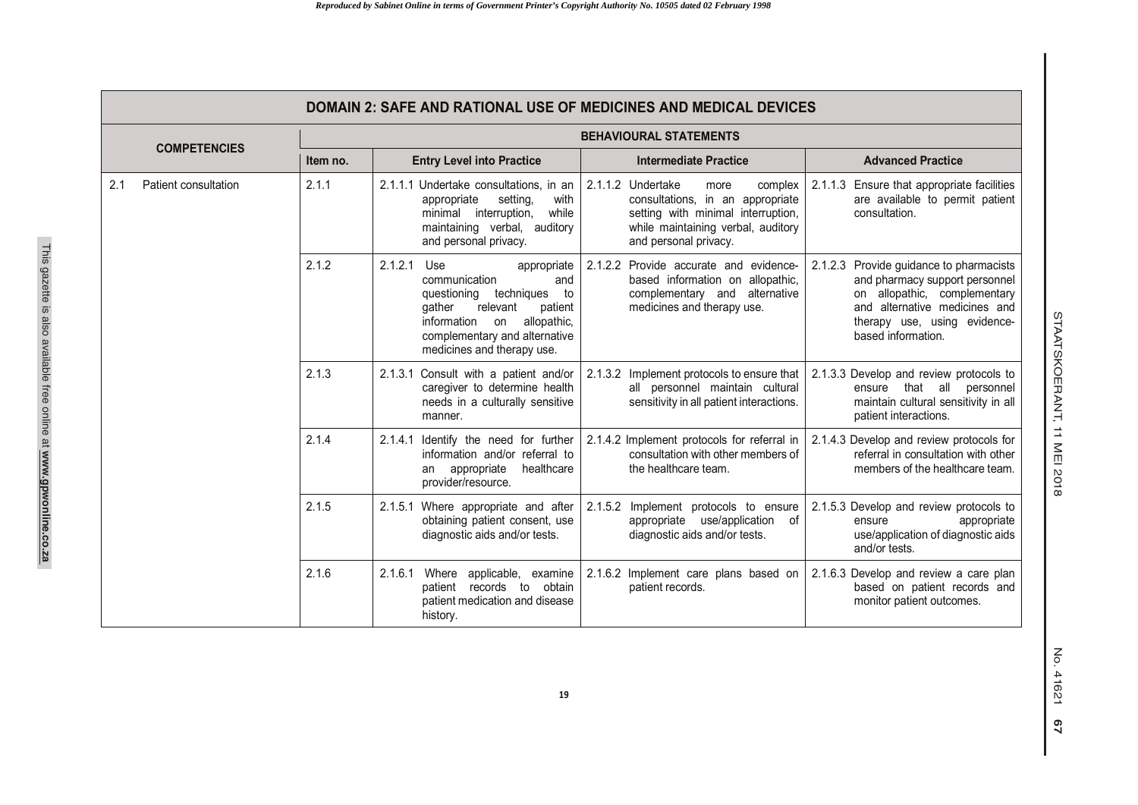|     | DOMAIN 2: SAFE AND RATIONAL USE OF MEDICINES AND MEDICAL DEVICES |                               |                                                                                                                                                                                                                              |                                                                                                                                                                               |                                                                                                                                                                                                     |
|-----|------------------------------------------------------------------|-------------------------------|------------------------------------------------------------------------------------------------------------------------------------------------------------------------------------------------------------------------------|-------------------------------------------------------------------------------------------------------------------------------------------------------------------------------|-----------------------------------------------------------------------------------------------------------------------------------------------------------------------------------------------------|
|     | <b>COMPETENCIES</b>                                              | <b>BEHAVIOURAL STATEMENTS</b> |                                                                                                                                                                                                                              |                                                                                                                                                                               |                                                                                                                                                                                                     |
|     |                                                                  | Item no.                      | <b>Entry Level into Practice</b>                                                                                                                                                                                             | <b>Intermediate Practice</b>                                                                                                                                                  | <b>Advanced Practice</b>                                                                                                                                                                            |
| 2.1 | Patient consultation                                             | 2.1.1                         | 2.1.1.1 Undertake consultations, in an<br>setting,<br>appropriate<br>with<br>while<br>minimal interruption,<br>maintaining verbal, auditory<br>and personal privacy.                                                         | 2.1.1.2 Undertake<br>more<br>complex<br>consultations, in an appropriate<br>setting with minimal interruption,<br>while maintaining verbal, auditory<br>and personal privacy. | 2.1.1.3 Ensure that appropriate facilities<br>are available to permit patient<br>consultation.                                                                                                      |
|     |                                                                  | 2.1.2                         | 2.1.2.1<br>Use<br>appropriate<br>communication<br>and<br>questioning<br>techniques<br>to<br>qather<br>relevant<br>patient<br>information<br>allopathic,<br>on<br>complementary and alternative<br>medicines and therapy use. | 2.1.2.2 Provide accurate and evidence-<br>based information on allopathic,<br>complementary and<br>alternative<br>medicines and therapy use.                                  | Provide guidance to pharmacists<br>2.1.2.3<br>and pharmacy support personnel<br>on allopathic, complementary<br>and alternative medicines and<br>therapy use, using evidence-<br>based information. |
|     |                                                                  | 2.1.3                         | 2.1.3.1 Consult with a patient and/or<br>caregiver to determine health<br>needs in a culturally sensitive<br>manner.                                                                                                         | 2.1.3.2 Implement protocols to ensure that   2.1.3.3 Develop and review protocols to<br>all personnel maintain cultural<br>sensitivity in all patient interactions.           | ensure that all personnel<br>maintain cultural sensitivity in all<br>patient interactions.                                                                                                          |
|     |                                                                  | 2.1.4                         | 2.1.4.1 Identify the need for further<br>information and/or referral to<br>an appropriate<br>healthcare<br>provider/resource.                                                                                                | 2.1.4.2 Implement protocols for referral in<br>consultation with other members of<br>the healthcare team.                                                                     | 2.1.4.3 Develop and review protocols for<br>referral in consultation with other<br>members of the healthcare team.                                                                                  |
|     |                                                                  | 2.1.5                         | 2.1.5.1 Where appropriate and after<br>obtaining patient consent, use<br>diagnostic aids and/or tests.                                                                                                                       | 2.1.5.2<br>Implement protocols to ensure<br>appropriate use/application of<br>diagnostic aids and/or tests.                                                                   | 2.1.5.3 Develop and review protocols to<br>appropriate<br>ensure<br>use/application of diagnostic aids<br>and/or tests.                                                                             |
|     |                                                                  | 2.1.6                         | 2.1.6.1<br>Where applicable, examine<br>patient<br>records to<br>obtain<br>patient medication and disease<br>history.                                                                                                        | 2.1.6.2 Implement care plans based on<br>patient records.                                                                                                                     | 2.1.6.3 Develop and review a care plan<br>based on patient records and<br>monitor patient outcomes.                                                                                                 |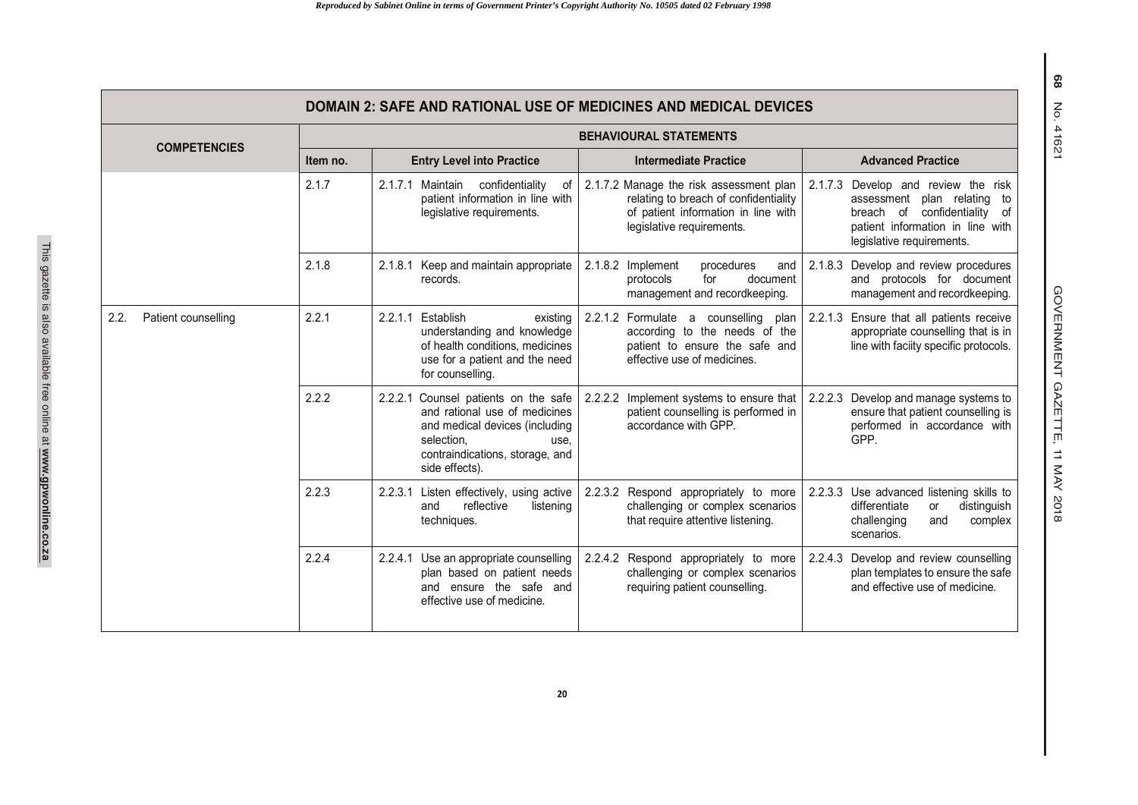| <b>DOMAIN 2: SAFE AND RATIONAL USE OF MEDICINES AND MEDICAL DEVICES</b> |                               |                                                                                                                                                                                       |                                                                                                                                                      |                                                                                                                                                                              |  |  |  |  |  |  |
|-------------------------------------------------------------------------|-------------------------------|---------------------------------------------------------------------------------------------------------------------------------------------------------------------------------------|------------------------------------------------------------------------------------------------------------------------------------------------------|------------------------------------------------------------------------------------------------------------------------------------------------------------------------------|--|--|--|--|--|--|
| <b>COMPETENCIES</b>                                                     | <b>BEHAVIOURAL STATEMENTS</b> |                                                                                                                                                                                       |                                                                                                                                                      |                                                                                                                                                                              |  |  |  |  |  |  |
|                                                                         | Item no.                      | <b>Entry Level into Practice</b>                                                                                                                                                      | <b>Intermediate Practice</b>                                                                                                                         | <b>Advanced Practice</b>                                                                                                                                                     |  |  |  |  |  |  |
|                                                                         | 2.1.7                         | 2.1.7.1<br>Maintain<br>confidentiality<br>оf<br>patient information in line with<br>legislative requirements.                                                                         | 2.1.7.2 Manage the risk assessment plan<br>relating to breach of confidentiality<br>of patient information in line with<br>legislative requirements. | 2.1.7.3<br>Develop and review the risk<br>assessment plan relating to<br>confidentiality<br>breach of<br>of<br>patient information in line with<br>legislative requirements. |  |  |  |  |  |  |
|                                                                         | 2.1.8                         | Keep and maintain appropriate<br>2.1.8.1<br>records.                                                                                                                                  | 2.1.8.2<br>Implement<br>procedures<br>and<br>protocols<br>for<br>document<br>management and recordkeeping.                                           | 2.1.8.3 Develop and review procedures<br>and protocols for document<br>management and recordkeeping.                                                                         |  |  |  |  |  |  |
| 2.2.<br>Patient counselling                                             | 2.2.1                         | 2.2.1.1<br>Establish<br>existing<br>understanding and knowledge<br>of health conditions, medicines<br>use for a patient and the need<br>for counselling.                              | 2.2.1.2 Formulate a counselling<br>plan<br>according to the needs of the<br>patient to ensure the safe and<br>effective use of medicines.            | 2.2.1.3 Ensure that all patients receive<br>appropriate counselling that is in<br>line with faciity specific protocols.                                                      |  |  |  |  |  |  |
|                                                                         | 2.2.2                         | Counsel patients on the safe<br>2.2.2.1<br>and rational use of medicines<br>and medical devices (including<br>selection.<br>use.<br>contraindications, storage, and<br>side effects). | 2.2.2.2 Implement systems to ensure that<br>patient counselling is performed in<br>accordance with GPP.                                              | 2.2.2.3 Develop and manage systems to<br>ensure that patient counselling is<br>performed in accordance with<br>GPP.                                                          |  |  |  |  |  |  |
|                                                                         | 2.2.3                         | 2.2.3.1<br>Listen effectively, using active<br>reflective<br>and<br>listening<br>techniques.                                                                                          | 2.2.3.2 Respond appropriately to more<br>challenging or complex scenarios<br>that require attentive listening.                                       | 2.2.3.3 Use advanced listening skills to<br>differentiate<br>distinguish<br>or<br>challenging<br>and<br>complex<br>scenarios.                                                |  |  |  |  |  |  |
|                                                                         | 2.2.4                         | 2.2.4.1 Use an appropriate counselling<br>plan based on patient needs<br>and ensure the safe and<br>effective use of medicine.                                                        | 2.2.4.2 Respond appropriately to more<br>challenging or complex scenarios<br>requiring patient counselling.                                          | 2.2.4.3 Develop and review counselling<br>plan templates to ensure the safe<br>and effective use of medicine.                                                                |  |  |  |  |  |  |

GOVERNMENT GAZETTE, 11 MAY 201 GOVERNMENT GAZETTE, 11 MAY 2018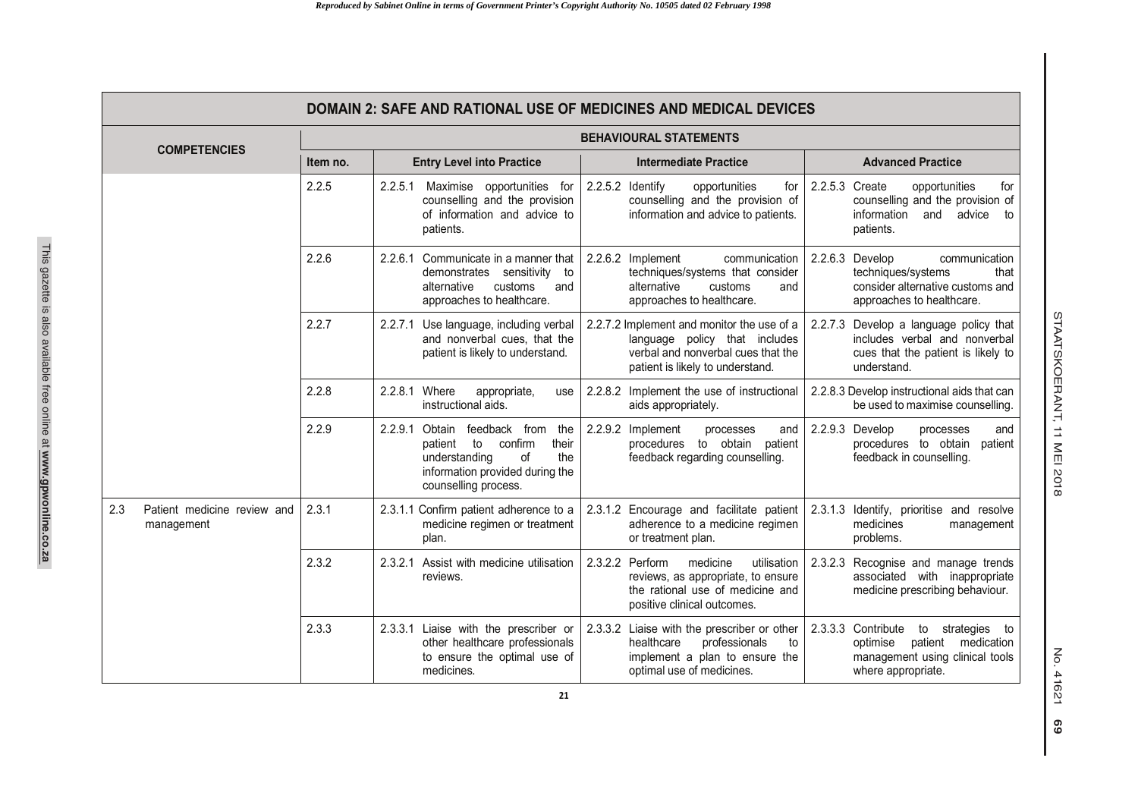|                                                  | <b>DOMAIN 2: SAFE AND RATIONAL USE OF MEDICINES AND MEDICAL DEVICES</b> |                                                                                                                                                                         |                                                                                                                                                       |                                                                                                                                         |  |  |  |  |  |
|--------------------------------------------------|-------------------------------------------------------------------------|-------------------------------------------------------------------------------------------------------------------------------------------------------------------------|-------------------------------------------------------------------------------------------------------------------------------------------------------|-----------------------------------------------------------------------------------------------------------------------------------------|--|--|--|--|--|
|                                                  | <b>BEHAVIOURAL STATEMENTS</b>                                           |                                                                                                                                                                         |                                                                                                                                                       |                                                                                                                                         |  |  |  |  |  |
| <b>COMPETENCIES</b>                              | Item no.                                                                | <b>Entry Level into Practice</b>                                                                                                                                        | <b>Intermediate Practice</b>                                                                                                                          | <b>Advanced Practice</b>                                                                                                                |  |  |  |  |  |
|                                                  | 2.2.5                                                                   | 2.2.5.1<br>Maximise opportunities for<br>counselling and the provision<br>of information and advice to<br>patients.                                                     | 2.2.5.2 Identify<br>opportunities<br>for<br>counselling and the provision of<br>information and advice to patients.                                   | 2.2.5.3 Create<br>opportunities<br>for<br>counselling and the provision of<br>information<br>and advice<br>to<br>patients.              |  |  |  |  |  |
|                                                  | 2.2.6                                                                   | 2.2.6.1 Communicate in a manner that<br>demonstrates sensitivity to<br>alternative<br>customs<br>and<br>approaches to healthcare.                                       | 2.2.6.2 Implement<br>communication<br>techniques/systems that consider<br>alternative<br>customs<br>and<br>approaches to healthcare.                  | 2.2.6.3 Develop<br>communication<br>techniques/systems<br>that<br>consider alternative customs and<br>approaches to healthcare.         |  |  |  |  |  |
|                                                  | 2.2.7                                                                   | Use language, including verbal<br>2.2.7.1<br>and nonverbal cues, that the<br>patient is likely to understand.                                                           | 2.2.7.2 Implement and monitor the use of a<br>language policy that includes<br>verbal and nonverbal cues that the<br>patient is likely to understand. | Develop a language policy that<br>2.2.7.3<br>includes verbal and nonverbal<br>cues that the patient is likely to<br>understand.         |  |  |  |  |  |
|                                                  | 2.2.8                                                                   | 2.2.8.1 Where<br>appropriate,<br>use<br>instructional aids.                                                                                                             | 2.2.8.2 Implement the use of instructional<br>aids appropriately.                                                                                     | 2.2.8.3 Develop instructional aids that can<br>be used to maximise counselling.                                                         |  |  |  |  |  |
|                                                  | 2.2.9                                                                   | 2.2.9.1<br>Obtain<br>feedback from<br>the<br>confirm<br>their<br>patient<br>to<br>the<br>understanding<br>οf<br>information provided during the<br>counselling process. | 2.2.9.2 Implement<br>processes<br>and<br>procedures to obtain<br>patient<br>feedback regarding counselling.                                           | 2.2.9.3 Develop<br>processes<br>and<br>procedures to obtain<br>patient<br>feedback in counselling.                                      |  |  |  |  |  |
| 2.3<br>Patient medicine review and<br>management | 2.3.1                                                                   | 2.3.1.1 Confirm patient adherence to a<br>medicine regimen or treatment<br>plan.                                                                                        | 2.3.1.2 Encourage and facilitate patient<br>adherence to a medicine regimen<br>or treatment plan.                                                     | 2.3.1.3 Identify, prioritise and resolve<br>medicines<br>management<br>problems.                                                        |  |  |  |  |  |
|                                                  | 2.3.2                                                                   | Assist with medicine utilisation<br>2.3.2.1<br>reviews.                                                                                                                 | 2.3.2.2 Perform<br>medicine<br>utilisation<br>reviews, as appropriate, to ensure<br>the rational use of medicine and<br>positive clinical outcomes.   | 2.3.2.3 Recognise and manage trends<br>associated with inappropriate<br>medicine prescribing behaviour.                                 |  |  |  |  |  |
|                                                  | 2.3.3                                                                   | 2.3.3.1 Liaise with the prescriber or<br>other healthcare professionals<br>to ensure the optimal use of<br>medicines.                                                   | 2.3.3.2 Liaise with the prescriber or other<br>healthcare<br>professionals<br>to<br>implement a plan to ensure the<br>optimal use of medicines.       | 2.3.3.3 Contribute<br>to<br>strategies to<br>patient<br>medication<br>optimise<br>management using clinical tools<br>where appropriate. |  |  |  |  |  |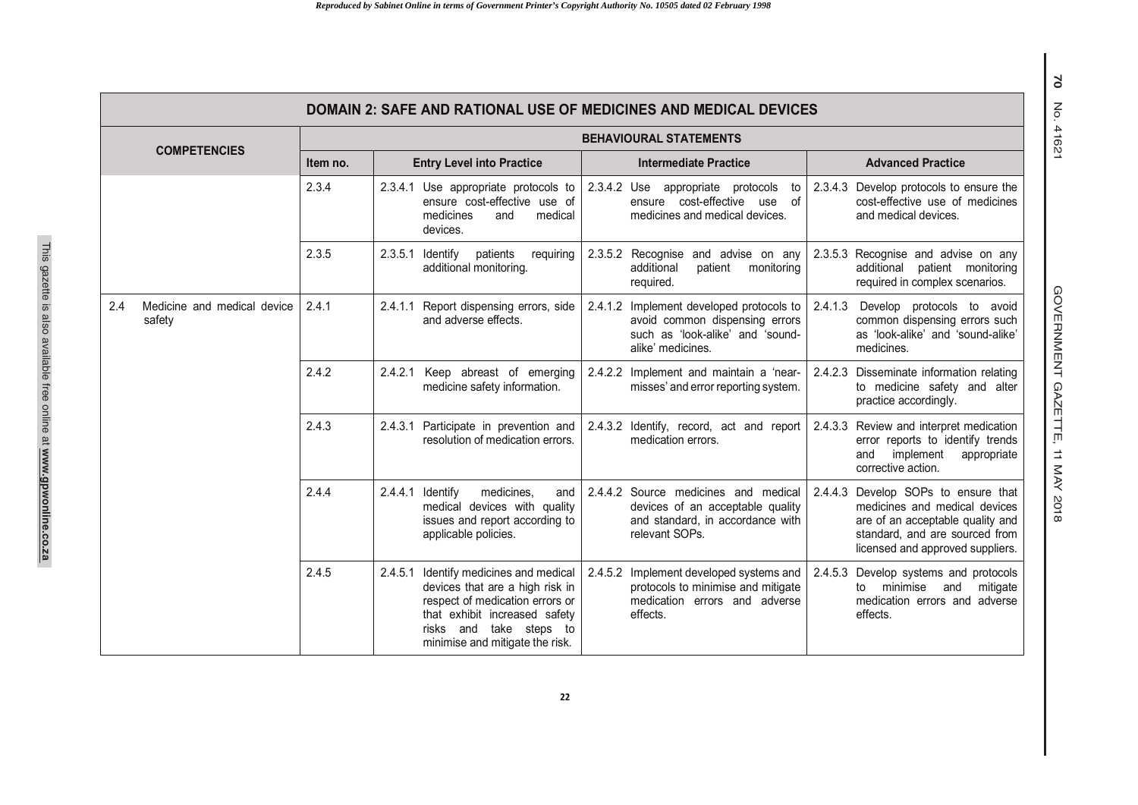|                     |                                       | <b>DOMAIN 2: SAFE AND RATIONAL USE OF MEDICINES AND MEDICAL DEVICES</b> |                                                                                                                                                                                                             |                                                                                                                                        |                                                                                                                                                                                |  |  |  |  |  |  |
|---------------------|---------------------------------------|-------------------------------------------------------------------------|-------------------------------------------------------------------------------------------------------------------------------------------------------------------------------------------------------------|----------------------------------------------------------------------------------------------------------------------------------------|--------------------------------------------------------------------------------------------------------------------------------------------------------------------------------|--|--|--|--|--|--|
| <b>COMPETENCIES</b> |                                       | <b>BEHAVIOURAL STATEMENTS</b>                                           |                                                                                                                                                                                                             |                                                                                                                                        |                                                                                                                                                                                |  |  |  |  |  |  |
|                     |                                       | Item no.                                                                | <b>Entry Level into Practice</b>                                                                                                                                                                            | <b>Intermediate Practice</b>                                                                                                           | <b>Advanced Practice</b>                                                                                                                                                       |  |  |  |  |  |  |
|                     |                                       | 2.3.4                                                                   | 2.3.4.1<br>Use appropriate protocols to<br>ensure cost-effective use of<br>medicines<br>medical<br>and<br>devices.                                                                                          | 2.3.4.2 Use appropriate protocols<br>to<br>ensure cost-effective use of<br>medicines and medical devices.                              | 2.3.4.3 Develop protocols to ensure the<br>cost-effective use of medicines<br>and medical devices.                                                                             |  |  |  |  |  |  |
|                     |                                       | 2.3.5                                                                   | $2.3.5.1$ Identify<br>patients<br>requiring<br>additional monitoring.                                                                                                                                       | 2.3.5.2 Recognise and advise on any<br>patient<br>additional<br>monitoring<br>required.                                                | 2.3.5.3 Recognise and advise on any<br>additional patient monitoring<br>required in complex scenarios.                                                                         |  |  |  |  |  |  |
| 2.4                 | Medicine and medical device<br>safety | 2.4.1                                                                   | 2.4.1.1 Report dispensing errors, side<br>and adverse effects.                                                                                                                                              | 2.4.1.2<br>Implement developed protocols to<br>avoid common dispensing errors<br>such as 'look-alike' and 'sound-<br>alike' medicines. | 2.4.1.3<br>Develop protocols to avoid<br>common dispensing errors such<br>as 'look-alike' and 'sound-alike'<br>medicines.                                                      |  |  |  |  |  |  |
|                     |                                       | 2.4.2                                                                   | 2.4.2.1 Keep abreast of emerging<br>medicine safety information.                                                                                                                                            | 2.4.2.2 Implement and maintain a 'near-<br>misses' and error reporting system.                                                         | 2.4.2.3 Disseminate information relating<br>to medicine safety and alter<br>practice accordingly.                                                                              |  |  |  |  |  |  |
|                     |                                       | 2.4.3                                                                   | 2.4.3.1 Participate in prevention and<br>resolution of medication errors.                                                                                                                                   | 2.4.3.2 Identify, record, act and report<br>medication errors.                                                                         | 2.4.3.3 Review and interpret medication<br>error reports to identify trends<br>implement<br>and<br>appropriate<br>corrective action.                                           |  |  |  |  |  |  |
|                     |                                       | 2.4.4                                                                   | 2.4.4.1 Identify<br>medicines.<br>and<br>medical devices with quality<br>issues and report according to<br>applicable policies.                                                                             | 2.4.4.2 Source medicines and medical<br>devices of an acceptable quality<br>and standard, in accordance with<br>relevant SOPs.         | 2.4.4.3 Develop SOPs to ensure that<br>medicines and medical devices<br>are of an acceptable quality and<br>standard, and are sourced from<br>licensed and approved suppliers. |  |  |  |  |  |  |
|                     |                                       | 2.4.5                                                                   | 2.4.5.1 Identify medicines and medical<br>devices that are a high risk in<br>respect of medication errors or<br>that exhibit increased safety<br>risks and take steps to<br>minimise and mitigate the risk. | 2.4.5.2<br>Implement developed systems and<br>protocols to minimise and mitigate<br>medication errors and adverse<br>effects.          | 2.4.5.3 Develop systems and protocols<br>to minimise and<br>mitigate<br>medication errors and adverse<br>effects.                                                              |  |  |  |  |  |  |

GOVERNMENT GAZETTE, 11 MAY 201 GOVERNMENT GAZETTE, 11 MAY 2018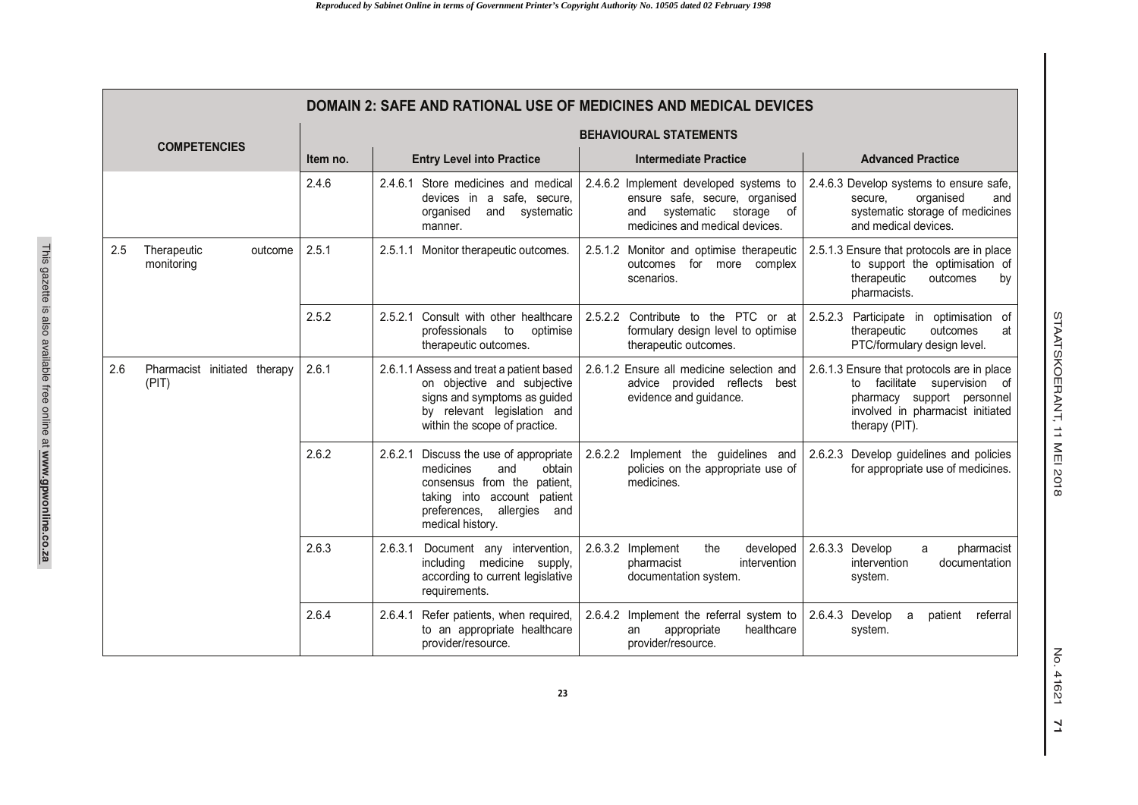|                     | DOMAIN 2: SAFE AND RATIONAL USE OF MEDICINES AND MEDICAL DEVICES |                               |                                                                                                                                                                                                                                                                                    |                                                                                                                                         |                                                                                                                                                                |  |  |  |  |  |
|---------------------|------------------------------------------------------------------|-------------------------------|------------------------------------------------------------------------------------------------------------------------------------------------------------------------------------------------------------------------------------------------------------------------------------|-----------------------------------------------------------------------------------------------------------------------------------------|----------------------------------------------------------------------------------------------------------------------------------------------------------------|--|--|--|--|--|
| <b>COMPETENCIES</b> |                                                                  | <b>BEHAVIOURAL STATEMENTS</b> |                                                                                                                                                                                                                                                                                    |                                                                                                                                         |                                                                                                                                                                |  |  |  |  |  |
|                     |                                                                  | Item no.                      | <b>Entry Level into Practice</b>                                                                                                                                                                                                                                                   | <b>Intermediate Practice</b>                                                                                                            | <b>Advanced Practice</b>                                                                                                                                       |  |  |  |  |  |
|                     |                                                                  | 2.4.6                         | 2.4.6.1 Store medicines and medical<br>devices in a safe, secure,<br>organised<br>and systematic<br>manner.                                                                                                                                                                        | 2.4.6.2 Implement developed systems to<br>ensure safe, secure, organised<br>and systematic storage of<br>medicines and medical devices. | 2.4.6.3 Develop systems to ensure safe,<br>organised<br>secure.<br>and<br>systematic storage of medicines<br>and medical devices.                              |  |  |  |  |  |
| 2.5                 | Therapeutic<br>outcome<br>monitoring                             | 2.5.1                         | 2.5.1.1 Monitor therapeutic outcomes.                                                                                                                                                                                                                                              | 2.5.1.2 Monitor and optimise therapeutic<br>outcomes for more complex<br>scenarios.                                                     | 2.5.1.3 Ensure that protocols are in place<br>to support the optimisation of<br>therapeutic<br>outcomes<br>by<br>pharmacists.                                  |  |  |  |  |  |
|                     |                                                                  | 2.5.2                         | 2.5.2.1 Consult with other healthcare<br>professionals<br>to<br>optimise<br>therapeutic outcomes.                                                                                                                                                                                  | 2.5.2.2 Contribute to the PTC or at<br>formulary design level to optimise<br>therapeutic outcomes.                                      | 2.5.2.3 Participate in optimisation of<br>therapeutic<br>outcomes<br>at<br>PTC/formulary design level.                                                         |  |  |  |  |  |
| 2.6                 | Pharmacist initiated therapy<br>(PIT)                            | 2.6.1                         | 2.6.1.2 Ensure all medicine selection and<br>2.6.1.1 Assess and treat a patient based<br>on objective and subjective<br>advice provided reflects<br>best<br>signs and symptoms as guided<br>evidence and guidance.<br>by relevant legislation and<br>within the scope of practice. |                                                                                                                                         | 2.6.1.3 Ensure that protocols are in place<br>to facilitate supervision of<br>pharmacy support personnel<br>involved in pharmacist initiated<br>therapy (PIT). |  |  |  |  |  |
|                     | 2.6.2<br>medicines<br>preferences,                               |                               | 2.6.2.1 Discuss the use of appropriate<br>obtain<br>and<br>consensus from the patient,<br>taking into account patient<br>allergies and<br>medical history.                                                                                                                         | 2.6.2.2<br>Implement the guidelines and<br>policies on the appropriate use of<br>medicines.                                             | Develop guidelines and policies<br>2.6.2.3<br>for appropriate use of medicines.                                                                                |  |  |  |  |  |
|                     |                                                                  | 2.6.3                         | 2.6.3.1<br>Document any intervention,<br>including medicine supply,<br>according to current legislative<br>requirements.                                                                                                                                                           | 2.6.3.2 Implement<br>the<br>developed<br>intervention<br>pharmacist<br>documentation system.                                            | 2.6.3.3 Develop<br>pharmacist<br>a<br>documentation<br>intervention<br>system.                                                                                 |  |  |  |  |  |
|                     |                                                                  | 2.6.4                         | 2.6.4.1 Refer patients, when required,<br>to an appropriate healthcare<br>provider/resource.                                                                                                                                                                                       | 2.6.4.2 Implement the referral system to<br>appropriate<br>healthcare<br>an<br>provider/resource.                                       | 2.6.4.3 Develop<br>referral<br>patient<br>a<br>system.                                                                                                         |  |  |  |  |  |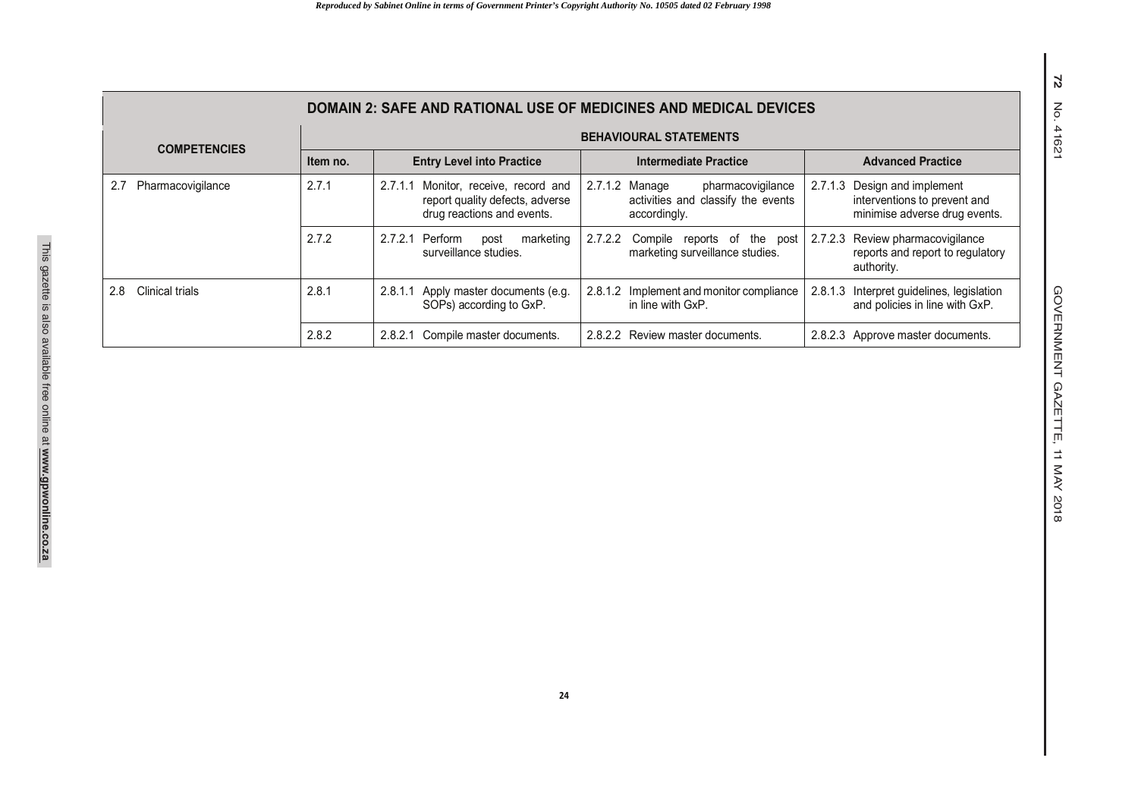| <b>DOMAIN 2: SAFE AND RATIONAL USE OF MEDICINES AND MEDICAL DEVICES</b> |                                                                             |                                                                                                          |                                                                                           |                                                                                                  |  |  |  |  |  |  |
|-------------------------------------------------------------------------|-----------------------------------------------------------------------------|----------------------------------------------------------------------------------------------------------|-------------------------------------------------------------------------------------------|--------------------------------------------------------------------------------------------------|--|--|--|--|--|--|
| <b>COMPETENCIES</b>                                                     |                                                                             |                                                                                                          | <b>BEHAVIOURAL STATEMENTS</b>                                                             |                                                                                                  |  |  |  |  |  |  |
|                                                                         | Item no.                                                                    | <b>Entry Level into Practice</b>                                                                         | Intermediate Practice                                                                     | <b>Advanced Practice</b>                                                                         |  |  |  |  |  |  |
| Pharmacovigilance                                                       | 2.7.1                                                                       | Monitor, receive, record and<br>2.7.1.1<br>report quality defects, adverse<br>drug reactions and events. | 2.7.1.2 Manage<br>pharmacovigilance<br>activities and classify the events<br>accordingly. | Design and implement<br>2.7.1.3<br>interventions to prevent and<br>minimise adverse drug events. |  |  |  |  |  |  |
|                                                                         | 2.7.2                                                                       | Perform<br>2.7.2.1<br>marketing<br>post<br>surveillance studies.                                         | 2.7.2.2<br>Compile reports of the post<br>marketing surveillance studies.                 | 2.7.2.3 Review pharmacovigilance<br>reports and report to regulatory<br>authority.               |  |  |  |  |  |  |
| Clinical trials<br>2.8                                                  | 2.8.1<br>Apply master documents (e.g.<br>2.8.1.1<br>SOPs) according to GxP. |                                                                                                          | 2.8.1.2 Implement and monitor compliance<br>in line with GxP.                             | Interpret guidelines, legislation<br>2.8.1.3<br>and policies in line with GxP.                   |  |  |  |  |  |  |
|                                                                         | 2.8.2                                                                       | 2.8.2.1 Compile master documents.                                                                        | 2.8.2.2 Review master documents.                                                          | 2.8.2.3 Approve master documents.                                                                |  |  |  |  |  |  |

**72** No. 41621

72 No. 41621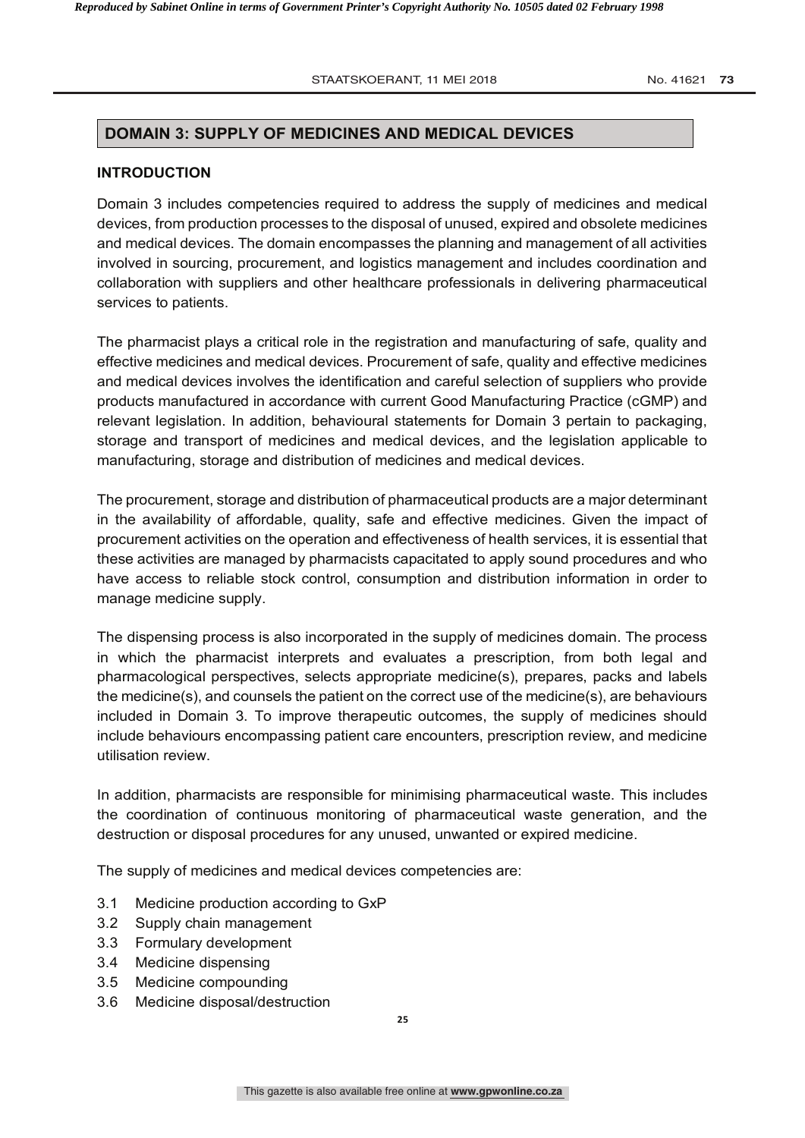#### **STAATSKOERANT, 11 MEI 2018 8 COMPETER FOR PHARMACISTS IN SACT 1.011 NO. 41621 73**

#### **DOMAIN 3: SUPPLY OF MEDICINES AND MEDICAL DEVICES**

#### **INTRODUCTION**

Domain 3 includes competencies required to address the supply of medicines and medical devices, from production processes to the disposal of unused, expired and obsolete medicines and medical devices. The domain encompasses the planning and management of all activities involved in sourcing, procurement, and logistics management and includes coordination and collaboration with suppliers and other healthcare professionals in delivering pharmaceutical services to patients.

The pharmacist plays a critical role in the registration and manufacturing of safe, quality and effective medicines and medical devices. Procurement of safe, quality and effective medicines and medical devices involves the identification and careful selection of suppliers who provide products manufactured in accordance with current Good Manufacturing Practice (cGMP) and relevant legislation. In addition, behavioural statements for Domain 3 pertain to packaging, storage and transport of medicines and medical devices, and the legislation applicable to manufacturing, storage and distribution of medicines and medical devices.

The procurement, storage and distribution of pharmaceutical products are a major determinant in the availability of affordable, quality, safe and effective medicines. Given the impact of procurement activities on the operation and effectiveness of health services, it is essential that these activities are managed by pharmacists capacitated to apply sound procedures and who have access to reliable stock control, consumption and distribution information in order to manage medicine supply.

The dispensing process is also incorporated in the supply of medicines domain. The process in which the pharmacist interprets and evaluates a prescription, from both legal and pharmacological perspectives, selects appropriate medicine(s), prepares, packs and labels the medicine(s), and counsels the patient on the correct use of the medicine(s), are behaviours included in Domain 3. To improve therapeutic outcomes, the supply of medicines should include behaviours encompassing patient care encounters, prescription review, and medicine utilisation review.

In addition, pharmacists are responsible for minimising pharmaceutical waste. This includes the coordination of continuous monitoring of pharmaceutical waste generation, and the destruction or disposal procedures for any unused, unwanted or expired medicine.

The supply of medicines and medical devices competencies are:

- 3.1 Medicine production according to GxP
- 3.2 Supply chain management
- 3.3 Formulary development
- 3.4 Medicine dispensing
- 3.5 Medicine compounding
- 3.6 Medicine disposal/destruction

**25**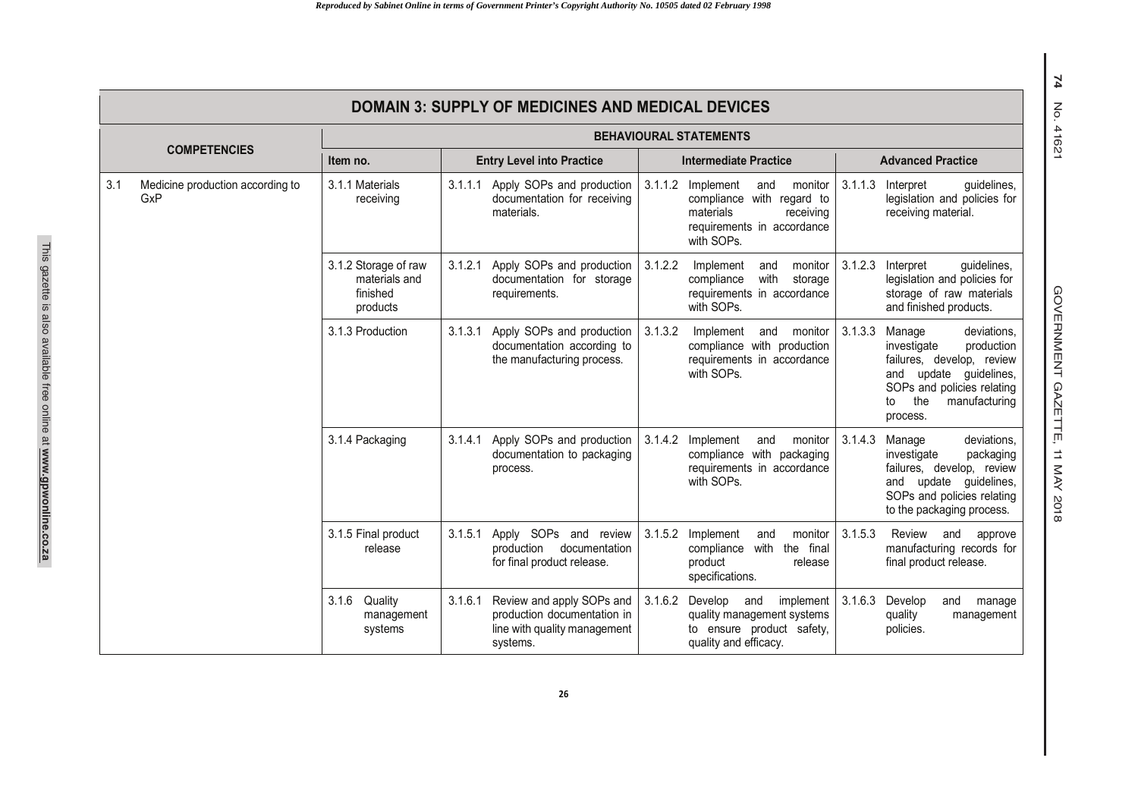|     | <b>DOMAIN 3: SUPPLY OF MEDICINES AND MEDICAL DEVICES</b>      |                                           |                                                                         |                                                                                                      |                                                                                                          |                                                                                                                                        |                                                                                                                |                                                                                                                                                                                           |  |  |
|-----|---------------------------------------------------------------|-------------------------------------------|-------------------------------------------------------------------------|------------------------------------------------------------------------------------------------------|----------------------------------------------------------------------------------------------------------|----------------------------------------------------------------------------------------------------------------------------------------|----------------------------------------------------------------------------------------------------------------|-------------------------------------------------------------------------------------------------------------------------------------------------------------------------------------------|--|--|
|     |                                                               | <b>BEHAVIOURAL STATEMENTS</b>             |                                                                         |                                                                                                      |                                                                                                          |                                                                                                                                        |                                                                                                                |                                                                                                                                                                                           |  |  |
|     | <b>COMPETENCIES</b>                                           | Item no.                                  | <b>Entry Level into Practice</b>                                        |                                                                                                      |                                                                                                          | <b>Intermediate Practice</b>                                                                                                           | <b>Advanced Practice</b>                                                                                       |                                                                                                                                                                                           |  |  |
| 3.1 | Medicine production according to<br>GxP                       | 3.1.1 Materials<br>receiving              | 3.1.1.1                                                                 | Apply SOPs and production<br>documentation for receiving<br>materials.                               |                                                                                                          | 3.1.1.2 Implement<br>and<br>monitor<br>compliance with regard to<br>materials<br>receiving<br>requirements in accordance<br>with SOPs. | 3.1.1.3                                                                                                        | Interpret<br>quidelines,<br>legislation and policies for<br>receiving material.                                                                                                           |  |  |
|     | 3.1.2 Storage of raw<br>materials and<br>finished<br>products | 3.1.2.1                                   | Apply SOPs and production<br>documentation for storage<br>requirements. | 3.1.2.2                                                                                              | Implement<br>monitor<br>and<br>with<br>compliance<br>storage<br>requirements in accordance<br>with SOPs. | 3.1.2.3                                                                                                                                | Interpret<br>guidelines,<br>legislation and policies for<br>storage of raw materials<br>and finished products. |                                                                                                                                                                                           |  |  |
|     |                                                               | 3.1.3 Production                          | 3.1.3.1                                                                 | Apply SOPs and production<br>documentation according to<br>the manufacturing process.                | 3.1.3.2                                                                                                  | and monitor<br>Implement<br>compliance with production<br>requirements in accordance<br>with SOPs.                                     |                                                                                                                | 3.1.3.3 Manage<br>deviations.<br>investigate<br>production<br>failures, develop, review<br>and update quidelines,<br>SOPs and policies relating<br>the<br>manufacturing<br>to<br>process. |  |  |
|     |                                                               | 3.1.4 Packaging                           | 3.1.4.1                                                                 | Apply SOPs and production<br>documentation to packaging<br>process.                                  |                                                                                                          | 3.1.4.2 Implement<br>and<br>monitor<br>compliance with packaging<br>requirements in accordance<br>with SOPs.                           | 3.1.4.3                                                                                                        | deviations,<br>Manage<br>investigate<br>packaging<br>failures, develop, review<br>and update guidelines,<br>SOPs and policies relating<br>to the packaging process.                       |  |  |
|     |                                                               | 3.1.5 Final product<br>release            | 3.1.5.1                                                                 | Apply SOPs and review<br>production<br>documentation<br>for final product release.                   |                                                                                                          | 3.1.5.2 Implement<br>monitor<br>and<br>compliance<br>with the final<br>product<br>release<br>specifications.                           | 3.1.5.3                                                                                                        | Review and<br>approve<br>manufacturing records for<br>final product release.                                                                                                              |  |  |
|     |                                                               | 3.1.6<br>Quality<br>management<br>systems | 3.1.6.1                                                                 | Review and apply SOPs and<br>production documentation in<br>line with quality management<br>systems. | 3.1.6.2                                                                                                  | Develop<br>implement<br>and<br>quality management systems<br>to ensure product safety,<br>quality and efficacy.                        | 3.1.6.3                                                                                                        | Develop<br>and<br>manage<br>quality<br>management<br>policies.                                                                                                                            |  |  |

This gazette is also available free online at **www.gpwonline.co.za**

This gazette is also available free online at www.gpwonline.co.za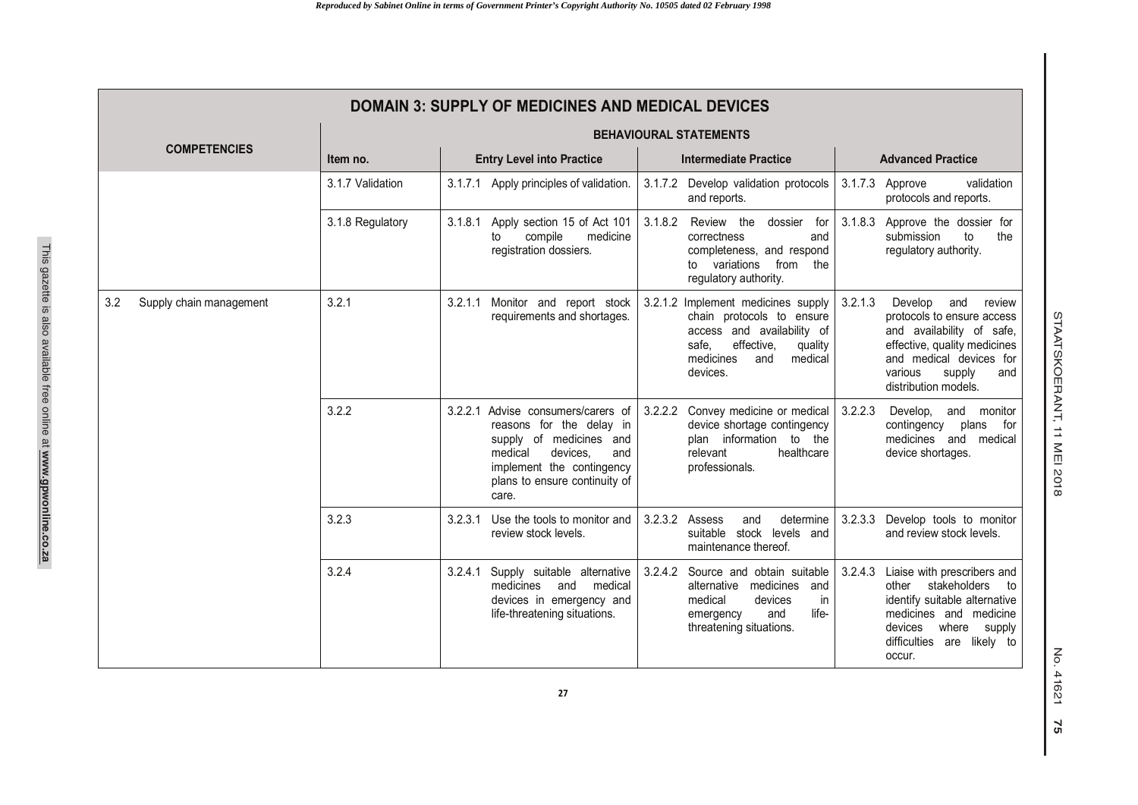| <b>DOMAIN 3: SUPPLY OF MEDICINES AND MEDICAL DEVICES</b> |                  |                                                                                                                                                                                                |                                                                                                                                                                            |                                                                                                                                                                                                               |  |  |  |  |  |
|----------------------------------------------------------|------------------|------------------------------------------------------------------------------------------------------------------------------------------------------------------------------------------------|----------------------------------------------------------------------------------------------------------------------------------------------------------------------------|---------------------------------------------------------------------------------------------------------------------------------------------------------------------------------------------------------------|--|--|--|--|--|
|                                                          |                  | <b>BEHAVIOURAL STATEMENTS</b>                                                                                                                                                                  |                                                                                                                                                                            |                                                                                                                                                                                                               |  |  |  |  |  |
| <b>COMPETENCIES</b>                                      | Item no.         | <b>Entry Level into Practice</b>                                                                                                                                                               | <b>Intermediate Practice</b>                                                                                                                                               | <b>Advanced Practice</b>                                                                                                                                                                                      |  |  |  |  |  |
|                                                          | 3.1.7 Validation | 3.1.7.1 Apply principles of validation.                                                                                                                                                        | 3.1.7.2 Develop validation protocols<br>and reports.                                                                                                                       | 3.1.7.3<br>validation<br>Approve<br>protocols and reports.                                                                                                                                                    |  |  |  |  |  |
|                                                          | 3.1.8 Regulatory | Apply section 15 of Act 101<br>3.1.8.1<br>compile<br>medicine<br>to<br>registration dossiers.                                                                                                  | 3.1.8.2<br>Review the<br>dossier<br>for<br>correctness<br>and<br>completeness, and respond<br>from the<br>to variations<br>regulatory authority.                           | 3.1.8.3 Approve the dossier for<br>the<br>submission<br>to<br>regulatory authority.                                                                                                                           |  |  |  |  |  |
| 3.2<br>Supply chain management                           | 3.2.1            | 3.2.1.1 Monitor and report stock<br>requirements and shortages.                                                                                                                                | 3.2.1.2 Implement medicines supply<br>chain protocols to ensure<br>access and availability of<br>effective.<br>safe.<br>quality<br>medicines<br>medical<br>and<br>devices. | 3.2.1.3<br>Develop<br>and<br>review<br>protocols to ensure access<br>and availability of safe,<br>effective, quality medicines<br>and medical devices for<br>various<br>supply<br>and<br>distribution models. |  |  |  |  |  |
|                                                          | 3.2.2            | 3.2.2.1 Advise consumers/carers of<br>reasons for the delay in<br>supply of medicines and<br>medical<br>devices.<br>and<br>implement the contingency<br>plans to ensure continuity of<br>care. | 3.2.2.2 Convey medicine or medical<br>device shortage contingency<br>plan information to the<br>relevant<br>healthcare<br>professionals.                                   | 3.2.2.3<br>Develop,<br>and monitor<br>contingency<br>plans<br>for<br>medicines and medical<br>device shortages.                                                                                               |  |  |  |  |  |
|                                                          | 3.2.3            | Use the tools to monitor and<br>3.2.3.1<br>review stock levels.                                                                                                                                | 3.2.3.2 Assess<br>determine<br>and<br>suitable stock levels and<br>maintenance thereof.                                                                                    | 3.2.3.3 Develop tools to monitor<br>and review stock levels.                                                                                                                                                  |  |  |  |  |  |
|                                                          | 3.2.4            | 3.2.4.1<br>Supply suitable alternative<br>medicines<br>and<br>medical<br>devices in emergency and<br>life-threatening situations.                                                              | 3.2.4.2 Source and obtain suitable<br>alternative medicines<br>and<br>in<br>medical<br>devices<br>life-<br>and<br>emergency<br>threatening situations.                     | 3.2.4.3 Liaise with prescribers and<br>stakeholders<br>other<br>to<br>identify suitable alternative<br>medicines and medicine<br>devices<br>where<br>supply<br>difficulties are likely to<br>occur.           |  |  |  |  |  |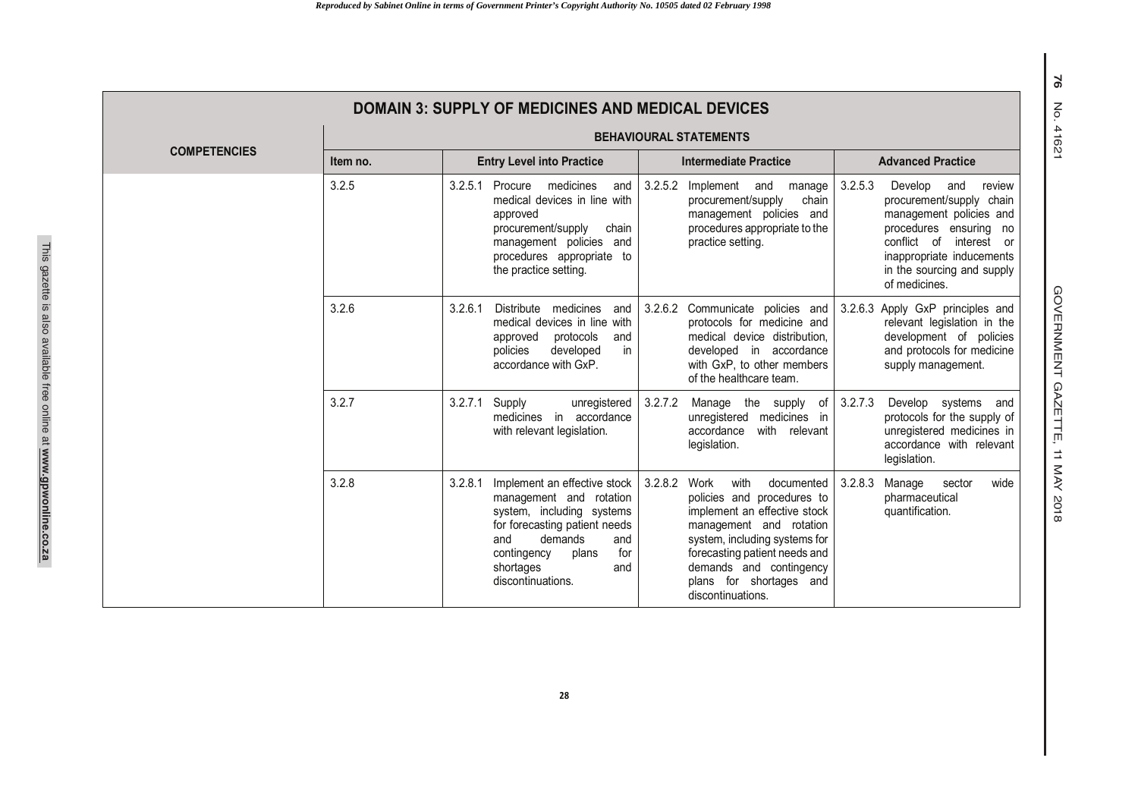|                     | <b>DOMAIN 3: SUPPLY OF MEDICINES AND MEDICAL DEVICES</b> |                                                                                                                                                                                                                                     |                                                                                                                                                                                                                                                                             |                                                                                                                                                                                                                                |  |  |  |  |  |
|---------------------|----------------------------------------------------------|-------------------------------------------------------------------------------------------------------------------------------------------------------------------------------------------------------------------------------------|-----------------------------------------------------------------------------------------------------------------------------------------------------------------------------------------------------------------------------------------------------------------------------|--------------------------------------------------------------------------------------------------------------------------------------------------------------------------------------------------------------------------------|--|--|--|--|--|
|                     |                                                          | <b>BEHAVIOURAL STATEMENTS</b>                                                                                                                                                                                                       |                                                                                                                                                                                                                                                                             |                                                                                                                                                                                                                                |  |  |  |  |  |
| <b>COMPETENCIES</b> | Item no.                                                 | <b>Entry Level into Practice</b>                                                                                                                                                                                                    | <b>Intermediate Practice</b>                                                                                                                                                                                                                                                | <b>Advanced Practice</b>                                                                                                                                                                                                       |  |  |  |  |  |
|                     | 3.2.5                                                    | 3.2.5.1 Procure<br>medicines<br>and<br>medical devices in line with<br>approved<br>procurement/supply<br>chain<br>management policies and<br>procedures appropriate to<br>the practice setting.                                     | 3.2.5.2<br>Implement and<br>manage<br>chain<br>procurement/supply<br>management policies and<br>procedures appropriate to the<br>practice setting.                                                                                                                          | 3.2.5.3<br>Develop<br>and<br>review<br>procurement/supply chain<br>management policies and<br>procedures ensuring no<br>conflict of<br>interest or<br>inappropriate inducements<br>in the sourcing and supply<br>of medicines. |  |  |  |  |  |
|                     | 3.2.6                                                    | 3.2.6.1<br>Distribute medicines<br>and<br>medical devices in line with<br>approved<br>protocols<br>and<br>developed<br>in<br>policies<br>accordance with GxP.                                                                       | 3.2.6.2 Communicate policies and<br>protocols for medicine and<br>medical device distribution.<br>developed in accordance<br>with GxP, to other members<br>of the healthcare team.                                                                                          | 3.2.6.3 Apply GxP principles and<br>relevant legislation in the<br>development of policies<br>and protocols for medicine<br>supply management.                                                                                 |  |  |  |  |  |
|                     | 3.2.7                                                    | 3.2.7.1<br>Supply<br>unregistered<br>medicines in accordance<br>with relevant legislation.                                                                                                                                          | 3.2.7.2<br>Manage the supply<br>of<br>unregistered medicines in<br>accordance<br>with relevant<br>legislation.                                                                                                                                                              | 3.2.7.3<br>Develop systems and<br>protocols for the supply of<br>unregistered medicines in<br>accordance with relevant<br>legislation.                                                                                         |  |  |  |  |  |
|                     | 3.2.8                                                    | Implement an effective stock  <br>3.2.8.1<br>management and rotation<br>system, including systems<br>for forecasting patient needs<br>demands<br>and<br>and<br>for<br>contingency<br>plans<br>shortages<br>and<br>discontinuations. | 3.2.8.2<br>Work<br>with<br>documented<br>policies and procedures to<br>implement an effective stock<br>management and rotation<br>system, including systems for<br>forecasting patient needs and<br>demands and contingency<br>plans for shortages and<br>discontinuations. | 3.2.8.3<br>Manage<br>wide<br>sector<br>pharmaceutical<br>quantification.                                                                                                                                                       |  |  |  |  |  |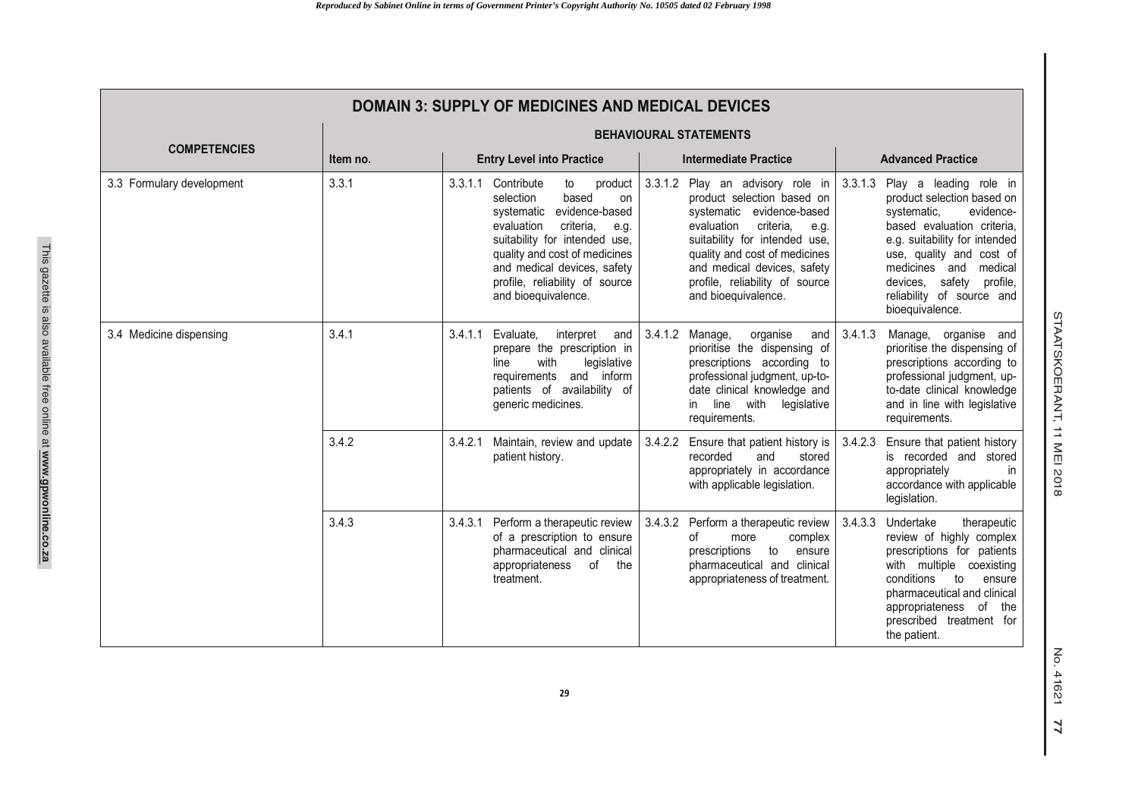| <b>DOMAIN 3: SUPPLY OF MEDICINES AND MEDICAL DEVICES</b> |                                              |         |                                                                                                                                                                                                                                                                                           |                               |                                                                                                                                                                                                                                                                                          |         |                                                                                                                                                                                                                                                                                     |  |
|----------------------------------------------------------|----------------------------------------------|---------|-------------------------------------------------------------------------------------------------------------------------------------------------------------------------------------------------------------------------------------------------------------------------------------------|-------------------------------|------------------------------------------------------------------------------------------------------------------------------------------------------------------------------------------------------------------------------------------------------------------------------------------|---------|-------------------------------------------------------------------------------------------------------------------------------------------------------------------------------------------------------------------------------------------------------------------------------------|--|
|                                                          |                                              |         |                                                                                                                                                                                                                                                                                           | <b>BEHAVIOURAL STATEMENTS</b> |                                                                                                                                                                                                                                                                                          |         |                                                                                                                                                                                                                                                                                     |  |
| <b>COMPETENCIES</b>                                      | <b>Entry Level into Practice</b><br>Item no. |         | <b>Intermediate Practice</b>                                                                                                                                                                                                                                                              |                               | <b>Advanced Practice</b>                                                                                                                                                                                                                                                                 |         |                                                                                                                                                                                                                                                                                     |  |
| 3.3 Formulary development                                | 3.3.1                                        |         | 3.3.1.1 Contribute<br>to<br>product<br>based<br>selection<br>on<br>systematic evidence-based<br>criteria.<br>evaluation<br>e.g.<br>suitability for intended use,<br>quality and cost of medicines<br>and medical devices, safety<br>profile, reliability of source<br>and bioequivalence. |                               | 3.3.1.2 Play an advisory role in<br>product selection based on<br>systematic evidence-based<br>criteria.<br>evaluation<br>e.g.<br>suitability for intended use,<br>quality and cost of medicines<br>and medical devices, safety<br>profile, reliability of source<br>and bioequivalence. | 3.3.1.3 | Play a leading role in<br>product selection based on<br>systematic,<br>evidence-<br>based evaluation criteria.<br>e.g. suitability for intended<br>use, quality and cost of<br>medicines and medical<br>devices, safety<br>profile,<br>reliability of source and<br>bioequivalence. |  |
| 3.4 Medicine dispensing                                  | 3.4.1                                        | 3.4.1.1 | Evaluate.<br>interpret<br>and<br>prepare the prescription in<br>with<br>legislative<br>line<br>and inform<br>requirements<br>patients of availability of<br>generic medicines.                                                                                                            |                               | 3.4.1.2 Manage,<br>organise<br>and<br>prioritise the dispensing of<br>prescriptions according to<br>professional judgment, up-to-<br>date clinical knowledge and<br>line with legislative<br>in.<br>requirements.                                                                        | 3.4.1.3 | Manage, organise and<br>prioritise the dispensing of<br>prescriptions according to<br>professional judgment, up-<br>to-date clinical knowledge<br>and in line with legislative<br>requirements.                                                                                     |  |
|                                                          | 3.4.2                                        | 3.4.2.1 | Maintain, review and update<br>patient history.                                                                                                                                                                                                                                           |                               | 3.4.2.2 Ensure that patient history is<br>and<br>recorded<br>stored<br>appropriately in accordance<br>with applicable legislation.                                                                                                                                                       | 3.4.2.3 | Ensure that patient history<br>is recorded and stored<br>appropriately<br>in.<br>accordance with applicable<br>legislation.                                                                                                                                                         |  |
|                                                          | 3.4.3                                        | 3.4.3.1 | Perform a therapeutic review<br>of a prescription to ensure<br>pharmaceutical and clinical<br>appropriateness<br>0f<br>the<br>treatment.                                                                                                                                                  | 3.4.3.2                       | Perform a therapeutic review  <br>οf<br>complex<br>more<br>prescriptions<br>to<br>ensure<br>pharmaceutical and clinical<br>appropriateness of treatment.                                                                                                                                 | 3.4.3.3 | Undertake<br>therapeutic<br>review of highly complex<br>prescriptions for patients<br>with multiple coexisting<br>conditions<br>to<br>ensure<br>pharmaceutical and clinical<br>appropriateness of<br>the<br>prescribed treatment for<br>the patient.                                |  |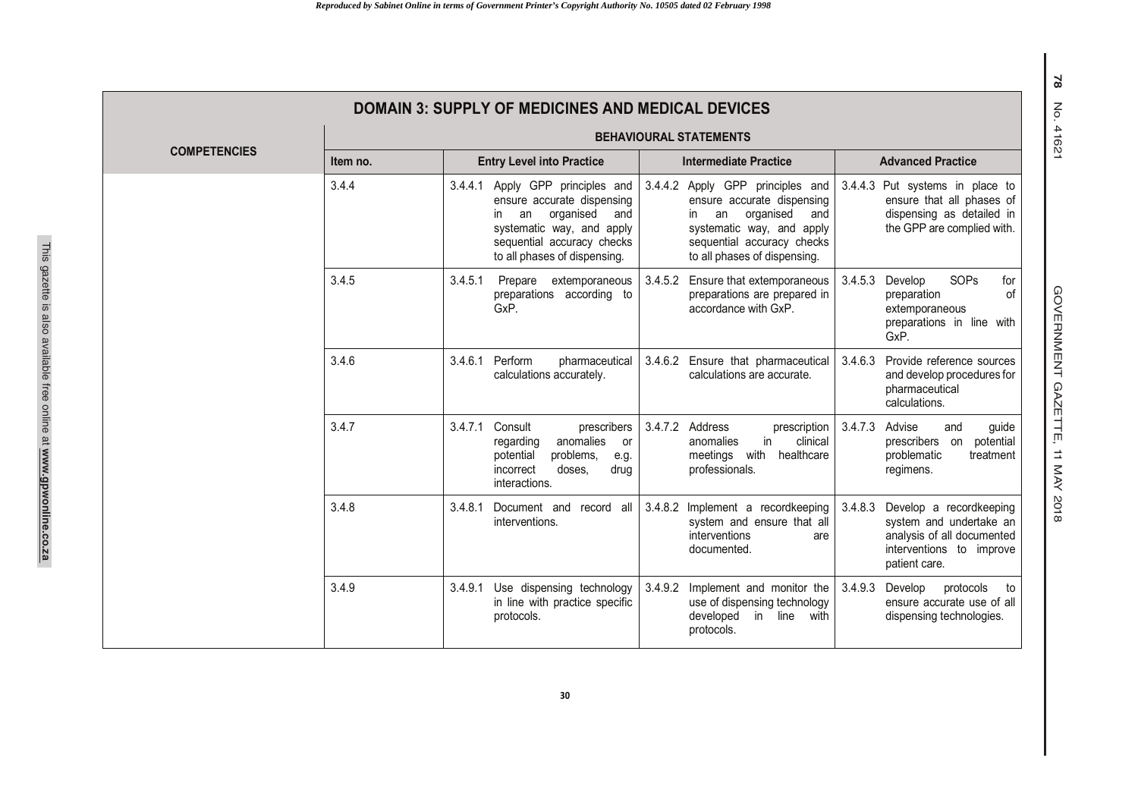| <b>DOMAIN 3: SUPPLY OF MEDICINES AND MEDICAL DEVICES</b> |                               |                                                                                                                                                                                            |                                                                                                                                                                                            |                                                                                                                                          |  |  |  |  |
|----------------------------------------------------------|-------------------------------|--------------------------------------------------------------------------------------------------------------------------------------------------------------------------------------------|--------------------------------------------------------------------------------------------------------------------------------------------------------------------------------------------|------------------------------------------------------------------------------------------------------------------------------------------|--|--|--|--|
|                                                          | <b>BEHAVIOURAL STATEMENTS</b> |                                                                                                                                                                                            |                                                                                                                                                                                            |                                                                                                                                          |  |  |  |  |
| <b>COMPETENCIES</b>                                      | Item no.                      | <b>Entry Level into Practice</b>                                                                                                                                                           | <b>Intermediate Practice</b>                                                                                                                                                               | <b>Advanced Practice</b>                                                                                                                 |  |  |  |  |
|                                                          | 3.4.4                         | 3.4.4.1 Apply GPP principles and<br>ensure accurate dispensing<br>organised<br>in.<br>an<br>and<br>systematic way, and apply<br>sequential accuracy checks<br>to all phases of dispensing. | 3.4.4.2 Apply GPP principles and<br>ensure accurate dispensing<br>organised<br>an<br>and<br>in.<br>systematic way, and apply<br>sequential accuracy checks<br>to all phases of dispensing. | 3.4.4.3<br>Put systems in place to<br>ensure that all phases of<br>dispensing as detailed in<br>the GPP are complied with.               |  |  |  |  |
|                                                          | 3.4.5                         | 3.4.5.1<br>extemporaneous<br>Prepare<br>preparations according to<br>GxP.                                                                                                                  | 3.4.5.2 Ensure that extemporaneous<br>preparations are prepared in<br>accordance with GxP.                                                                                                 | <b>SOPs</b><br>3.4.5.3<br>Develop<br>for<br>of<br>preparation<br>extemporaneous<br>preparations in line with<br>GxP.                     |  |  |  |  |
|                                                          | 3.4.6                         | 3.4.6.1<br>Perform<br>pharmaceutical<br>calculations accurately.                                                                                                                           | 3.4.6.2 Ensure that pharmaceutical<br>calculations are accurate.                                                                                                                           | Provide reference sources<br>3.4.6.3<br>and develop procedures for<br>pharmaceutical<br>calculations.                                    |  |  |  |  |
|                                                          | 3.4.7                         | 3.4.7.1<br>Consult<br>prescribers<br>anomalies<br>regarding<br>or<br>problems,<br>potential<br>e.g.<br>doses.<br>incorrect<br>drua<br>interactions.                                        | 3.4.7.2 Address<br>prescription<br>in<br>clinical<br>anomalies<br>meetings with<br>healthcare<br>professionals.                                                                            | 3.4.7.3<br>Advise<br>and<br>guide<br>prescribers on<br>potential<br>problematic<br>treatment<br>regimens.                                |  |  |  |  |
|                                                          | 3.4.8                         | 3.4.8.1 Document and record all<br>interventions.                                                                                                                                          | 3.4.8.2 Implement a recordkeeping<br>system and ensure that all<br>interventions<br>are<br>documented.                                                                                     | Develop a recordkeeping<br>3.4.8.3<br>system and undertake an<br>analysis of all documented<br>interventions to improve<br>patient care. |  |  |  |  |
|                                                          | 3.4.9                         | Use dispensing technology<br>3.4.9.1<br>in line with practice specific<br>protocols.                                                                                                       | Implement and monitor the<br>3.4.9.2<br>use of dispensing technology<br>developed<br>in line<br>with<br>protocols.                                                                         | 3.4.9.3<br>Develop<br>protocols<br>to<br>ensure accurate use of all<br>dispensing technologies.                                          |  |  |  |  |

GOVERNMENT GAZETTE, 11 MAY 201 GOVERNMENT GAZETTE, 11 MAY 2018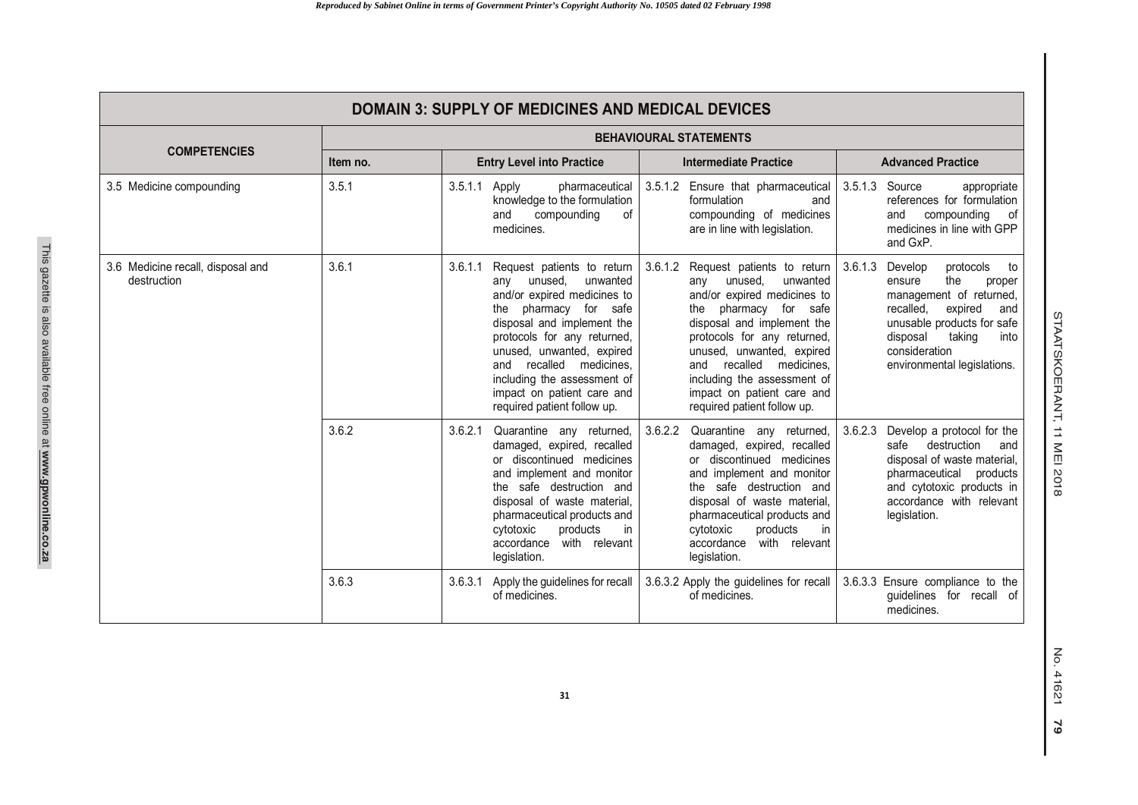| <b>DOMAIN 3: SUPPLY OF MEDICINES AND MEDICAL DEVICES</b> |          |                               |                                                                                                                                                                                                                                                                                                                                      |         |                                                                                                                                                                                                                                                                                                                                      |         |                                                                                                                                                                                                                                     |  |  |
|----------------------------------------------------------|----------|-------------------------------|--------------------------------------------------------------------------------------------------------------------------------------------------------------------------------------------------------------------------------------------------------------------------------------------------------------------------------------|---------|--------------------------------------------------------------------------------------------------------------------------------------------------------------------------------------------------------------------------------------------------------------------------------------------------------------------------------------|---------|-------------------------------------------------------------------------------------------------------------------------------------------------------------------------------------------------------------------------------------|--|--|
|                                                          |          | <b>BEHAVIOURAL STATEMENTS</b> |                                                                                                                                                                                                                                                                                                                                      |         |                                                                                                                                                                                                                                                                                                                                      |         |                                                                                                                                                                                                                                     |  |  |
| <b>COMPETENCIES</b>                                      | Item no. |                               | <b>Entry Level into Practice</b>                                                                                                                                                                                                                                                                                                     |         | <b>Intermediate Practice</b>                                                                                                                                                                                                                                                                                                         |         | <b>Advanced Practice</b>                                                                                                                                                                                                            |  |  |
| 3.5 Medicine compounding                                 | 3.5.1    | 3.5.1.1 Apply                 | pharmaceutical<br>knowledge to the formulation<br>compounding<br>of<br>and<br>medicines.                                                                                                                                                                                                                                             |         | 3.5.1.2 Ensure that pharmaceutical<br>formulation<br>and<br>compounding of medicines<br>are in line with legislation.                                                                                                                                                                                                                |         | 3.5.1.3 Source<br>appropriate<br>references for formulation<br>compounding<br>and<br>0f<br>medicines in line with GPP<br>and GxP.                                                                                                   |  |  |
| 3.6 Medicine recall, disposal and<br>destruction         | 3.6.1    | 3.6.1.1                       | Request patients to return<br>unused,<br>unwanted<br>any<br>and/or expired medicines to<br>pharmacy for safe<br>the<br>disposal and implement the<br>protocols for any returned,<br>unused, unwanted, expired<br>and recalled medicines,<br>including the assessment of<br>impact on patient care and<br>required patient follow up. | 3.6.1.2 | Request patients to return<br>unused.<br>unwanted<br>any<br>and/or expired medicines to<br>the pharmacy for safe<br>disposal and implement the<br>protocols for any returned,<br>unused, unwanted, expired<br>recalled medicines.<br>and<br>including the assessment of<br>impact on patient care and<br>required patient follow up. |         | 3.6.1.3 Develop<br>protocols<br>to<br>the<br>ensure<br>proper<br>management of returned,<br>expired<br>recalled,<br>and<br>unusable products for safe<br>taking<br>disposal<br>into<br>consideration<br>environmental legislations. |  |  |
|                                                          | 3.6.2    | 3.6.2.1                       | Quarantine any returned,<br>damaged, expired, recalled<br>or discontinued medicines<br>and implement and monitor<br>the safe destruction and<br>disposal of waste material,<br>pharmaceutical products and<br>products<br>cytotoxic<br>in<br>with relevant<br>accordance<br>legislation.                                             | 3.6.2.2 | Quarantine any returned,<br>damaged, expired, recalled<br>or discontinued medicines<br>and implement and monitor<br>the safe destruction and<br>disposal of waste material,<br>pharmaceutical products and<br>products<br>cytotoxic<br>in<br>with relevant<br>accordance<br>legislation.                                             | 3.6.2.3 | Develop a protocol for the<br>destruction<br>safe<br>and<br>disposal of waste material,<br>pharmaceutical products<br>and cytotoxic products in<br>accordance with relevant<br>legislation.                                         |  |  |
|                                                          | 3.6.3    | 3.6.3.1                       | Apply the guidelines for recall<br>of medicines.                                                                                                                                                                                                                                                                                     |         | 3.6.3.2 Apply the guidelines for recall<br>of medicines.                                                                                                                                                                                                                                                                             |         | 3.6.3.3 Ensure compliance to the<br>quidelines for recall of<br>medicines.                                                                                                                                                          |  |  |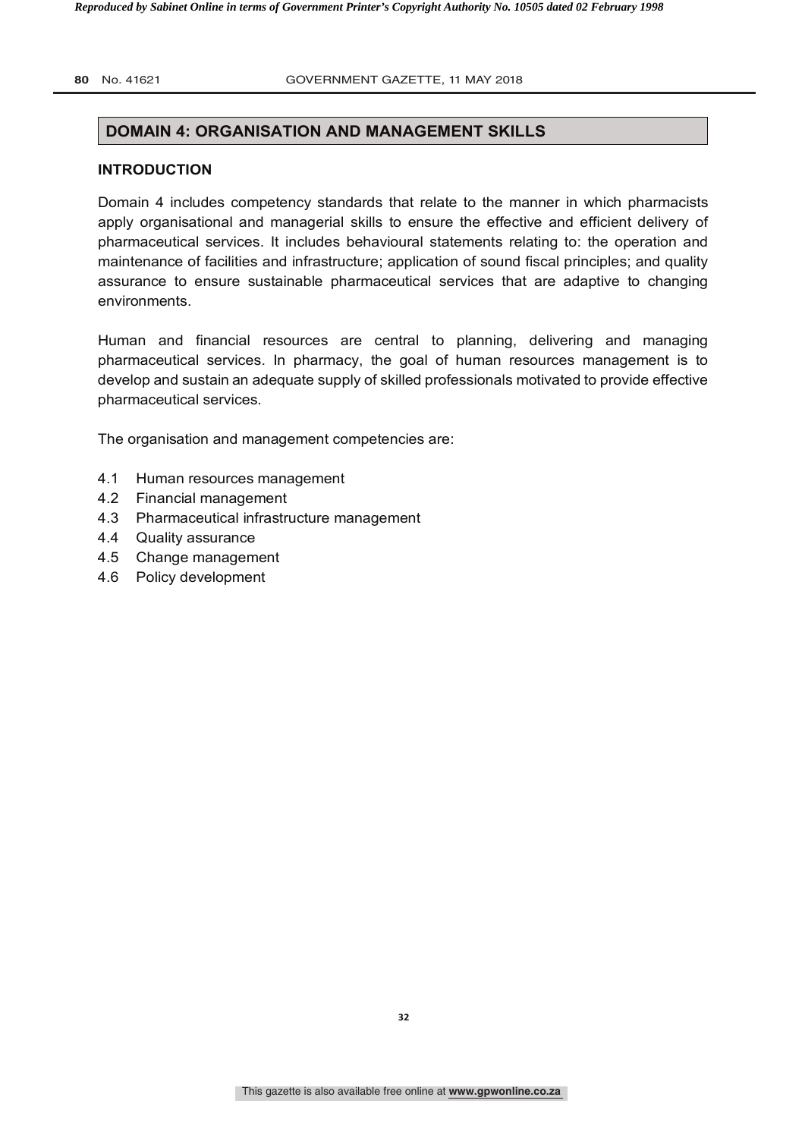#### **80** No. 41621 **2018 COVERNMENT GAZETTE, 11 MAY 2018**

#### **DOMAIN 4: ORGANISATION AND MANAGEMENT SKILLS**

#### **INTRODUCTION**

Domain 4 includes competency standards that relate to the manner in which pharmacists apply organisational and managerial skills to ensure the effective and efficient delivery of pharmaceutical services. It includes behavioural statements relating to: the operation and maintenance of facilities and infrastructure; application of sound fiscal principles; and quality assurance to ensure sustainable pharmaceutical services that are adaptive to changing environments.

Human and financial resources are central to planning, delivering and managing pharmaceutical services. In pharmacy, the goal of human resources management is to develop and sustain an adequate supply of skilled professionals motivated to provide effective pharmaceutical services.

The organisation and management competencies are:

- 4.1 Human resources management
- 4.2 Financial management
- 4.3 Pharmaceutical infrastructure management
- 4.4 Quality assurance
- 4.5 Change management
- 4.6 Policy development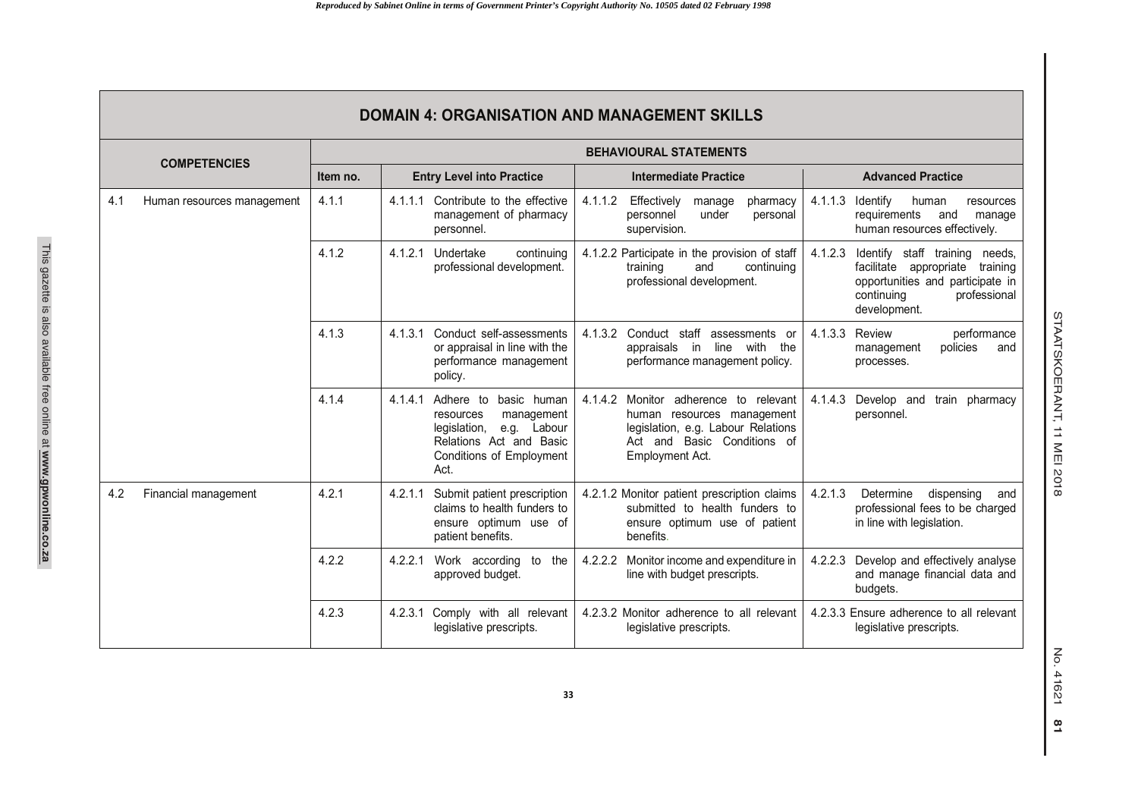| <b>DOMAIN 4: ORGANISATION AND MANAGEMENT SKILLS</b> |          |                                                                                                                                                                     |                                                                                                                                                                |                                                                                                                                                                      |  |  |  |  |  |  |
|-----------------------------------------------------|----------|---------------------------------------------------------------------------------------------------------------------------------------------------------------------|----------------------------------------------------------------------------------------------------------------------------------------------------------------|----------------------------------------------------------------------------------------------------------------------------------------------------------------------|--|--|--|--|--|--|
| <b>COMPETENCIES</b>                                 |          | <b>BEHAVIOURAL STATEMENTS</b>                                                                                                                                       |                                                                                                                                                                |                                                                                                                                                                      |  |  |  |  |  |  |
|                                                     | Item no. | <b>Entry Level into Practice</b>                                                                                                                                    | <b>Intermediate Practice</b>                                                                                                                                   | <b>Advanced Practice</b>                                                                                                                                             |  |  |  |  |  |  |
| 4.1<br>Human resources management                   | 4.1.1    | Contribute to the effective<br>4.1.1.1<br>management of pharmacy<br>personnel.                                                                                      | 4.1.1.2<br>Effectively<br>pharmacy<br>manage<br>under<br>personnel<br>personal<br>supervision.                                                                 | 4.1.1.3<br>Identify<br>human<br>resources<br>requirements<br>and<br>manage<br>human resources effectively.                                                           |  |  |  |  |  |  |
|                                                     | 4.1.2    | 4.1.2.1<br>Undertake<br>continuing<br>professional development.                                                                                                     | 4.1.2.2 Participate in the provision of staff<br>and<br>continuing<br>training<br>professional development.                                                    | 4.1.2.3<br>Identify staff training<br>needs.<br>facilitate appropriate<br>training<br>opportunities and participate in<br>continuing<br>professional<br>development. |  |  |  |  |  |  |
|                                                     | 4.1.3    | Conduct self-assessments<br>4.1.3.1<br>or appraisal in line with the<br>performance management<br>policy.                                                           | Conduct staff assessments or<br>4.1.3.2<br>line with the<br>appraisals in<br>performance management policy.                                                    | 4.1.3.3<br>Review<br>performance<br>policies<br>and<br>management<br>processes.                                                                                      |  |  |  |  |  |  |
|                                                     | 4.1.4    | 4.1.4.1<br>Adhere to<br>basic human<br>resources<br>management<br>legislation,<br>e.g. Labour<br>Relations Act and Basic<br><b>Conditions of Employment</b><br>Act. | 4.1.4.2<br>Monitor adherence to relevant<br>human resources management<br>legislation, e.g. Labour Relations<br>Act and Basic Conditions of<br>Employment Act. | 4.1.4.3<br>Develop and<br>train pharmacy<br>personnel.                                                                                                               |  |  |  |  |  |  |
| 4.2<br>Financial management                         | 4.2.1    | Submit patient prescription<br>4.2.1.1<br>claims to health funders to<br>ensure optimum use of<br>patient benefits.                                                 | 4.2.1.2 Monitor patient prescription claims<br>submitted to health funders to<br>ensure optimum use of patient<br>benefits.                                    | 4.2.1.3<br>Determine<br>dispensing<br>and<br>professional fees to be charged<br>in line with legislation.                                                            |  |  |  |  |  |  |
|                                                     | 4.2.2    | 4.2.2.1<br>Work according to the<br>approved budget.                                                                                                                | 4.2.2.2 Monitor income and expenditure in<br>line with budget prescripts.                                                                                      | 4.2.2.3<br>Develop and effectively analyse<br>and manage financial data and<br>budgets.                                                                              |  |  |  |  |  |  |
|                                                     | 4.2.3    | 4.2.3.1<br>Comply with all relevant<br>legislative prescripts.                                                                                                      | 4.2.3.2 Monitor adherence to all relevant<br>legislative prescripts.                                                                                           | 4.2.3.3 Ensure adherence to all relevant<br>legislative prescripts.                                                                                                  |  |  |  |  |  |  |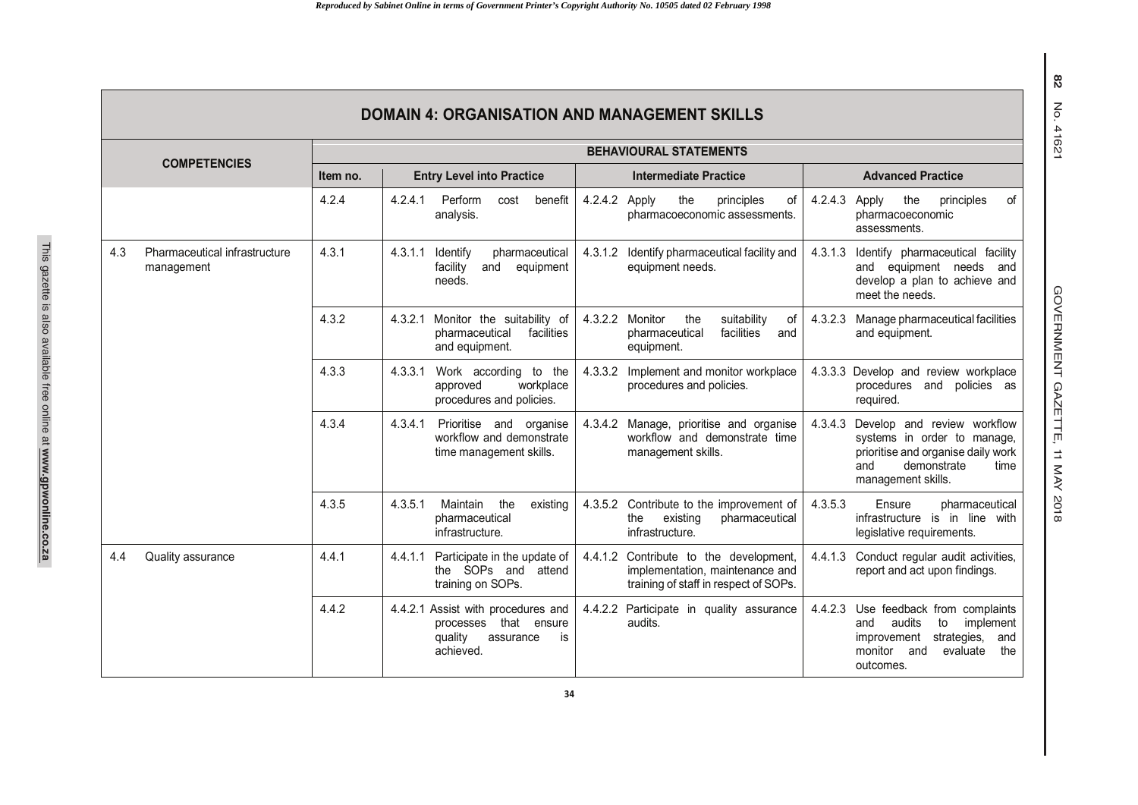|                     | <b>DOMAIN 4: ORGANISATION AND MANAGEMENT SKILLS</b> |                               |                                                                                                        |                                                                                                                    |                                                                                                                                                                    |  |  |  |
|---------------------|-----------------------------------------------------|-------------------------------|--------------------------------------------------------------------------------------------------------|--------------------------------------------------------------------------------------------------------------------|--------------------------------------------------------------------------------------------------------------------------------------------------------------------|--|--|--|
| <b>COMPETENCIES</b> |                                                     | <b>BEHAVIOURAL STATEMENTS</b> |                                                                                                        |                                                                                                                    |                                                                                                                                                                    |  |  |  |
|                     |                                                     | Item no.                      | <b>Entry Level into Practice</b>                                                                       | <b>Intermediate Practice</b>                                                                                       | <b>Advanced Practice</b>                                                                                                                                           |  |  |  |
|                     |                                                     | 4.2.4                         | 4.2.4.1<br>Perform<br>benefit<br>cost<br>analysis.                                                     | 4.2.4.2<br>Apply<br>the<br>principles<br>οf<br>pharmacoeconomic assessments.                                       | 4.2.4.3<br>the<br>of<br>Apply<br>principles<br>pharmacoeconomic<br>assessments.                                                                                    |  |  |  |
| 4.3                 | Pharmaceutical infrastructure<br>management         | 4.3.1                         | pharmaceutical<br>4.3.1.1<br>Identify<br>facility<br>and<br>equipment<br>needs.                        | 4.3.1.2<br>Identify pharmaceutical facility and<br>equipment needs.                                                | 4.3.1.3<br>Identify pharmaceutical facility<br>and equipment needs<br>and<br>develop a plan to achieve and<br>meet the needs.                                      |  |  |  |
|                     |                                                     | 4.3.2                         | Monitor the suitability of<br>4.3.2.1<br>pharmaceutical<br>facilities<br>and equipment.                | 4.3.2.2<br>Monitor<br>the<br>suitability<br>0f<br>facilities<br>pharmaceutical<br>and<br>equipment.                | 4.3.2.3<br>Manage pharmaceutical facilities<br>and equipment.                                                                                                      |  |  |  |
|                     |                                                     | 4.3.3                         | 4.3.3.1<br>Work according to the<br>workplace<br>approved<br>procedures and policies.                  | 4.3.3.2<br>Implement and monitor workplace<br>procedures and policies.                                             | 4.3.3.3<br>Develop and review workplace<br>procedures and<br>policies as<br>required.                                                                              |  |  |  |
|                     |                                                     | 4.3.4                         | 4.3.4.1<br>Prioritise and organise<br>workflow and demonstrate<br>time management skills.              | Manage, prioritise and organise<br>4.3.4.2<br>workflow and demonstrate time<br>management skills.                  | 4.3.4.3<br>Develop and review workflow<br>systems in order to manage,<br>prioritise and organise daily work<br>demonstrate<br>and<br>time<br>management skills.    |  |  |  |
|                     |                                                     | 4.3.5                         | Maintain<br>the<br>4.3.5.1<br>existing<br>pharmaceutical<br>infrastructure.                            | Contribute to the improvement of<br>4.3.5.2<br>existing<br>the<br>pharmaceutical<br>infrastructure.                | 4.3.5.3<br>Ensure<br>pharmaceutical<br>infrastructure is in line with<br>legislative requirements.                                                                 |  |  |  |
| 4.4                 | Quality assurance                                   | 4.4.1                         | 4.4.1.1<br>Participate in the update of<br>the SOPs and attend<br>training on SOPs.                    | 4.4.1.2 Contribute to the development,<br>implementation, maintenance and<br>training of staff in respect of SOPs. | Conduct regular audit activities,<br>4.4.1.3<br>report and act upon findings.                                                                                      |  |  |  |
|                     |                                                     | 4.4.2                         | 4.4.2.1 Assist with procedures and<br>processes that ensure<br>quality<br>is<br>assurance<br>achieved. | 4.4.2.2 Participate in quality assurance<br>audits.                                                                | 4.4.2.3<br>Use feedback from complaints<br>and<br>audits<br>to<br>implement<br>strategies,<br>improvement<br>and<br>monitor<br>and<br>evaluate<br>the<br>outcomes. |  |  |  |

# 82 **82** No. 41621 No. 41621

This gazette is also available free online at **www.gpwonline.co.za**

This gazette is also available free online at www.gpwonline.co.za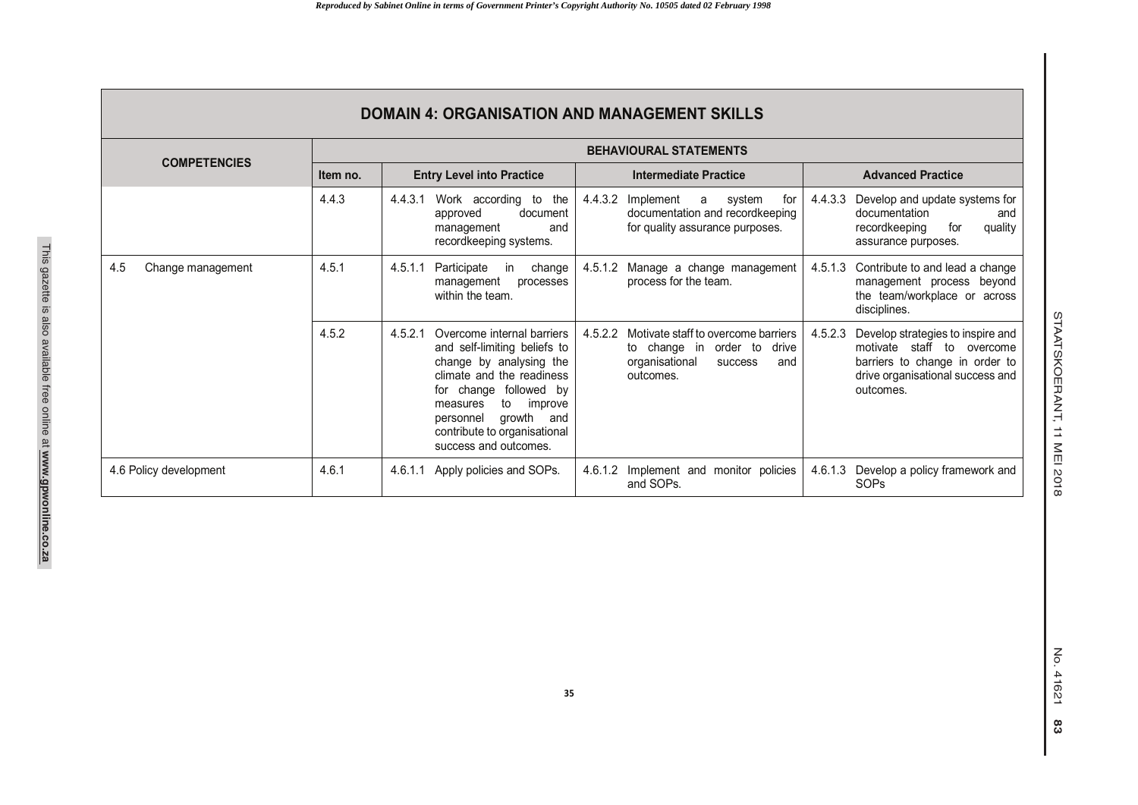| <b>DOMAIN 4: ORGANISATION AND MANAGEMENT SKILLS</b> |                               |                                                                                                                                                                                                                                                                                |                                                                                                                                   |                                                                                                                                                               |  |  |  |
|-----------------------------------------------------|-------------------------------|--------------------------------------------------------------------------------------------------------------------------------------------------------------------------------------------------------------------------------------------------------------------------------|-----------------------------------------------------------------------------------------------------------------------------------|---------------------------------------------------------------------------------------------------------------------------------------------------------------|--|--|--|
| <b>COMPETENCIES</b>                                 | <b>BEHAVIOURAL STATEMENTS</b> |                                                                                                                                                                                                                                                                                |                                                                                                                                   |                                                                                                                                                               |  |  |  |
|                                                     | Item no.                      | <b>Entry Level into Practice</b>                                                                                                                                                                                                                                               | Intermediate Practice                                                                                                             | <b>Advanced Practice</b>                                                                                                                                      |  |  |  |
|                                                     | 4.4.3                         | Work according to the<br>4.4.3.1<br>document<br>approved<br>management<br>and<br>recordkeeping systems.                                                                                                                                                                        | 4.4.3.2<br>Implement<br>system<br>for<br>a<br>documentation and recordkeeping<br>for quality assurance purposes.                  | Develop and update systems for<br>4.4.3.3<br>documentation<br>and<br>recordkeeping<br>quality<br>for<br>assurance purposes.                                   |  |  |  |
| 4.5<br>Change management                            | 4.5.1                         | 4.5.1.1<br>Participate<br>change<br>in<br>management<br>processes<br>within the team.                                                                                                                                                                                          | Manage a change management<br>4.5.1.2<br>process for the team.                                                                    | 4.5.1.3<br>Contribute to and lead a change<br>management process beyond<br>the team/workplace or across<br>disciplines.                                       |  |  |  |
|                                                     | 4.5.2                         | 4.5.2.1<br>Overcome internal barriers<br>and self-limiting beliefs to<br>change by analysing the<br>climate and the readiness<br>change followed by<br>for<br>to<br>improve<br>measures<br>growth<br>personnel<br>and<br>contribute to organisational<br>success and outcomes. | 4.5.2.2<br>Motivate staff to overcome barriers<br>to change in order to<br>drive<br>organisational<br>and<br>success<br>outcomes. | 4.5.2.3<br>Develop strategies to inspire and<br>motivate staff to overcome<br>barriers to change in order to<br>drive organisational success and<br>outcomes. |  |  |  |
| 4.6 Policy development                              | 4.6.1                         | Apply policies and SOPs.<br>4.6.1.1                                                                                                                                                                                                                                            | 4.6.1.2<br>Implement and monitor policies<br>and SOPs.                                                                            | 4.6.1.3<br>Develop a policy framework and<br>SOPs                                                                                                             |  |  |  |

STAATSKOERANT, 11 MEI 2018

STAATSKOERANT, 11 MEI 2018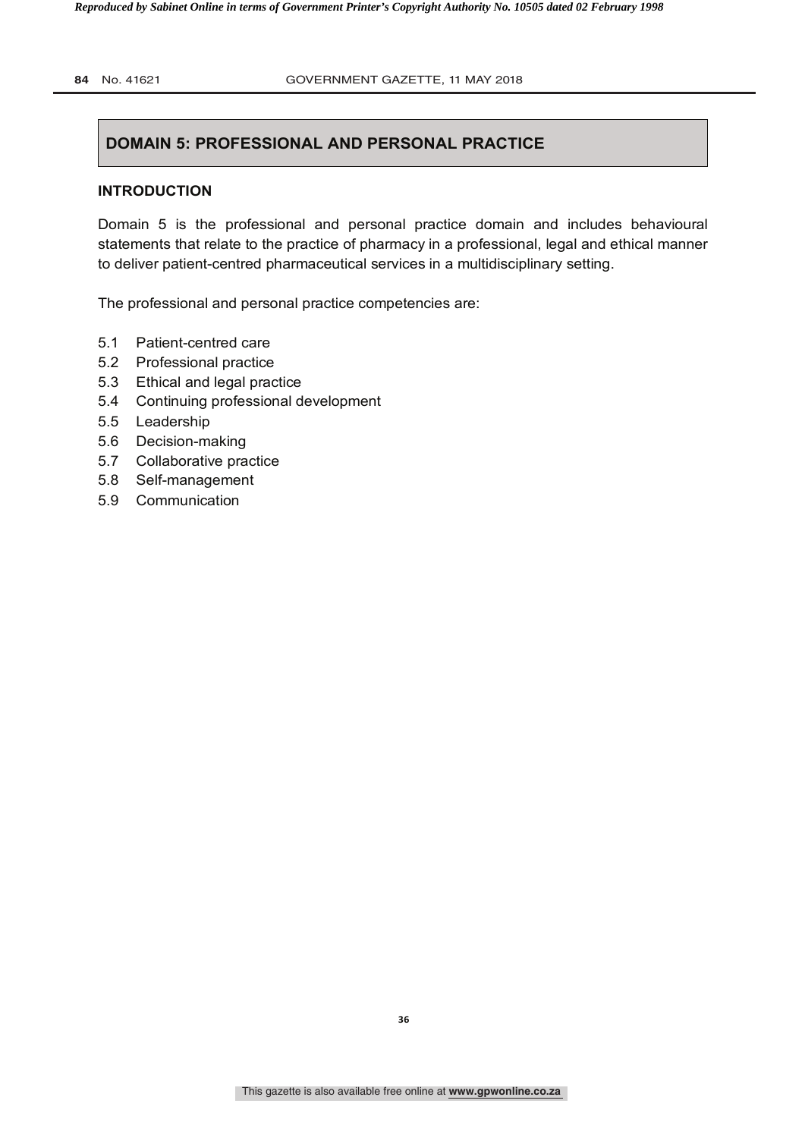# **DOMAIN 5: PROFESSIONAL AND PERSONAL PRACTICE**

#### **INTRODUCTION**

Domain 5 is the professional and personal practice domain and includes behavioural statements that relate to the practice of pharmacy in a professional, legal and ethical manner to deliver patient-centred pharmaceutical services in a multidisciplinary setting.

The professional and personal practice competencies are:

- 5.1 Patient-centred care
- 5.2 Professional practice
- 5.3 Ethical and legal practice
- 5.4 Continuing professional development
- 5.5 Leadership
- 5.6 Decision-making
- 5.7 Collaborative practice
- 5.8 Self-management
- 5.9 Communication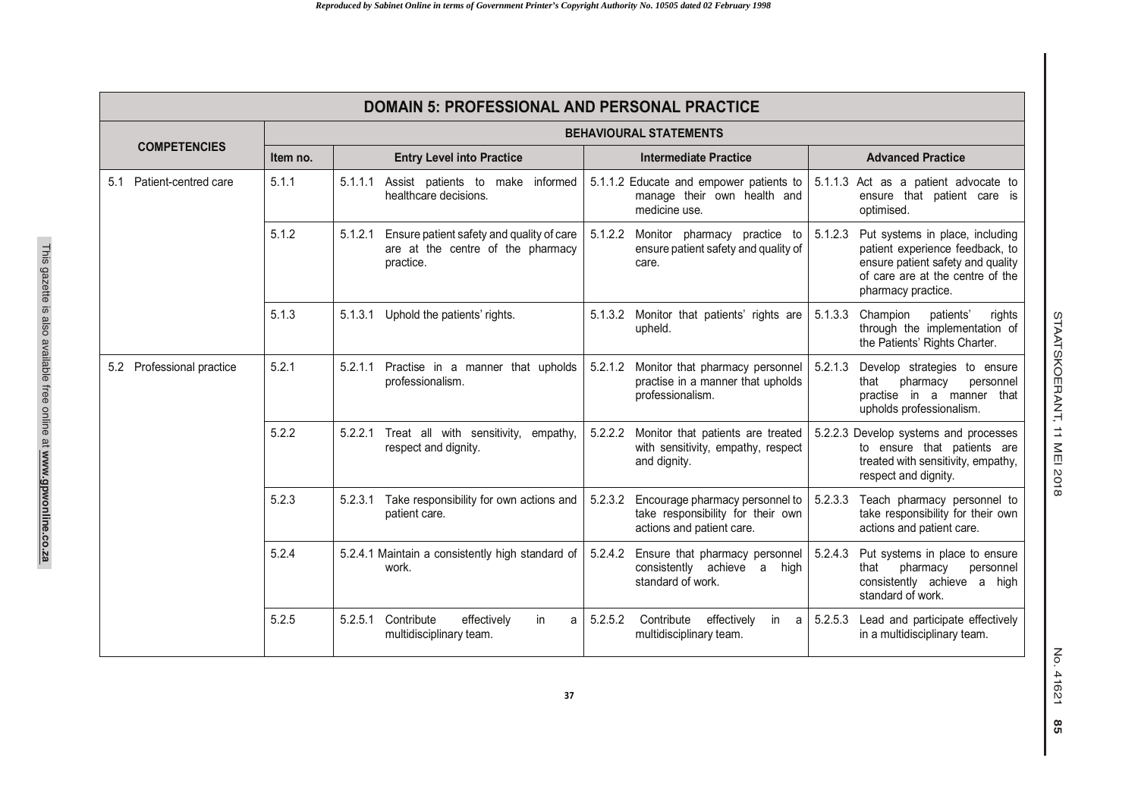| <b>DOMAIN 5: PROFESSIONAL AND PERSONAL PRACTICE</b> |                               |                                                                                                        |                                                                                                              |                                                                                                                                                                              |  |  |  |  |
|-----------------------------------------------------|-------------------------------|--------------------------------------------------------------------------------------------------------|--------------------------------------------------------------------------------------------------------------|------------------------------------------------------------------------------------------------------------------------------------------------------------------------------|--|--|--|--|
|                                                     | <b>BEHAVIOURAL STATEMENTS</b> |                                                                                                        |                                                                                                              |                                                                                                                                                                              |  |  |  |  |
| <b>COMPETENCIES</b>                                 | Item no.                      | <b>Entry Level into Practice</b>                                                                       | <b>Intermediate Practice</b>                                                                                 | <b>Advanced Practice</b>                                                                                                                                                     |  |  |  |  |
| Patient-centred care<br>5.1                         | 5.1.1                         | 5.1.1.1 Assist patients to make informed<br>healthcare decisions.                                      | 5.1.1.2 Educate and empower patients to<br>manage their own health and<br>medicine use.                      | 5.1.1.3 Act as a patient advocate to<br>ensure that patient care is<br>optimised.                                                                                            |  |  |  |  |
|                                                     | 5.1.2                         | 5.1.2.1<br>Ensure patient safety and quality of care<br>are at the centre of the pharmacy<br>practice. | 5.1.2.2 Monitor pharmacy practice to<br>ensure patient safety and quality of<br>care.                        | 5.1.2.3<br>Put systems in place, including<br>patient experience feedback, to<br>ensure patient safety and quality<br>of care are at the centre of the<br>pharmacy practice. |  |  |  |  |
|                                                     | 5.1.3                         | Uphold the patients' rights.<br>5.1.3.1                                                                | 5.1.3.2 Monitor that patients' rights are<br>upheld.                                                         | 5.1.3.3<br>Champion<br>patients'<br>rights<br>through the implementation of<br>the Patients' Rights Charter.                                                                 |  |  |  |  |
| Professional practice<br>5.2                        | 5.2.1                         | 5.2.1.1<br>Practise in a manner that upholds<br>professionalism.                                       | 5.2.1.2<br>Monitor that pharmacy personnel<br>practise in a manner that upholds<br>professionalism.          | 5.2.1.3<br>Develop strategies to ensure<br>pharmacy<br>personnel<br>that<br>practise in a manner that<br>upholds professionalism.                                            |  |  |  |  |
|                                                     | 5.2.2                         | Treat all with sensitivity, empathy,<br>5.2.2.1<br>respect and dignity.                                | 5.2.2.2 Monitor that patients are treated<br>with sensitivity, empathy, respect<br>and dignity.              | 5.2.2.3 Develop systems and processes<br>to ensure that patients are<br>treated with sensitivity, empathy,<br>respect and dignity.                                           |  |  |  |  |
|                                                     | 5.2.3                         | Take responsibility for own actions and<br>5.2.3.1<br>patient care.                                    | Encourage pharmacy personnel to<br>5.2.3.2<br>take responsibility for their own<br>actions and patient care. | Teach pharmacy personnel to<br>5.2.3.3<br>take responsibility for their own<br>actions and patient care.                                                                     |  |  |  |  |
|                                                     | 5.2.4                         | 5.2.4.1 Maintain a consistently high standard of<br>work.                                              | 5.2.4.2<br>Ensure that pharmacy personnel<br>consistently achieve a high<br>standard of work.                | 5.2.4.3<br>Put systems in place to ensure<br>pharmacy<br>that<br>personnel<br>consistently achieve a high<br>standard of work.                                               |  |  |  |  |
|                                                     | 5.2.5                         | Contribute<br>in.<br>5.2.5.1<br>effectively<br>a<br>multidisciplinary team.                            | Contribute<br>5.2.5.2<br>effectively<br>in<br>a<br>multidisciplinary team.                                   | Lead and participate effectively<br>5.2.5.3<br>in a multidisciplinary team.                                                                                                  |  |  |  |  |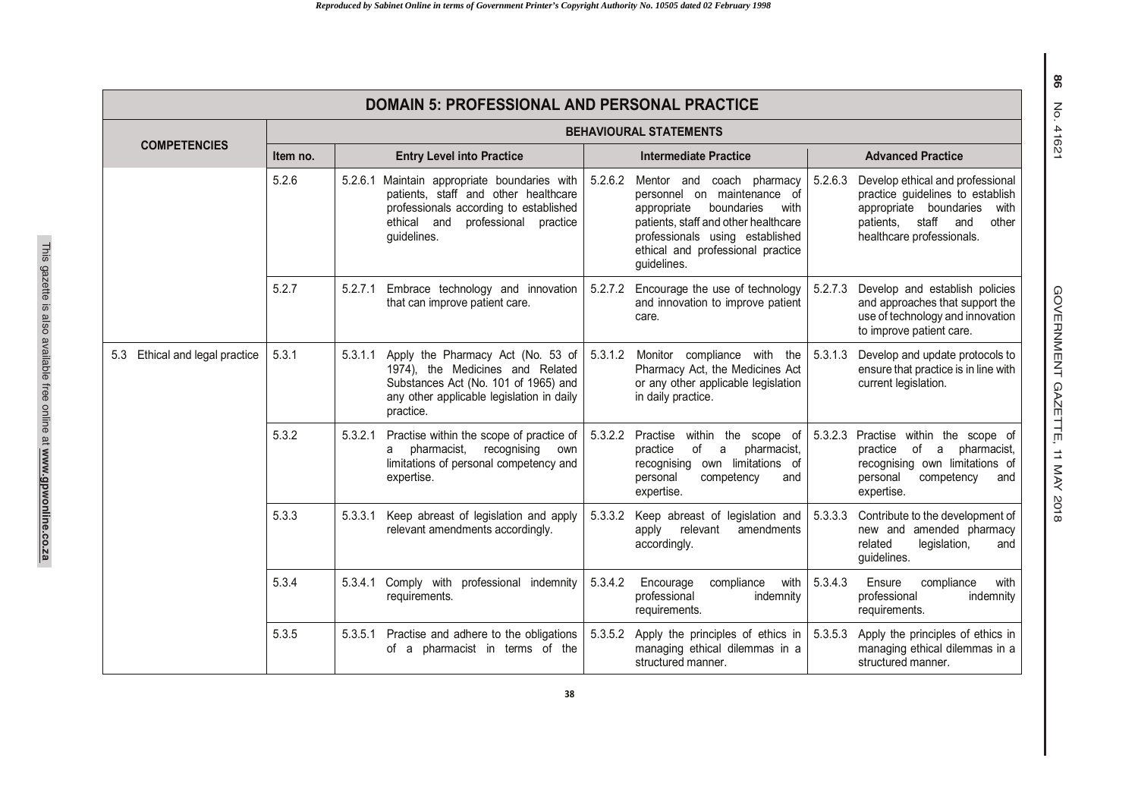| <b>DOMAIN 5: PROFESSIONAL AND PERSONAL PRACTICE</b> |                               |                                                                                                                                                                                       |                                                                                                                                                                                                                                         |                                                                                                                                                                                   |  |  |  |  |
|-----------------------------------------------------|-------------------------------|---------------------------------------------------------------------------------------------------------------------------------------------------------------------------------------|-----------------------------------------------------------------------------------------------------------------------------------------------------------------------------------------------------------------------------------------|-----------------------------------------------------------------------------------------------------------------------------------------------------------------------------------|--|--|--|--|
|                                                     | <b>BEHAVIOURAL STATEMENTS</b> |                                                                                                                                                                                       |                                                                                                                                                                                                                                         |                                                                                                                                                                                   |  |  |  |  |
| <b>COMPETENCIES</b>                                 | Item no.                      | <b>Entry Level into Practice</b>                                                                                                                                                      | <b>Intermediate Practice</b>                                                                                                                                                                                                            | <b>Advanced Practice</b>                                                                                                                                                          |  |  |  |  |
|                                                     | 5.2.6                         | 5.2.6.1 Maintain appropriate boundaries with<br>patients, staff and other healthcare<br>professionals according to established<br>ethical and professional<br>practice<br>guidelines. | 5.2.6.2<br>Mentor and coach pharmacy<br>personnel on maintenance of<br>boundaries<br>appropriate<br>with<br>patients, staff and other healthcare<br>professionals using established<br>ethical and professional practice<br>guidelines. | 5.2.6.3<br>Develop ethical and professional<br>practice guidelines to establish<br>appropriate boundaries<br>with<br>staff and<br>patients.<br>other<br>healthcare professionals. |  |  |  |  |
|                                                     | 5.2.7                         | Embrace technology and innovation<br>5.2.7.1<br>that can improve patient care.                                                                                                        | 5.2.7.2 Encourage the use of technology<br>and innovation to improve patient<br>care.                                                                                                                                                   | 5.2.7.3<br>Develop and establish policies<br>and approaches that support the<br>use of technology and innovation<br>to improve patient care.                                      |  |  |  |  |
| 5.3 Ethical and legal practice                      | 5.3.1                         | 5.3.1.1<br>Apply the Pharmacy Act (No. 53 of<br>1974), the Medicines and Related<br>Substances Act (No. 101 of 1965) and<br>any other applicable legislation in daily<br>practice.    | 5.3.1.2<br>Monitor compliance with the<br>Pharmacy Act, the Medicines Act<br>or any other applicable legislation<br>in daily practice.                                                                                                  | 5.3.1.3<br>Develop and update protocols to<br>ensure that practice is in line with<br>current legislation.                                                                        |  |  |  |  |
|                                                     | 5.3.2                         | 5.3.2.1<br>Practise within the scope of practice of<br>pharmacist,<br>recognising<br>own<br>a<br>limitations of personal competency and<br>expertise.                                 | 5.3.2.2<br>Practise<br>within the scope of<br>of<br>pharmacist,<br>practice<br>a<br>recognising own limitations of<br>competency<br>personal<br>and<br>expertise.                                                                       | 5.3.2.3<br>Practise within the scope of<br>of a pharmacist,<br>practice<br>recognising own limitations of<br>personal<br>competency<br>and<br>expertise.                          |  |  |  |  |
|                                                     | 5.3.3                         | Keep abreast of legislation and apply<br>5.3.3.1<br>relevant amendments accordingly.                                                                                                  | 5.3.3.2<br>Keep abreast of legislation and<br>relevant<br>amendments<br>apply<br>accordingly.                                                                                                                                           | 5.3.3.3<br>Contribute to the development of<br>new and amended pharmacy<br>related<br>legislation,<br>and<br>quidelines.                                                          |  |  |  |  |
|                                                     | 5.3.4                         | 5.3.4.1 Comply with professional indemnity<br>requirements.                                                                                                                           | 5.3.4.2<br>compliance<br>with<br>Encourage<br>professional<br>indemnity<br>requirements.                                                                                                                                                | 5.3.4.3<br>Ensure<br>compliance<br>with<br>professional<br>indemnity<br>requirements.                                                                                             |  |  |  |  |
|                                                     | 5.3.5                         | Practise and adhere to the obligations<br>5.3.5.1<br>of a pharmacist in terms of the                                                                                                  | 5.3.5.2<br>Apply the principles of ethics in<br>managing ethical dilemmas in a<br>structured manner.                                                                                                                                    | Apply the principles of ethics in<br>5.3.5.3<br>managing ethical dilemmas in a<br>structured manner.                                                                              |  |  |  |  |

GOVERNMENT GAZETTE, 11 MAY 201 GOVERNMENT GAZETTE, 11 MAY 2018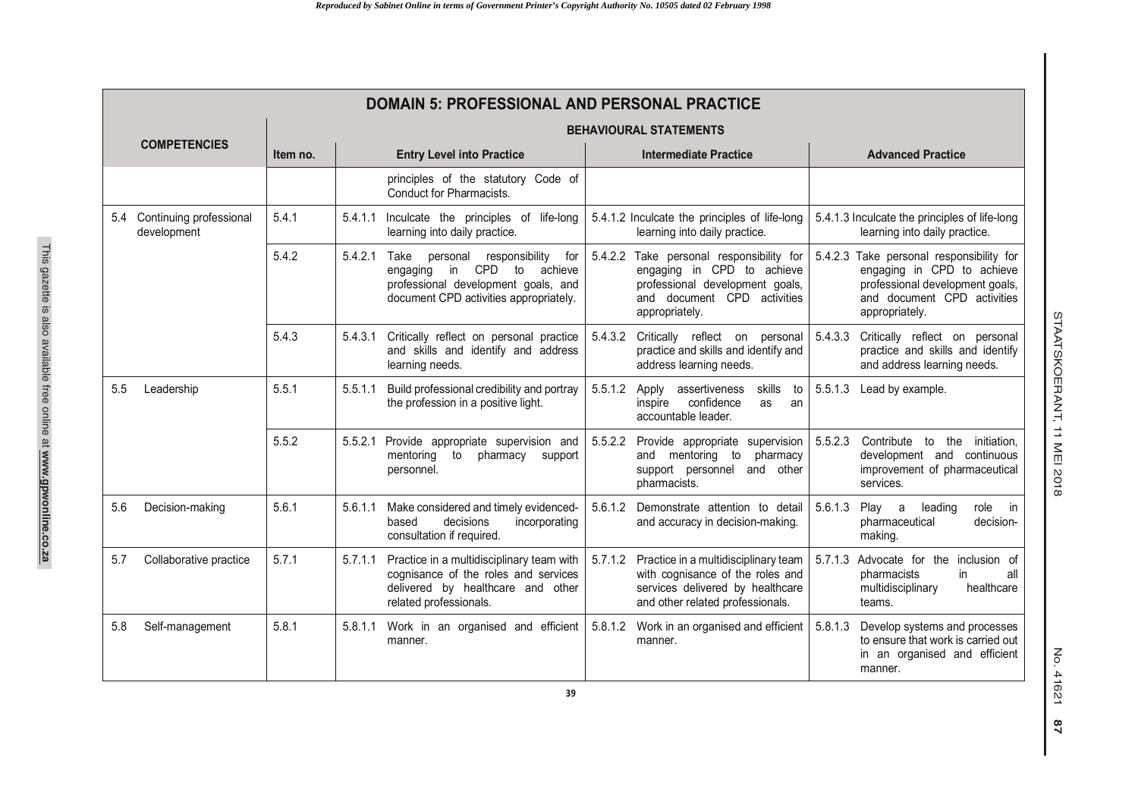|     | <b>DOMAIN 5: PROFESSIONAL AND PERSONAL PRACTICE</b> |                               |                                  |                                                                                                                                                                   |         |                                                                                                                                                            |                                                                                |                                                                                                                                                            |  |  |
|-----|-----------------------------------------------------|-------------------------------|----------------------------------|-------------------------------------------------------------------------------------------------------------------------------------------------------------------|---------|------------------------------------------------------------------------------------------------------------------------------------------------------------|--------------------------------------------------------------------------------|------------------------------------------------------------------------------------------------------------------------------------------------------------|--|--|
|     |                                                     | <b>BEHAVIOURAL STATEMENTS</b> |                                  |                                                                                                                                                                   |         |                                                                                                                                                            |                                                                                |                                                                                                                                                            |  |  |
|     | <b>COMPETENCIES</b>                                 | Item no.                      | <b>Entry Level into Practice</b> |                                                                                                                                                                   |         | <b>Intermediate Practice</b>                                                                                                                               |                                                                                | <b>Advanced Practice</b>                                                                                                                                   |  |  |
|     |                                                     |                               |                                  | principles of the statutory Code of<br>Conduct for Pharmacists.                                                                                                   |         |                                                                                                                                                            |                                                                                |                                                                                                                                                            |  |  |
|     | 5.4 Continuing professional<br>development          | 5.4.1                         | 5.4.1.1                          | Inculcate the principles of life-long<br>learning into daily practice.                                                                                            |         | 5.4.1.2 Inculcate the principles of life-long<br>learning into daily practice.                                                                             | 5.4.1.3 Inculcate the principles of life-long<br>learning into daily practice. |                                                                                                                                                            |  |  |
|     |                                                     | 5.4.2                         | 5.4.2.1                          | responsibility<br>Take<br>personal<br>for<br>in CPD<br>to<br>achieve<br>engaging<br>professional development goals, and<br>document CPD activities appropriately. |         | 5.4.2.2 Take personal responsibility for<br>engaging in CPD to achieve<br>professional development goals,<br>and document CPD activities<br>appropriately. |                                                                                | 5.4.2.3 Take personal responsibility for<br>engaging in CPD to achieve<br>professional development goals,<br>and document CPD activities<br>appropriately. |  |  |
|     |                                                     | 5.4.3                         | 5.4.3.1                          | Critically reflect on personal practice<br>and skills and identify and address<br>learning needs.                                                                 |         | 5.4.3.2 Critically reflect on personal<br>practice and skills and identify and<br>address learning needs.                                                  | 5.4.3.3                                                                        | Critically reflect on personal<br>practice and skills and identify<br>and address learning needs.                                                          |  |  |
| 5.5 | Leadership                                          | 5.5.1                         | 5.5.1.1                          | Build professional credibility and portray<br>the profession in a positive light.                                                                                 | 5.5.1.2 | skills<br>assertiveness<br>Apply<br>to<br>confidence<br>inspire<br>as<br>an<br>accountable leader.                                                         | 5.5.1.3                                                                        | Lead by example.                                                                                                                                           |  |  |
|     |                                                     | 5.5.2                         |                                  | 5.5.2.1 Provide appropriate supervision and<br>mentoring<br>to<br>pharmacy support<br>personnel.                                                                  |         | 5.5.2.2 Provide appropriate supervision<br>and mentoring to<br>pharmacy<br>support personnel<br>and other<br>pharmacists.                                  | 5.5.2.3                                                                        | Contribute to the initiation,<br>development and continuous<br>improvement of pharmaceutical<br>services.                                                  |  |  |
| 5.6 | Decision-making                                     | 5.6.1                         | 5.6.1.1                          | Make considered and timely evidenced-<br>decisions<br>based<br>incorporating<br>consultation if required.                                                         | 5.6.1.2 | Demonstrate attention to detail<br>and accuracy in decision-making.                                                                                        | 5.6.1.3                                                                        | Play a<br>leading<br>role<br>in<br>pharmaceutical<br>decision-<br>making.                                                                                  |  |  |
| 5.7 | Collaborative practice                              | 5.7.1                         | 5.7.1.1                          | Practice in a multidisciplinary team with<br>cognisance of the roles and services<br>delivered by healthcare and other<br>related professionals.                  |         | 5.7.1.2 Practice in a multidisciplinary team<br>with cognisance of the roles and<br>services delivered by healthcare<br>and other related professionals.   | 5.7.1.3                                                                        | Advocate for the inclusion of<br>in<br>all<br>pharmacists<br>multidisciplinary<br>healthcare<br>teams.                                                     |  |  |
| 5.8 | Self-management                                     | 5.8.1                         | 5.8.1.1                          | Work in an organised and efficient<br>manner.                                                                                                                     |         | 5.8.1.2 Work in an organised and efficient<br>manner.                                                                                                      | 5.8.1.3                                                                        | Develop systems and processes<br>to ensure that work is carried out<br>in an organised and efficient<br>manner.                                            |  |  |

STAATSKOERANT, 11 MEI 2018

STAATSKOERANT, 11 MEI 2018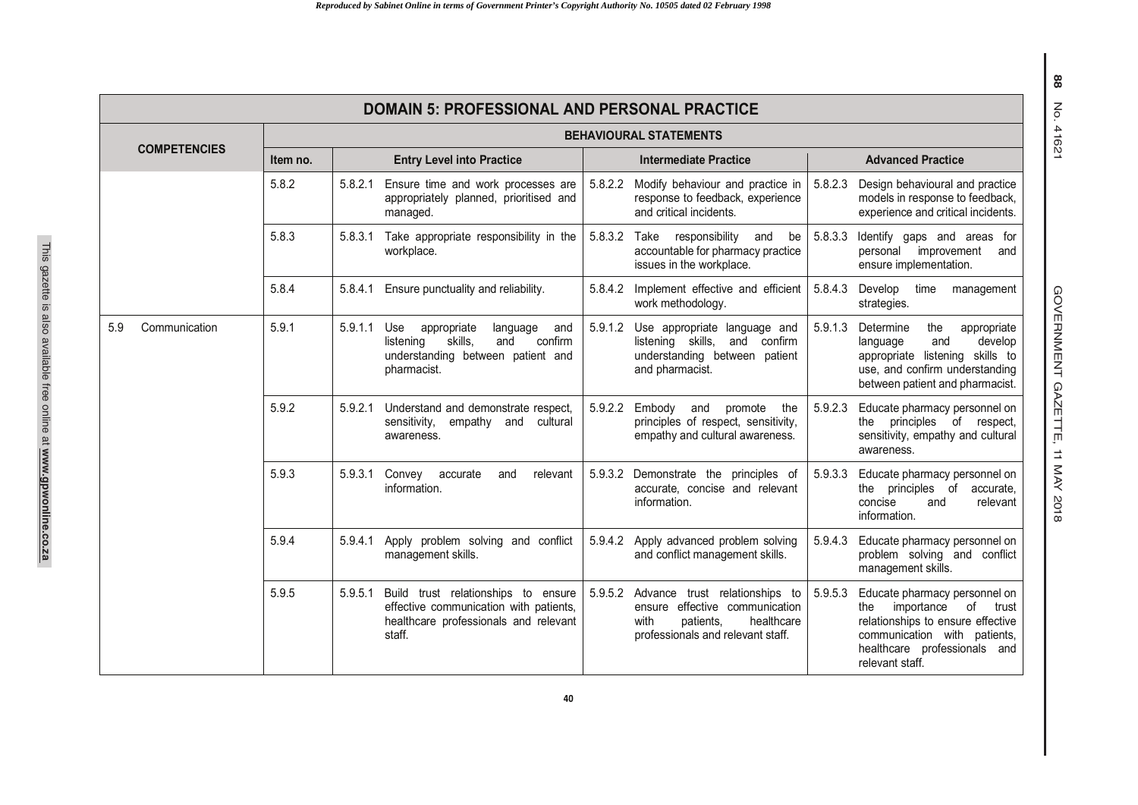| <b>DOMAIN 5: PROFESSIONAL AND PERSONAL PRACTICE</b> |                                                         |                                                                                                                                                |                                                                                                                                                     |                                                                                                                                                                                                      |  |  |  |  |
|-----------------------------------------------------|---------------------------------------------------------|------------------------------------------------------------------------------------------------------------------------------------------------|-----------------------------------------------------------------------------------------------------------------------------------------------------|------------------------------------------------------------------------------------------------------------------------------------------------------------------------------------------------------|--|--|--|--|
|                                                     | <b>BEHAVIOURAL STATEMENTS</b>                           |                                                                                                                                                |                                                                                                                                                     |                                                                                                                                                                                                      |  |  |  |  |
| <b>COMPETENCIES</b>                                 | Item no.                                                | <b>Entry Level into Practice</b>                                                                                                               | <b>Intermediate Practice</b>                                                                                                                        | <b>Advanced Practice</b>                                                                                                                                                                             |  |  |  |  |
|                                                     | 5.8.2                                                   | 5.8.2.1<br>Ensure time and work processes are<br>appropriately planned, prioritised and<br>managed.                                            | 5.8.2.2 Modify behaviour and practice in<br>response to feedback, experience<br>and critical incidents.                                             | 5.8.2.3<br>Design behavioural and practice<br>models in response to feedback,<br>experience and critical incidents.                                                                                  |  |  |  |  |
|                                                     | 5.8.3                                                   | Take appropriate responsibility in the<br>5.8.3.1<br>workplace.                                                                                | 5.8.3.2<br>Take<br>responsibility<br>and<br>be<br>accountable for pharmacy practice<br>issues in the workplace.                                     | 5.8.3.3<br>Identify gaps and areas for<br>personal improvement<br>and<br>ensure implementation.                                                                                                      |  |  |  |  |
|                                                     | 5.8.4<br>5.8.4.1<br>Ensure punctuality and reliability. |                                                                                                                                                | 5.8.4.2<br>Implement effective and efficient<br>work methodology.                                                                                   | 5.8.4.3<br>Develop<br>time<br>management<br>strategies.                                                                                                                                              |  |  |  |  |
| Communication<br>5.9                                | 5.9.1                                                   | 5.9.1.1<br>Use<br>appropriate<br>language<br>and<br>skills,<br>confirm<br>listening<br>and<br>understanding between patient and<br>pharmacist. | 5.9.1.2<br>Use appropriate language and<br>listening skills,<br>and confirm<br>understanding between patient<br>and pharmacist.                     | 5.9.1.3<br>Determine<br>the<br>appropriate<br>and<br>develop<br>language<br>appropriate listening skills to<br>use, and confirm understanding<br>between patient and pharmacist.                     |  |  |  |  |
|                                                     | 5.9.2                                                   | Understand and demonstrate respect,<br>5.9.2.1<br>sensitivity,<br>empathy and<br>cultural<br>awareness.                                        | 5.9.2.2<br>Embody<br>and<br>promote<br>the<br>principles of respect, sensitivity,<br>empathy and cultural awareness.                                | 5.9.2.3<br>Educate pharmacy personnel on<br>the principles of respect,<br>sensitivity, empathy and cultural<br>awareness.                                                                            |  |  |  |  |
|                                                     | 5.9.3                                                   | 5.9.3.1<br>relevant<br>Convey<br>accurate<br>and<br>information.                                                                               | 5.9.3.2<br>Demonstrate the principles of<br>accurate, concise and relevant<br>information.                                                          | 5.9.3.3<br>Educate pharmacy personnel on<br>the principles of accurate,<br>concise<br>and<br>relevant<br>information.                                                                                |  |  |  |  |
|                                                     | 5.9.4                                                   | 5.9.4.1<br>Apply problem solving and conflict<br>management skills.                                                                            | Apply advanced problem solving<br>5.9.4.2<br>and conflict management skills.                                                                        | Educate pharmacy personnel on<br>5.9.4.3<br>problem solving and conflict<br>management skills.                                                                                                       |  |  |  |  |
|                                                     | 5.9.5                                                   | 5.9.5.1<br>Build trust relationships to ensure<br>effective communication with patients,<br>healthcare professionals and relevant<br>staff.    | 5.9.5.2<br>Advance trust relationships to<br>ensure effective communication<br>with<br>patients.<br>healthcare<br>professionals and relevant staff. | 5.9.5.3<br>Educate pharmacy personnel on<br>of<br>importance<br>trust<br>the<br>relationships to ensure effective<br>communication with patients,<br>healthcare professionals and<br>relevant staff. |  |  |  |  |

GOVERNMENT GAZETTE, 11 MAY 201 GOVERNMENT GAZETTE, 11 MAY 2018

**40**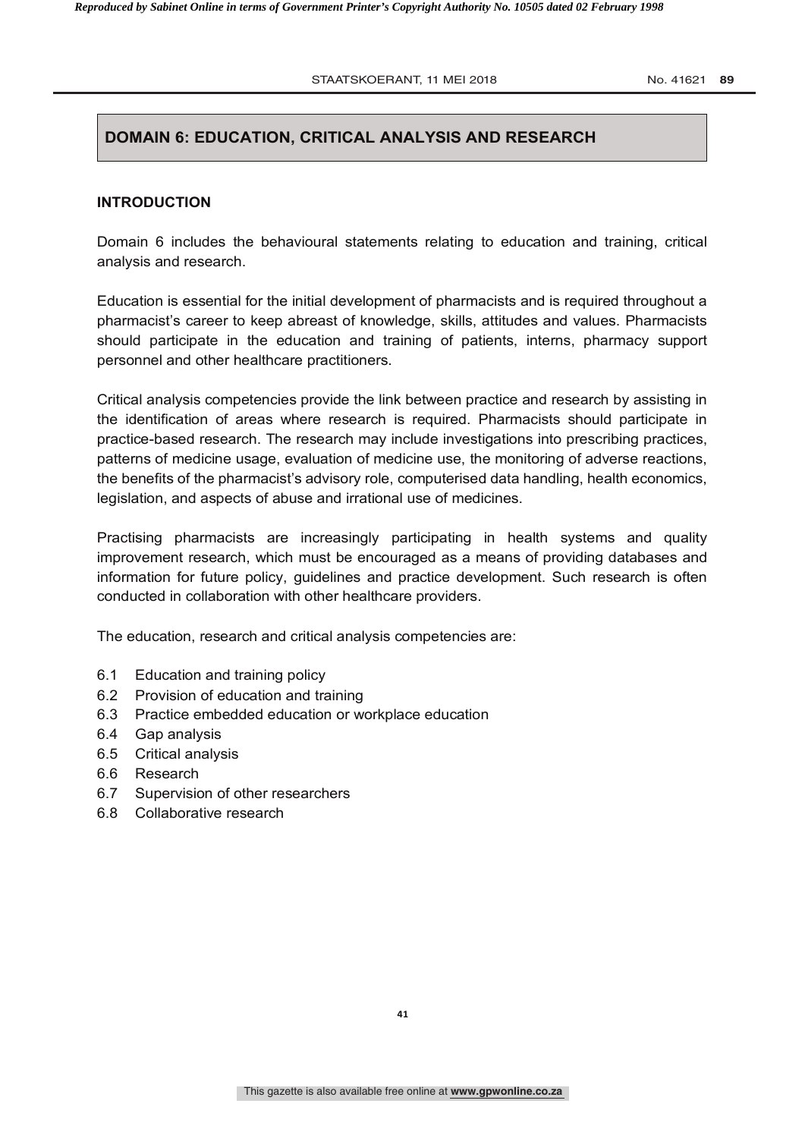STAATSKOERANT, 11 MEI 2018 **No. 41621 89** 

# **DOMAIN 6: EDUCATION, CRITICAL ANALYSIS AND RESEARCH**

#### **INTRODUCTION**

Domain 6 includes the behavioural statements relating to education and training, critical analysis and research.

Education is essential for the initial development of pharmacists and is required throughout a pharmacist's career to keep abreast of knowledge, skills, attitudes and values. Pharmacists should participate in the education and training of patients, interns, pharmacy support personnel and other healthcare practitioners.

Critical analysis competencies provide the link between practice and research by assisting in the identification of areas where research is required. Pharmacists should participate in practice-based research. The research may include investigations into prescribing practices, patterns of medicine usage, evaluation of medicine use, the monitoring of adverse reactions, the benefits of the pharmacist's advisory role, computerised data handling, health economics, legislation, and aspects of abuse and irrational use of medicines.

Practising pharmacists are increasingly participating in health systems and quality improvement research, which must be encouraged as a means of providing databases and information for future policy, guidelines and practice development. Such research is often conducted in collaboration with other healthcare providers.

The education, research and critical analysis competencies are:

- 6.1 Education and training policy
- 6.2 Provision of education and training
- 6.3 Practice embedded education or workplace education
- 6.4 Gap analysis
- 6.5 Critical analysis
- 6.6 Research
- 6.7 Supervision of other researchers
- 6.8 Collaborative research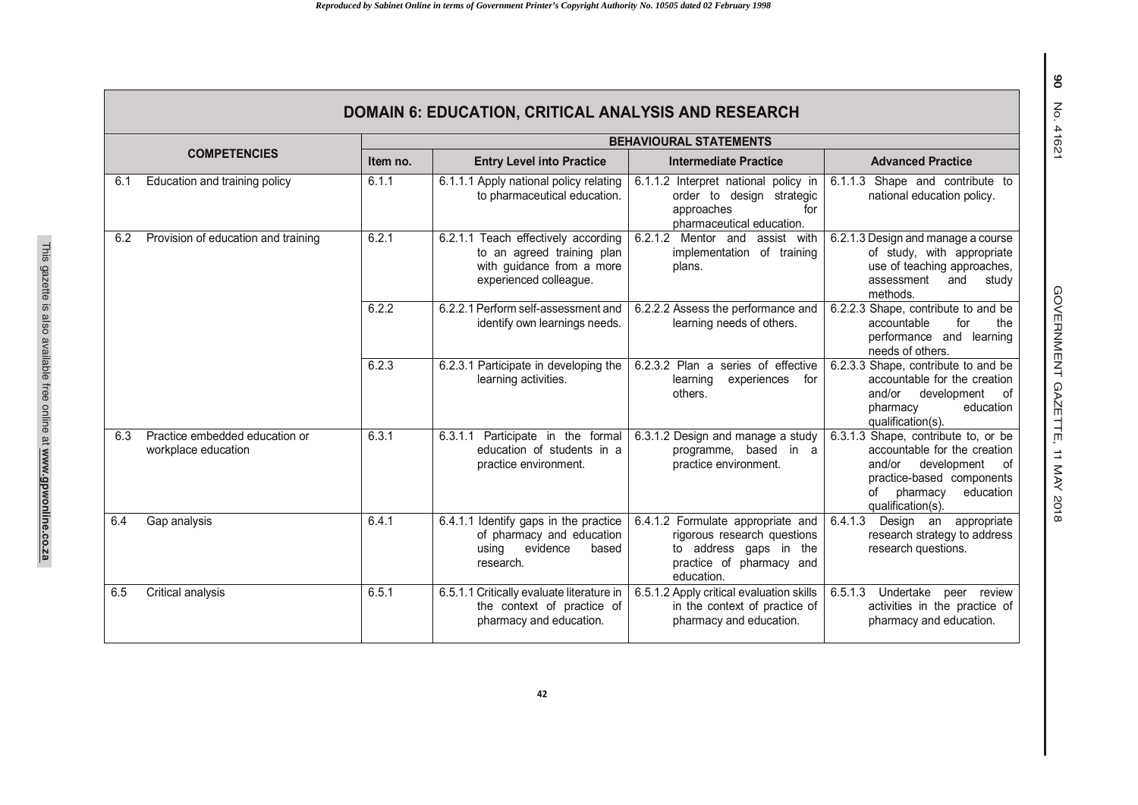|                     | <b>DOMAIN 6: EDUCATION, CRITICAL ANALYSIS AND RESEARCH</b> |          |                                                                                                                          |                                                                                                                                      |                                                                                                                                                                                  |  |  |
|---------------------|------------------------------------------------------------|----------|--------------------------------------------------------------------------------------------------------------------------|--------------------------------------------------------------------------------------------------------------------------------------|----------------------------------------------------------------------------------------------------------------------------------------------------------------------------------|--|--|
|                     |                                                            |          |                                                                                                                          | <b>BEHAVIOURAL STATEMENTS</b>                                                                                                        |                                                                                                                                                                                  |  |  |
| <b>COMPETENCIES</b> |                                                            | Item no. | <b>Entry Level into Practice</b>                                                                                         | <b>Intermediate Practice</b>                                                                                                         | <b>Advanced Practice</b>                                                                                                                                                         |  |  |
| 6.1                 | Education and training policy                              | 6.1.1    | 6.1.1.1 Apply national policy relating<br>to pharmaceutical education.                                                   | 6.1.1.2 Interpret national policy in<br>order to design strategic<br>approaches<br>for<br>pharmaceutical education.                  | 6.1.1.3 Shape and contribute to<br>national education policy.                                                                                                                    |  |  |
| 6.2                 | Provision of education and training                        | 6.2.1    | 6.2.1.1 Teach effectively according<br>to an agreed training plan<br>with guidance from a more<br>experienced colleague. | 6.2.1.2 Mentor and assist with<br>implementation of training<br>plans.                                                               | 6.2.1.3 Design and manage a course<br>of study, with appropriate<br>use of teaching approaches,<br>assessment<br>and<br>study<br>methods.                                        |  |  |
|                     |                                                            | 6.2.2    | 6.2.2.1 Perform self-assessment and<br>identify own learnings needs.                                                     | 6.2.2.2 Assess the performance and<br>learning needs of others.                                                                      | 6.2.2.3 Shape, contribute to and be<br>accountable<br>for<br>the<br>performance and learning<br>needs of others.                                                                 |  |  |
|                     |                                                            | 6.2.3    | 6.2.3.1 Participate in developing the<br>learning activities.                                                            | 6.2.3.2 Plan a series of effective<br>learning<br>experiences<br>for<br>others.                                                      | 6.2.3.3 Shape, contribute to and be<br>accountable for the creation<br>and/or<br>development<br>of<br>education<br>pharmacy<br>qualification(s).                                 |  |  |
| 6.3                 | Practice embedded education or<br>workplace education      | 6.3.1    | 6.3.1.1<br>Participate in the formal<br>education of students in a<br>practice environment.                              | 6.3.1.2 Design and manage a study<br>programme, based in a<br>practice environment.                                                  | 6.3.1.3 Shape, contribute to, or be<br>accountable for the creation<br>and/or<br>development<br>of<br>practice-based components<br>of pharmacy<br>education<br>qualification(s). |  |  |
| 6.4                 | Gap analysis                                               | 6.4.1    | 6.4.1.1 Identify gaps in the practice<br>of pharmacy and education<br>evidence<br>based<br>usina<br>research.            | 6.4.1.2 Formulate appropriate and<br>rigorous research questions<br>to address gaps in the<br>practice of pharmacy and<br>education. | 6.4.1.3<br>Design an appropriate<br>research strategy to address<br>research questions.                                                                                          |  |  |
| 6.5                 | Critical analysis                                          | 6.5.1    | 6.5.1.1 Critically evaluate literature in<br>the context of practice of<br>pharmacy and education.                       | 6.5.1.2 Apply critical evaluation skills<br>in the context of practice of<br>pharmacy and education.                                 | 6.5.1.3<br>Undertake<br>peer review<br>activities in the practice of<br>pharmacy and education.                                                                                  |  |  |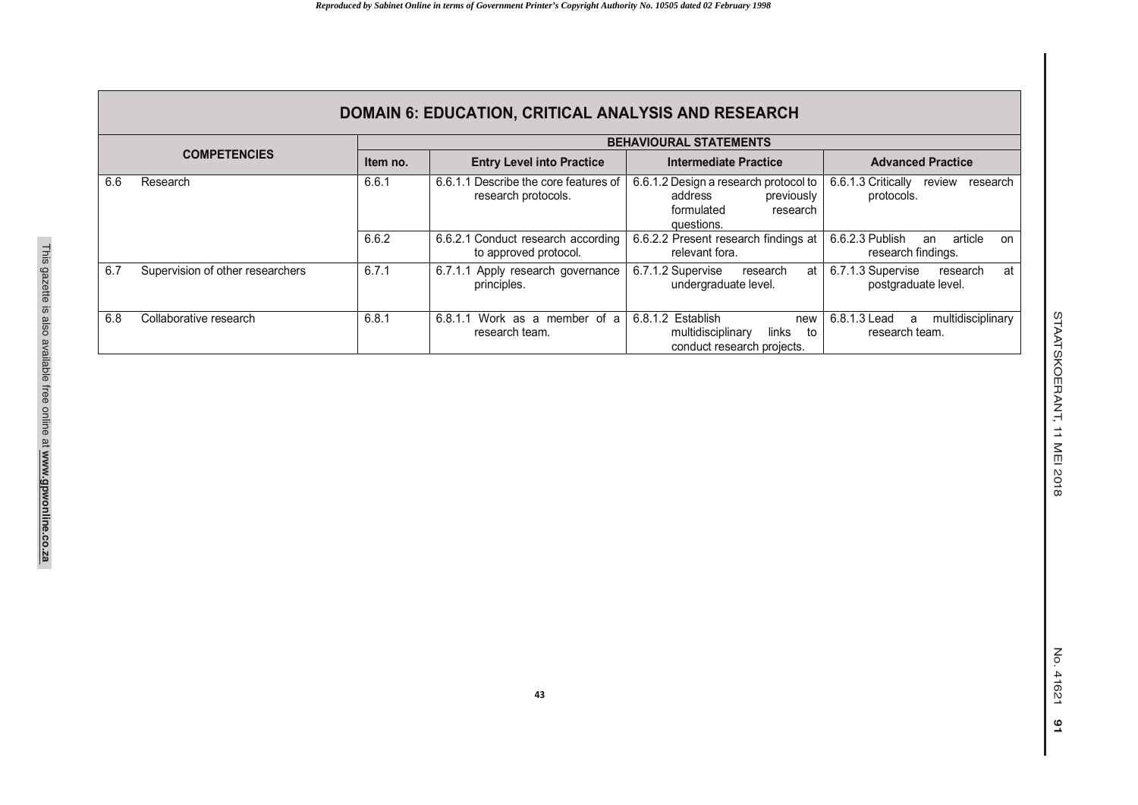|                     | <b>DOMAIN 6: EDUCATION, CRITICAL ANALYSIS AND RESEARCH</b> |                               |                                                                 |                                                                                                        |                                                              |  |  |
|---------------------|------------------------------------------------------------|-------------------------------|-----------------------------------------------------------------|--------------------------------------------------------------------------------------------------------|--------------------------------------------------------------|--|--|
|                     |                                                            | <b>BEHAVIOURAL STATEMENTS</b> |                                                                 |                                                                                                        |                                                              |  |  |
| <b>COMPETENCIES</b> |                                                            | Item no.                      | <b>Entry Level into Practice</b>                                | <b>Intermediate Practice</b>                                                                           | <b>Advanced Practice</b>                                     |  |  |
| 6.6                 | Research                                                   | 6.6.1                         | Describe the core features of<br>6.6.1.1<br>research protocols. | 6.6.1.2 Design a research protocol to<br>address<br>previously<br>formulated<br>research<br>questions. | 6.6.1.3 Critically<br>review<br>research<br>protocols.       |  |  |
|                     |                                                            | 6.6.2                         | 6.6.2.1 Conduct research according<br>to approved protocol.     | 6.6.2.2 Present research findings at<br>relevant fora.                                                 | 6.6.2.3 Publish<br>article<br>an<br>on<br>research findings. |  |  |
| 6.7                 | Supervision of other researchers                           | 6.7.1                         | Apply research governance<br>6.7.1.1<br>principles.             | 6.7.1.2 Supervise<br>at<br>research<br>undergraduate level.                                            | 6.7.1.3 Supervise<br>at<br>research<br>postgraduate level.   |  |  |
| 6.8                 | Collaborative research                                     | 6.8.1                         | Work as a member of a<br>6.8.1.1<br>research team.              | 6.8.1.2 Establish<br>new<br>multidisciplinary<br>links<br>to<br>conduct research projects.             | 6.8.1.3 Lead<br>multidisciplinary<br>a<br>research team.     |  |  |